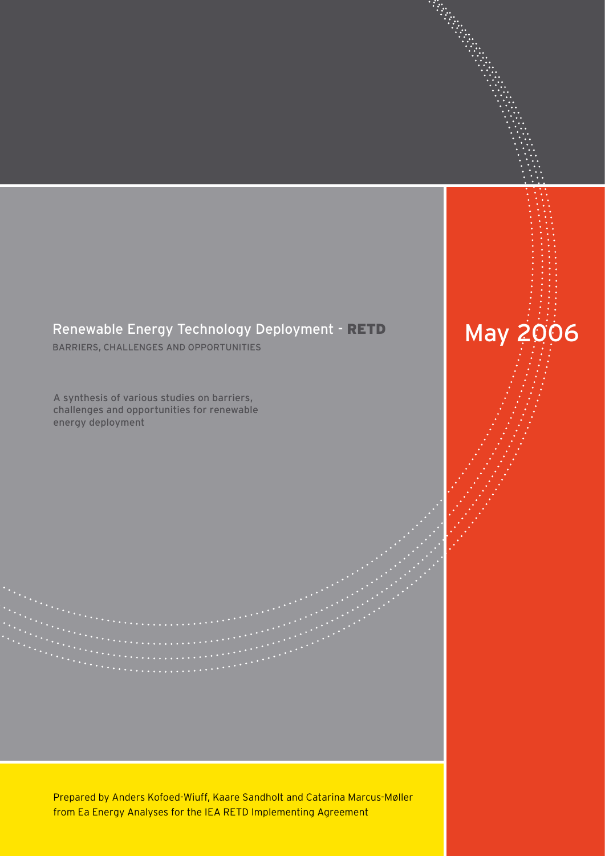# Renewable Energy Technology Deployment - RETD

Barriers, Challenges and Opportunities

A synthesis of various studies on barriers, challenges and opportunities for renewable energy deployment

May 2006

Prepared by Anders Kofoed-Wiuff, Kaare Sandholt and Catarina Marcus-Møller from Ea Energy Analyses for the IEA RETD Implementing Agreement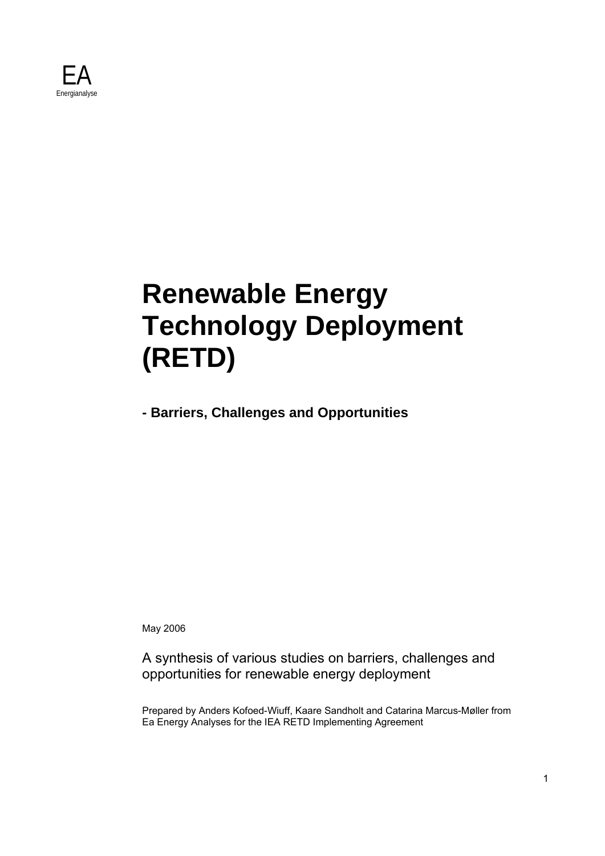

# **Renewable Energy Technology Deployment (RETD)**

**- Barriers, Challenges and Opportunities** 

May 2006

A synthesis of various studies on barriers, challenges and opportunities for renewable energy deployment

Prepared by Anders Kofoed-Wiuff, Kaare Sandholt and Catarina Marcus-Møller from Ea Energy Analyses for the IEA RETD Implementing Agreement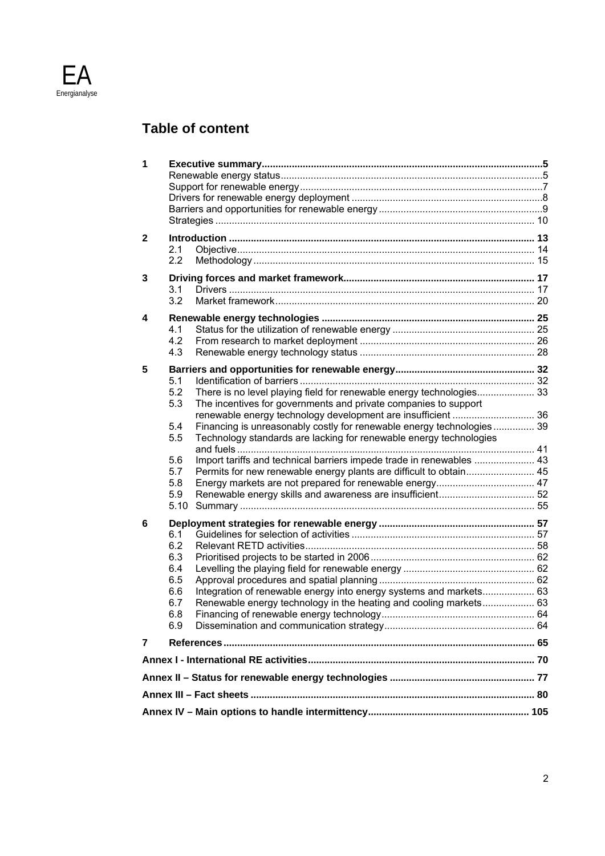

## **Table of content**

| 1              |                                                                                  |  |  |  |  |  |  |  |
|----------------|----------------------------------------------------------------------------------|--|--|--|--|--|--|--|
|                |                                                                                  |  |  |  |  |  |  |  |
|                |                                                                                  |  |  |  |  |  |  |  |
|                |                                                                                  |  |  |  |  |  |  |  |
|                |                                                                                  |  |  |  |  |  |  |  |
|                |                                                                                  |  |  |  |  |  |  |  |
| 2              |                                                                                  |  |  |  |  |  |  |  |
|                | 2.1                                                                              |  |  |  |  |  |  |  |
|                | 2.2                                                                              |  |  |  |  |  |  |  |
| 3              |                                                                                  |  |  |  |  |  |  |  |
|                | 3.1                                                                              |  |  |  |  |  |  |  |
|                | 3.2                                                                              |  |  |  |  |  |  |  |
| 4              |                                                                                  |  |  |  |  |  |  |  |
|                | 4.1                                                                              |  |  |  |  |  |  |  |
|                | 4.2                                                                              |  |  |  |  |  |  |  |
|                | 4.3                                                                              |  |  |  |  |  |  |  |
| 5              |                                                                                  |  |  |  |  |  |  |  |
|                | 5.1                                                                              |  |  |  |  |  |  |  |
|                | There is no level playing field for renewable energy technologies 33<br>5.2      |  |  |  |  |  |  |  |
|                | 5.3<br>The incentives for governments and private companies to support           |  |  |  |  |  |  |  |
|                | renewable energy technology development are insufficient  36                     |  |  |  |  |  |  |  |
|                | Financing is unreasonably costly for renewable energy technologies 39<br>5.4     |  |  |  |  |  |  |  |
|                | Technology standards are lacking for renewable energy technologies<br>5.5        |  |  |  |  |  |  |  |
|                | Import tariffs and technical barriers impede trade in renewables  43             |  |  |  |  |  |  |  |
|                | 5.6<br>5.7<br>Permits for new renewable energy plants are difficult to obtain 45 |  |  |  |  |  |  |  |
|                | 5.8                                                                              |  |  |  |  |  |  |  |
|                | 5.9                                                                              |  |  |  |  |  |  |  |
|                | 5.10                                                                             |  |  |  |  |  |  |  |
| 6              |                                                                                  |  |  |  |  |  |  |  |
|                | 6.1                                                                              |  |  |  |  |  |  |  |
|                | 6.2                                                                              |  |  |  |  |  |  |  |
|                | 6.3                                                                              |  |  |  |  |  |  |  |
|                | 6.4                                                                              |  |  |  |  |  |  |  |
|                | 6.5                                                                              |  |  |  |  |  |  |  |
|                | Integration of renewable energy into energy systems and markets 63<br>6.6        |  |  |  |  |  |  |  |
|                | Renewable energy technology in the heating and cooling markets 63<br>6.7         |  |  |  |  |  |  |  |
|                | 6.8                                                                              |  |  |  |  |  |  |  |
|                | 6.9                                                                              |  |  |  |  |  |  |  |
| $\overline{7}$ |                                                                                  |  |  |  |  |  |  |  |
|                |                                                                                  |  |  |  |  |  |  |  |
|                |                                                                                  |  |  |  |  |  |  |  |
|                |                                                                                  |  |  |  |  |  |  |  |
|                |                                                                                  |  |  |  |  |  |  |  |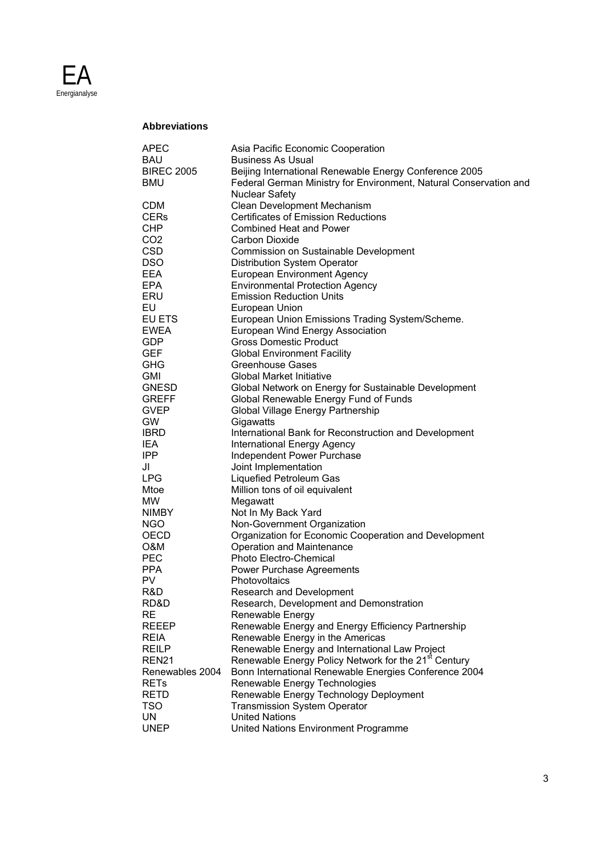#### **Abbreviations**

| <b>APEC</b>                           | Asia Pacific Economic Cooperation                                 |
|---------------------------------------|-------------------------------------------------------------------|
| <b>BAU</b>                            | <b>Business As Usual</b>                                          |
| <b>BIREC 2005</b>                     | Beijing International Renewable Energy Conference 2005            |
| <b>BMU</b>                            | Federal German Ministry for Environment, Natural Conservation and |
|                                       | <b>Nuclear Safety</b>                                             |
| <b>CDM</b>                            | Clean Development Mechanism                                       |
| <b>CERs</b>                           | <b>Certificates of Emission Reductions</b>                        |
| <b>CHP</b>                            | <b>Combined Heat and Power</b>                                    |
| CO <sub>2</sub>                       | Carbon Dioxide                                                    |
| <b>CSD</b>                            | Commission on Sustainable Development                             |
| <b>DSO</b>                            | Distribution System Operator                                      |
| <b>EEA</b>                            | <b>European Environment Agency</b>                                |
| <b>EPA</b>                            | <b>Environmental Protection Agency</b>                            |
| <b>ERU</b>                            | <b>Emission Reduction Units</b>                                   |
| EU                                    | European Union                                                    |
| EU ETS                                | European Union Emissions Trading System/Scheme.                   |
| <b>EWEA</b>                           | European Wind Energy Association                                  |
| <b>GDP</b>                            | <b>Gross Domestic Product</b>                                     |
| <b>GEF</b>                            | <b>Global Environment Facility</b>                                |
| <b>GHG</b>                            | <b>Greenhouse Gases</b>                                           |
| <b>GMI</b>                            | <b>Global Market Initiative</b>                                   |
| <b>GNESD</b>                          | Global Network on Energy for Sustainable Development              |
| <b>GREFF</b>                          | Global Renewable Energy Fund of Funds                             |
| <b>GVEP</b>                           | Global Village Energy Partnership                                 |
| <b>GW</b>                             | Gigawatts                                                         |
| <b>IBRD</b>                           | International Bank for Reconstruction and Development             |
| IEA                                   | International Energy Agency                                       |
| <b>IPP</b>                            | Independent Power Purchase                                        |
| JI                                    | Joint Implementation                                              |
| <b>LPG</b>                            | Liquefied Petroleum Gas                                           |
| Mtoe                                  | Million tons of oil equivalent                                    |
| MW                                    | Megawatt                                                          |
| NIMBY                                 | Not In My Back Yard                                               |
| <b>NGO</b>                            | Non-Government Organization                                       |
| <b>OECD</b>                           | Organization for Economic Cooperation and Development             |
| O&M                                   | Operation and Maintenance                                         |
| <b>PEC</b>                            | Photo Electro-Chemical                                            |
| <b>PPA</b>                            | Power Purchase Agreements                                         |
| PV                                    | Photovoltaics                                                     |
| R&D                                   | Research and Development                                          |
| RD&D                                  | Research, Development and Demonstration                           |
| RE                                    | Renewable Energy                                                  |
| <b>REEEP</b>                          | Renewable Energy and Energy Efficiency Partnership                |
| <b>REIA</b>                           | Renewable Energy in the Americas                                  |
| <b>REILP</b>                          | Renewable Energy and International Law Project                    |
| <b>REN21</b>                          | Renewable Energy Policy Network for the 21 <sup>st</sup> Century  |
| Renewables 2004                       | Bonn International Renewable Energies Conference 2004             |
|                                       | Renewable Energy Technologies                                     |
| <b>RET<sub>s</sub></b><br><b>RETD</b> | Renewable Energy Technology Deployment                            |
| TSO                                   |                                                                   |
| <b>UN</b>                             | <b>Transmission System Operator</b><br><b>United Nations</b>      |
| <b>UNEP</b>                           |                                                                   |
|                                       | United Nations Environment Programme                              |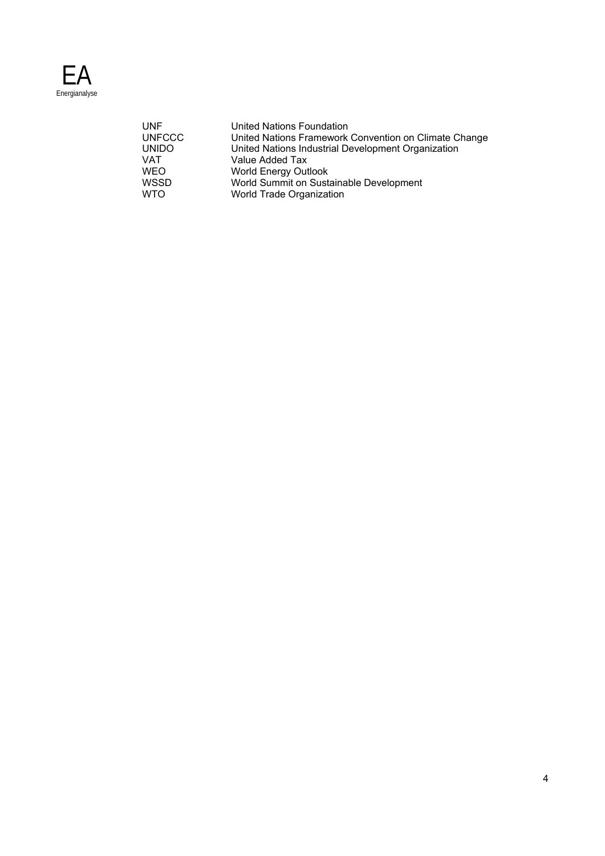| UNF           | United Nations Foundation                             |
|---------------|-------------------------------------------------------|
| <b>UNFCCC</b> | United Nations Framework Convention on Climate Change |
| unido         | United Nations Industrial Development Organization    |
| VAT           | Value Added Tax                                       |
| WEO           | <b>World Energy Outlook</b>                           |
| WSSD          | World Summit on Sustainable Development               |
| WTO           | World Trade Organization                              |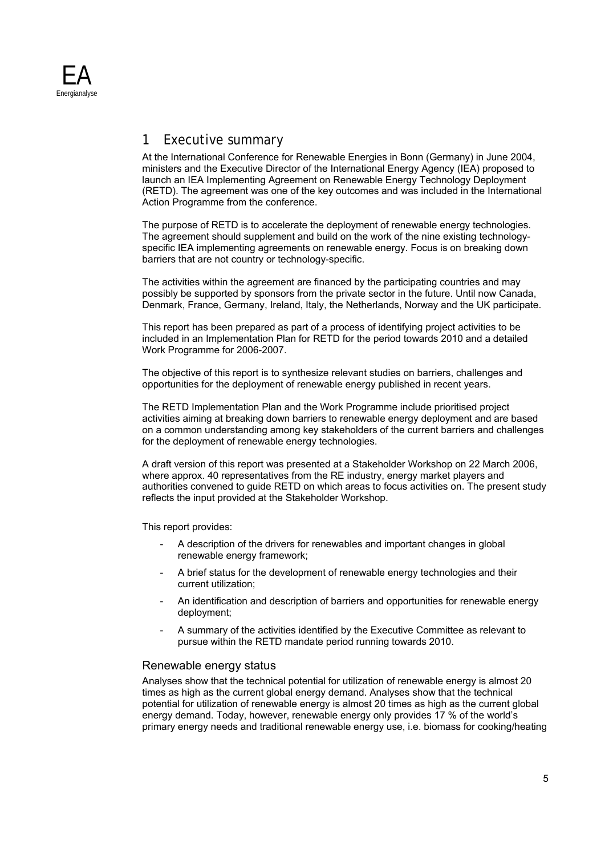## 1 Executive summary

At the International Conference for Renewable Energies in Bonn (Germany) in June 2004, ministers and the Executive Director of the International Energy Agency (IEA) proposed to launch an IEA Implementing Agreement on Renewable Energy Technology Deployment (RETD). The agreement was one of the key outcomes and was included in the International Action Programme from the conference.

The purpose of RETD is to accelerate the deployment of renewable energy technologies. The agreement should supplement and build on the work of the nine existing technologyspecific IEA implementing agreements on renewable energy. Focus is on breaking down barriers that are not country or technology-specific.

The activities within the agreement are financed by the participating countries and may possibly be supported by sponsors from the private sector in the future. Until now Canada, Denmark, France, Germany, Ireland, Italy, the Netherlands, Norway and the UK participate.

This report has been prepared as part of a process of identifying project activities to be included in an Implementation Plan for RETD for the period towards 2010 and a detailed Work Programme for 2006-2007.

The objective of this report is to synthesize relevant studies on barriers, challenges and opportunities for the deployment of renewable energy published in recent years.

The RETD Implementation Plan and the Work Programme include prioritised project activities aiming at breaking down barriers to renewable energy deployment and are based on a common understanding among key stakeholders of the current barriers and challenges for the deployment of renewable energy technologies.

A draft version of this report was presented at a Stakeholder Workshop on 22 March 2006, where approx. 40 representatives from the RE industry, energy market players and authorities convened to guide RETD on which areas to focus activities on. The present study reflects the input provided at the Stakeholder Workshop.

This report provides:

- A description of the drivers for renewables and important changes in global renewable energy framework;
- A brief status for the development of renewable energy technologies and their current utilization;
- An identification and description of barriers and opportunities for renewable energy deployment;
- A summary of the activities identified by the Executive Committee as relevant to pursue within the RETD mandate period running towards 2010.

#### Renewable energy status

Analyses show that the technical potential for utilization of renewable energy is almost 20 times as high as the current global energy demand. Analyses show that the technical potential for utilization of renewable energy is almost 20 times as high as the current global energy demand. Today, however, renewable energy only provides 17 % of the world's primary energy needs and traditional renewable energy use, i.e. biomass for cooking/heating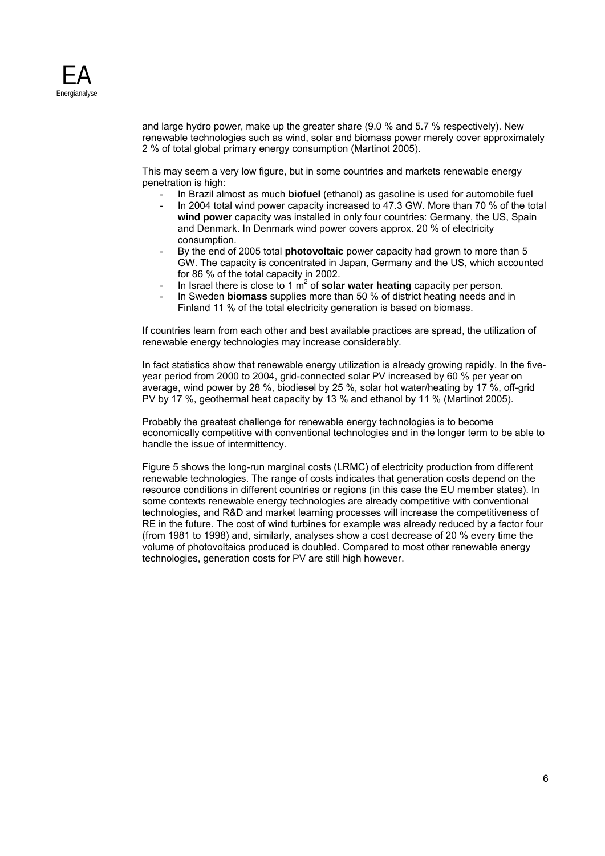and large hydro power, make up the greater share (9.0 % and 5.7 % respectively). New renewable technologies such as wind, solar and biomass power merely cover approximately 2 % of total global primary energy consumption (Martinot 2005).

This may seem a very low figure, but in some countries and markets renewable energy penetration is high:

- In Brazil almost as much **biofuel** (ethanol) as gasoline is used for automobile fuel
- In 2004 total wind power capacity increased to 47.3 GW. More than 70 % of the total **wind power** capacity was installed in only four countries: Germany, the US, Spain and Denmark. In Denmark wind power covers approx. 20 % of electricity consumption.
- By the end of 2005 total **photovoltaic** power capacity had grown to more than 5 GW. The capacity is concentrated in Japan, Germany and the US, which accounted for 86 % of the total capacity in 2002.
- $-$  In Israel there is close to 1  $m^2$  of **solar water heating** capacity per person.
- In Sweden **biomass** supplies more than 50 % of district heating needs and in Finland 11 % of the total electricity generation is based on biomass.

If countries learn from each other and best available practices are spread, the utilization of renewable energy technologies may increase considerably.

In fact statistics show that renewable energy utilization is already growing rapidly. In the fiveyear period from 2000 to 2004, grid-connected solar PV increased by 60 % per year on average, wind power by 28 %, biodiesel by 25 %, solar hot water/heating by 17 %, off-grid PV by 17 %, geothermal heat capacity by 13 % and ethanol by 11 % (Martinot 2005).

Probably the greatest challenge for renewable energy technologies is to become economically competitive with conventional technologies and in the longer term to be able to handle the issue of intermittency.

Figure 5 shows the long-run marginal costs (LRMC) of electricity production from different renewable technologies. The range of costs indicates that generation costs depend on the resource conditions in different countries or regions (in this case the EU member states). In some contexts renewable energy technologies are already competitive with conventional technologies, and R&D and market learning processes will increase the competitiveness of RE in the future. The cost of wind turbines for example was already reduced by a factor four (from 1981 to 1998) and, similarly, analyses show a cost decrease of 20 % every time the volume of photovoltaics produced is doubled. Compared to most other renewable energy technologies, generation costs for PV are still high however.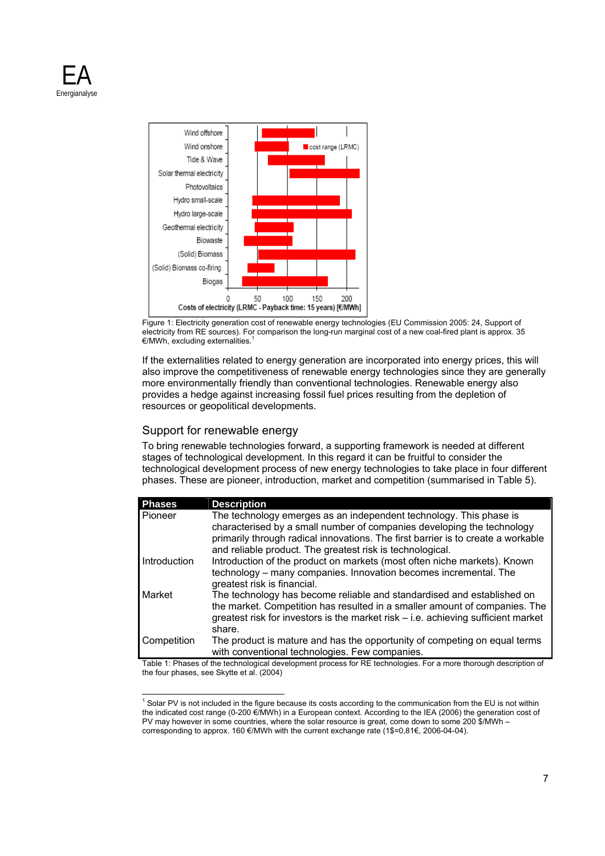

Figure 1: Electricity generation cost of renewable energy technologies (EU Commission 2005: 24, Support of electricity from RE sources). For comparison the long-run marginal cost of a new coal-fired plant is approx. 35 €/MWh, excluding externalities.<sup>1</sup>

If the externalities related to energy generation are incorporated into energy prices, this will also improve the competitiveness of renewable energy technologies since they are generally more environmentally friendly than conventional technologies. Renewable energy also provides a hedge against increasing fossil fuel prices resulting from the depletion of resources or geopolitical developments.

#### Support for renewable energy

To bring renewable technologies forward, a supporting framework is needed at different stages of technological development. In this regard it can be fruitful to consider the technological development process of new energy technologies to take place in four different phases. These are pioneer, introduction, market and competition (summarised in Table 5).

| <b>Phases</b> | <b>Description</b>                                                                                                                                                                                                                                                                            |
|---------------|-----------------------------------------------------------------------------------------------------------------------------------------------------------------------------------------------------------------------------------------------------------------------------------------------|
| Pioneer       | The technology emerges as an independent technology. This phase is<br>characterised by a small number of companies developing the technology<br>primarily through radical innovations. The first barrier is to create a workable<br>and reliable product. The greatest risk is technological. |
| Introduction  | Introduction of the product on markets (most often niche markets). Known<br>technology – many companies. Innovation becomes incremental. The<br>greatest risk is financial.                                                                                                                   |
| Market        | The technology has become reliable and standardised and established on<br>the market. Competition has resulted in a smaller amount of companies. The<br>greatest risk for investors is the market risk $-$ i.e. achieving sufficient market<br>share.                                         |
| Competition   | The product is mature and has the opportunity of competing on equal terms<br>with conventional technologies. Few companies.                                                                                                                                                                   |

Table 1: Phases of the technological development process for RE technologies. For a more thorough description of the four phases, see Skytte et al. (2004).

 1 Solar PV is not included in the figure because its costs according to the communication from the EU is not within the indicated cost range (0-200 €/MWh) in a European context. According to the IEA (2006) the generation cost of PV may however in some countries, where the solar resource is great, come down to some 200 \$/MWh – corresponding to approx. 160 €/MWh with the current exchange rate (1\$=0,81€, 2006-04-04).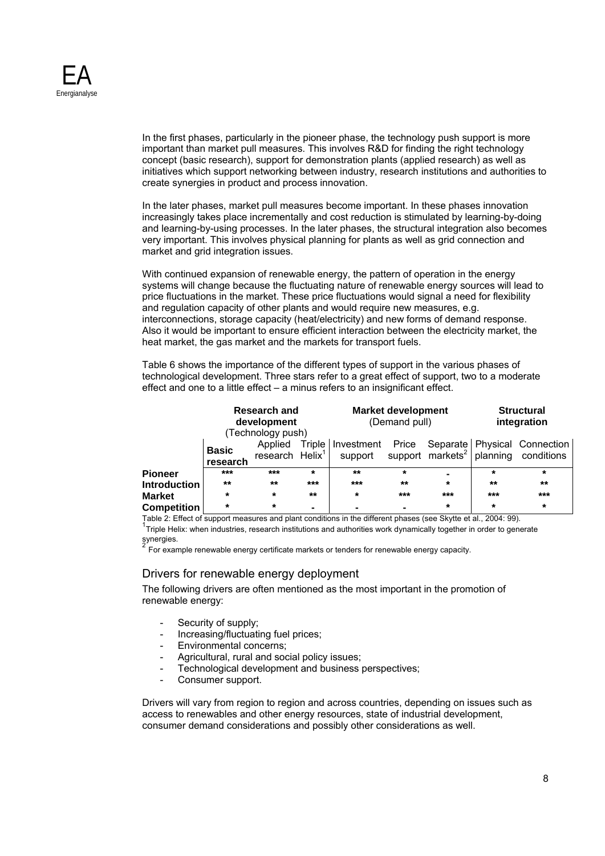In the first phases, particularly in the pioneer phase, the technology push support is more important than market pull measures. This involves R&D for finding the right technology concept (basic research), support for demonstration plants (applied research) as well as initiatives which support networking between industry, research institutions and authorities to create synergies in product and process innovation.

In the later phases, market pull measures become important. In these phases innovation increasingly takes place incrementally and cost reduction is stimulated by learning-by-doing and learning-by-using processes. In the later phases, the structural integration also becomes very important. This involves physical planning for plants as well as grid connection and market and grid integration issues.

With continued expansion of renewable energy, the pattern of operation in the energy systems will change because the fluctuating nature of renewable energy sources will lead to price fluctuations in the market. These price fluctuations would signal a need for flexibility and regulation capacity of other plants and would require new measures, e.g. interconnections, storage capacity (heat/electricity) and new forms of demand response. Also it would be important to ensure efficient interaction between the electricity market, the heat market, the gas market and the markets for transport fuels.

Table 6 shows the importance of the different types of support in the various phases of technological development. Three stars refer to a great effect of support, two to a moderate effect and one to a little effect – a minus refers to an insignificant effect.

|                     | <b>Research and</b><br>development<br>(Technology push)            |         |         |         | <b>Market development</b><br>(Demand pull) | <b>Structural</b><br>integration |         |                                                                                      |
|---------------------|--------------------------------------------------------------------|---------|---------|---------|--------------------------------------------|----------------------------------|---------|--------------------------------------------------------------------------------------|
|                     | Applied<br><b>Basic</b><br>research Helix <sup>1</sup><br>research |         |         |         | Triple   Investment    Price               |                                  |         | Separate   Physical Connection<br>support markets <sup>2</sup>   planning conditions |
| <b>Pioneer</b>      | $***$                                                              | $***$   | $\star$ | $***$   | $\star$                                    |                                  | $\star$ | $\star$                                                                              |
| <b>Introduction</b> | $***$                                                              | $***$   | ***     | $***$   | $**$                                       | $\star$                          | $**$    | $***$                                                                                |
| <b>Market</b>       | $\star$                                                            | $\star$ | $**$    | $\star$ | ***                                        | $***$                            | $***$   | $***$                                                                                |
| <b>Competition</b>  | $\star$                                                            | $\star$ | ۰       |         | $\blacksquare$                             | $\ast$                           | $\star$ | $\star$                                                                              |

Table 2: Effect of support measures and plant conditions in the different phases (see Skytte et al., 2004: 99). 1  $1$ Triple Helix: when industries, research institutions and authorities work dynamically together in order to generate synergies.

 $\overline{z}$  For example renewable energy certificate markets or tenders for renewable energy capacity.

#### Drivers for renewable energy deployment

The following drivers are often mentioned as the most important in the promotion of renewable energy:

- Security of supply;
- Increasing/fluctuating fuel prices;
- Environmental concerns;
- Agricultural, rural and social policy issues;
- Technological development and business perspectives;
- Consumer support.

Drivers will vary from region to region and across countries, depending on issues such as access to renewables and other energy resources, state of industrial development, consumer demand considerations and possibly other considerations as well.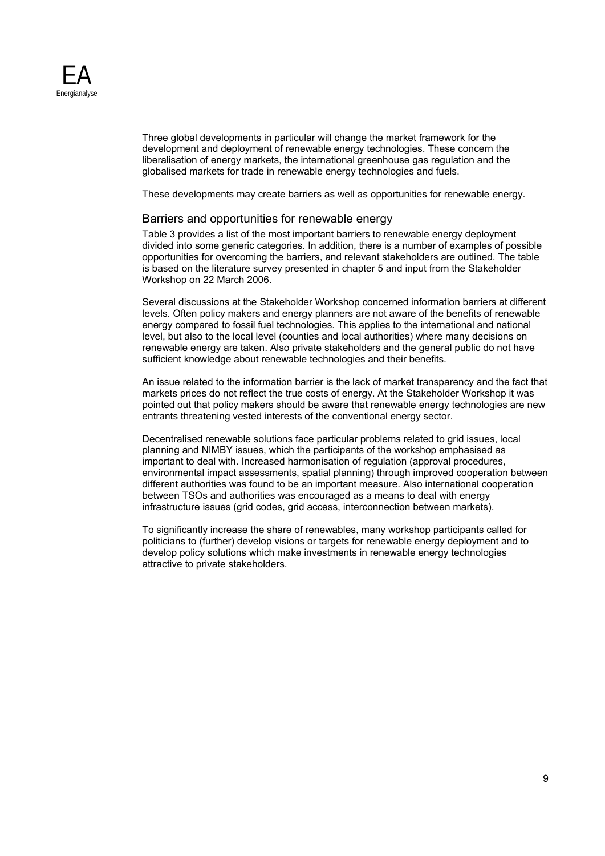Three global developments in particular will change the market framework for the development and deployment of renewable energy technologies. These concern the liberalisation of energy markets, the international greenhouse gas regulation and the globalised markets for trade in renewable energy technologies and fuels.

These developments may create barriers as well as opportunities for renewable energy.

#### Barriers and opportunities for renewable energy

Table 3 provides a list of the most important barriers to renewable energy deployment divided into some generic categories. In addition, there is a number of examples of possible opportunities for overcoming the barriers, and relevant stakeholders are outlined. The table is based on the literature survey presented in chapter 5 and input from the Stakeholder Workshop on 22 March 2006.

Several discussions at the Stakeholder Workshop concerned information barriers at different levels. Often policy makers and energy planners are not aware of the benefits of renewable energy compared to fossil fuel technologies. This applies to the international and national level, but also to the local level (counties and local authorities) where many decisions on renewable energy are taken. Also private stakeholders and the general public do not have sufficient knowledge about renewable technologies and their benefits.

An issue related to the information barrier is the lack of market transparency and the fact that markets prices do not reflect the true costs of energy. At the Stakeholder Workshop it was pointed out that policy makers should be aware that renewable energy technologies are new entrants threatening vested interests of the conventional energy sector.

Decentralised renewable solutions face particular problems related to grid issues, local planning and NIMBY issues, which the participants of the workshop emphasised as important to deal with. Increased harmonisation of regulation (approval procedures, environmental impact assessments, spatial planning) through improved cooperation between different authorities was found to be an important measure. Also international cooperation between TSOs and authorities was encouraged as a means to deal with energy infrastructure issues (grid codes, grid access, interconnection between markets).

To significantly increase the share of renewables, many workshop participants called for politicians to (further) develop visions or targets for renewable energy deployment and to develop policy solutions which make investments in renewable energy technologies attractive to private stakeholders.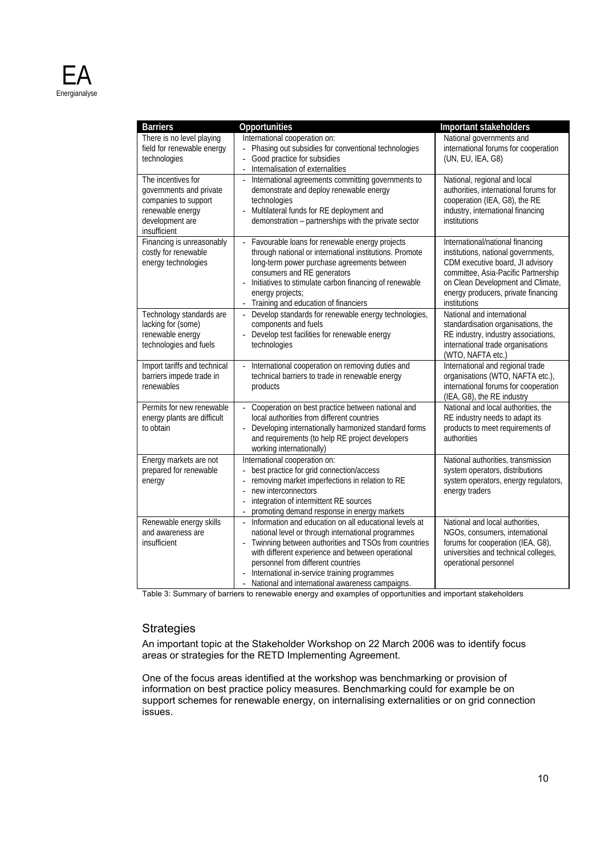| <b>Barriers</b>              | <b>Opportunities</b>                                                             | Important stakeholders                |
|------------------------------|----------------------------------------------------------------------------------|---------------------------------------|
| There is no level playing    | International cooperation on:                                                    | National governments and              |
| field for renewable energy   | Phasing out subsidies for conventional technologies                              | international forums for cooperation  |
| technologies                 | Good practice for subsidies<br>$\overline{a}$                                    | (UN, EU, IEA, G8)                     |
|                              | Internalisation of externalities                                                 |                                       |
| The incentives for           | International agreements committing governments to                               | National, regional and local          |
| governments and private      | demonstrate and deploy renewable energy                                          | authorities, international forums for |
| companies to support         | technologies                                                                     | cooperation (IEA, G8), the RE         |
| renewable energy             | Multilateral funds for RE deployment and<br>$\overline{a}$                       | industry, international financing     |
| development are              | demonstration - partnerships with the private sector                             | institutions                          |
| insufficient                 |                                                                                  |                                       |
| Financing is unreasonably    | Favourable loans for renewable energy projects                                   | International/national financing      |
| costly for renewable         | through national or international institutions. Promote                          | institutions, national governments,   |
| energy technologies          | long-term power purchase agreements between                                      | CDM executive board, JI advisory      |
|                              | consumers and RE generators                                                      | committee, Asia-Pacific Partnership   |
|                              | Initiatives to stimulate carbon financing of renewable                           | on Clean Development and Climate,     |
|                              | energy projects;                                                                 | energy producers, private financing   |
|                              | Training and education of financiers<br>$\overline{\phantom{a}}$                 | institutions                          |
| Technology standards are     | Develop standards for renewable energy technologies,<br>$\overline{\phantom{a}}$ | National and international            |
| lacking for (some)           | components and fuels                                                             | standardisation organisations, the    |
| renewable energy             | Develop test facilities for renewable energy<br>$\blacksquare$                   | RE industry, industry associations,   |
| technologies and fuels       | technologies                                                                     | international trade organisations     |
|                              |                                                                                  | (WTO, NAFTA etc.)                     |
| Import tariffs and technical | International cooperation on removing duties and<br>$\overline{a}$               | International and regional trade      |
| barriers impede trade in     | technical barriers to trade in renewable energy                                  | organisations (WTO, NAFTA etc.),      |
| renewables                   | products                                                                         | international forums for cooperation  |
|                              |                                                                                  | (IEA, G8), the RE industry            |
| Permits for new renewable    | Cooperation on best practice between national and<br>$\overline{a}$              | National and local authorities, the   |
| energy plants are difficult  | local authorities from different countries                                       | RE industry needs to adapt its        |
| to obtain                    | Developing internationally harmonized standard forms<br>$\blacksquare$           | products to meet requirements of      |
|                              | and requirements (to help RE project developers                                  | authorities                           |
|                              | working internationally)                                                         |                                       |
| Energy markets are not       | International cooperation on:                                                    | National authorities, transmission    |
| prepared for renewable       | best practice for grid connection/access                                         | system operators, distributions       |
| energy                       | removing market imperfections in relation to RE<br>÷,                            | system operators, energy regulators,  |
|                              | new interconnectors<br>Ξ                                                         | energy traders                        |
|                              | integration of intermittent RE sources                                           |                                       |
|                              | promoting demand response in energy markets<br>$\blacksquare$                    |                                       |
| Renewable energy skills      | Information and education on all educational levels at                           | National and local authorities,       |
| and awareness are            | national level or through international programmes                               | NGOs, consumers, international        |
| insufficient                 | Twinning between authorities and TSOs from countries<br>$\blacksquare$           | forums for cooperation (IEA, G8),     |
|                              | with different experience and between operational                                | universities and technical colleges,  |
|                              | personnel from different countries                                               | operational personnel                 |
|                              | - International in-service training programmes                                   |                                       |
|                              | National and international awareness campaigns.                                  |                                       |

Table 3: Summary of barriers to renewable energy and examples of opportunities and important stakeholders

## **Strategies**

An important topic at the Stakeholder Workshop on 22 March 2006 was to identify focus areas or strategies for the RETD Implementing Agreement.

One of the focus areas identified at the workshop was benchmarking or provision of information on best practice policy measures. Benchmarking could for example be on support schemes for renewable energy, on internalising externalities or on grid connection issues.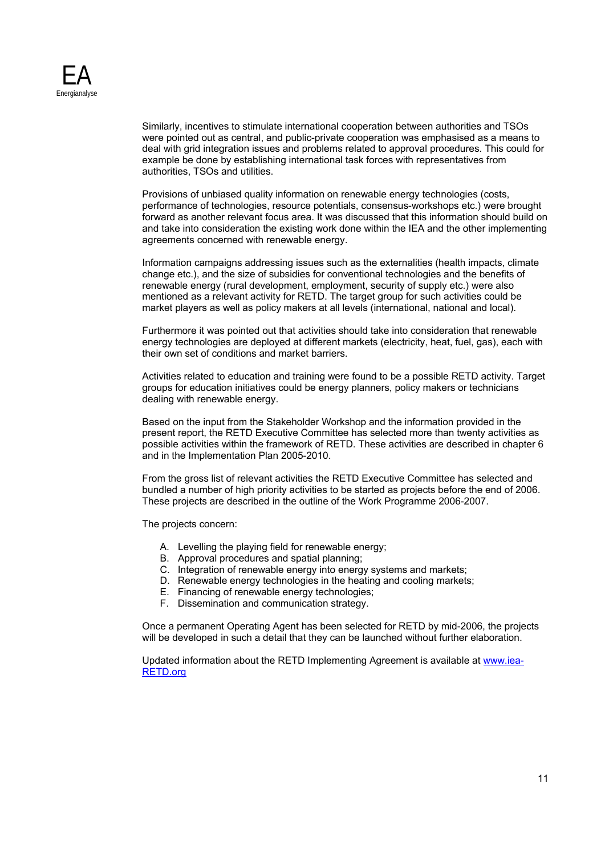Similarly, incentives to stimulate international cooperation between authorities and TSOs were pointed out as central, and public-private cooperation was emphasised as a means to deal with grid integration issues and problems related to approval procedures. This could for example be done by establishing international task forces with representatives from authorities, TSOs and utilities.

Provisions of unbiased quality information on renewable energy technologies (costs, performance of technologies, resource potentials, consensus-workshops etc.) were brought forward as another relevant focus area. It was discussed that this information should build on and take into consideration the existing work done within the IEA and the other implementing agreements concerned with renewable energy.

Information campaigns addressing issues such as the externalities (health impacts, climate change etc.), and the size of subsidies for conventional technologies and the benefits of renewable energy (rural development, employment, security of supply etc.) were also mentioned as a relevant activity for RETD. The target group for such activities could be market players as well as policy makers at all levels (international, national and local).

Furthermore it was pointed out that activities should take into consideration that renewable energy technologies are deployed at different markets (electricity, heat, fuel, gas), each with their own set of conditions and market barriers.

Activities related to education and training were found to be a possible RETD activity. Target groups for education initiatives could be energy planners, policy makers or technicians dealing with renewable energy.

Based on the input from the Stakeholder Workshop and the information provided in the present report, the RETD Executive Committee has selected more than twenty activities as possible activities within the framework of RETD. These activities are described in chapter 6 and in the Implementation Plan 2005-2010.

From the gross list of relevant activities the RETD Executive Committee has selected and bundled a number of high priority activities to be started as projects before the end of 2006. These projects are described in the outline of the Work Programme 2006-2007.

The projects concern:

- A. Levelling the playing field for renewable energy;
- B. Approval procedures and spatial planning;
- C. Integration of renewable energy into energy systems and markets;
- D. Renewable energy technologies in the heating and cooling markets;
- E. Financing of renewable energy technologies;
- F. Dissemination and communication strategy.

Once a permanent Operating Agent has been selected for RETD by mid-2006, the projects will be developed in such a detail that they can be launched without further elaboration.

Updated information about the RETD Implementing Agreement is available at www.iea-RETD.org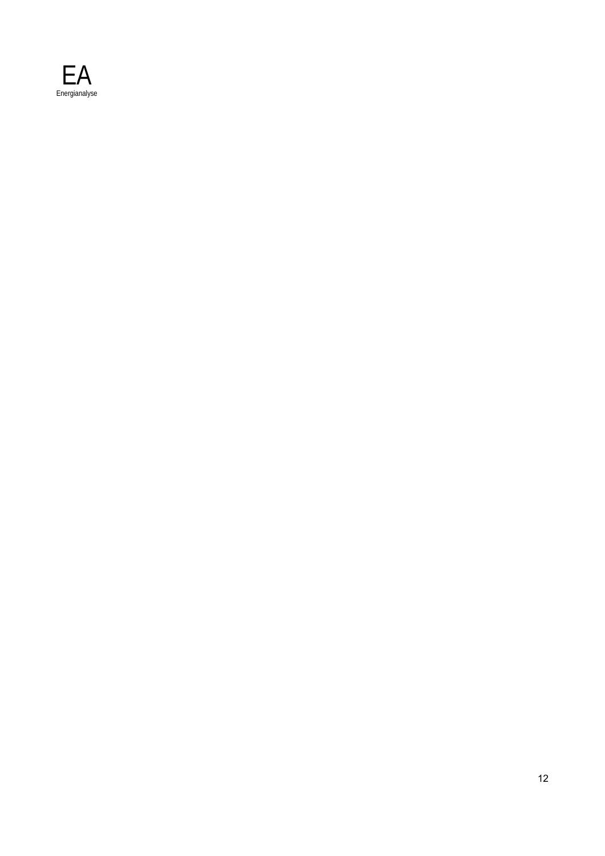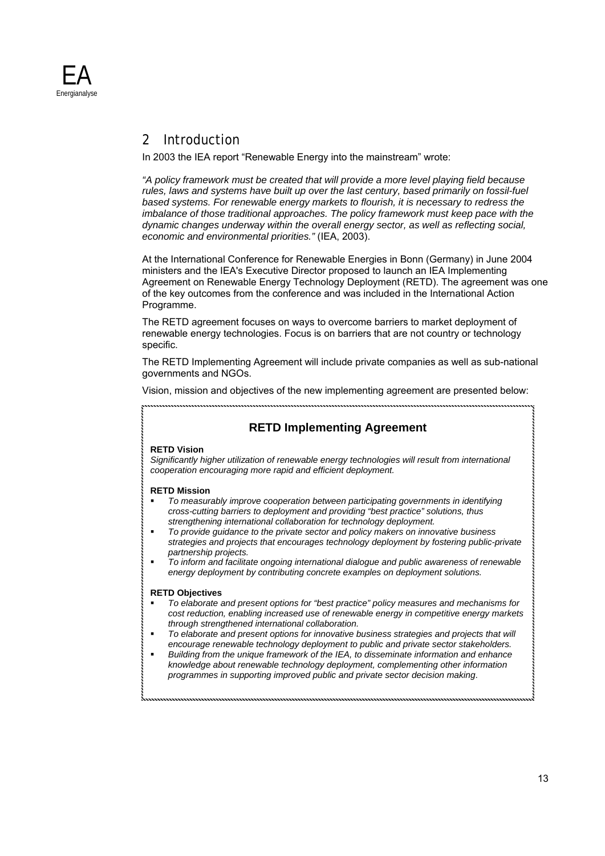## 2 Introduction

In 2003 the IEA report "Renewable Energy into the mainstream" wrote:

*"A policy framework must be created that will provide a more level playing field because rules, laws and systems have built up over the last century, based primarily on fossil-fuel based systems. For renewable energy markets to flourish, it is necessary to redress the imbalance of those traditional approaches. The policy framework must keep pace with the dynamic changes underway within the overall energy sector, as well as reflecting social, economic and environmental priorities."* (IEA, 2003).

At the International Conference for Renewable Energies in Bonn (Germany) in June 2004 ministers and the IEA's Executive Director proposed to launch an IEA Implementing Agreement on Renewable Energy Technology Deployment (RETD). The agreement was one of the key outcomes from the conference and was included in the International Action Programme.

The RETD agreement focuses on ways to overcome barriers to market deployment of renewable energy technologies. Focus is on barriers that are not country or technology specific.

The RETD Implementing Agreement will include private companies as well as sub-national governments and NGOs.

Vision, mission and objectives of the new implementing agreement are presented below:

## **RETD Implementing Agreement**

#### **RETD Vision**

*Significantly higher utilization of renewable energy technologies will result from international cooperation encouraging more rapid and efficient deployment.* 

#### **RETD Mission**

- *To measurably improve cooperation between participating governments in identifying cross-cutting barriers to deployment and providing "best practice" solutions, thus strengthening international collaboration for technology deployment.*
- *To provide guidance to the private sector and policy makers on innovative business strategies and projects that encourages technology deployment by fostering public-private partnership projects.*
- *To inform and facilitate ongoing international dialogue and public awareness of renewable energy deployment by contributing concrete examples on deployment solutions.*

#### **RETD Objectives**

- *To elaborate and present options for "best practice" policy measures and mechanisms for cost reduction, enabling increased use of renewable energy in competitive energy markets through strengthened international collaboration.*
- *To elaborate and present options for innovative business strategies and projects that will encourage renewable technology deployment to public and private sector stakeholders.*
- *Building from the unique framework of the IEA, to disseminate information and enhance knowledge about renewable technology deployment, complementing other information programmes in supporting improved public and private sector decision making*.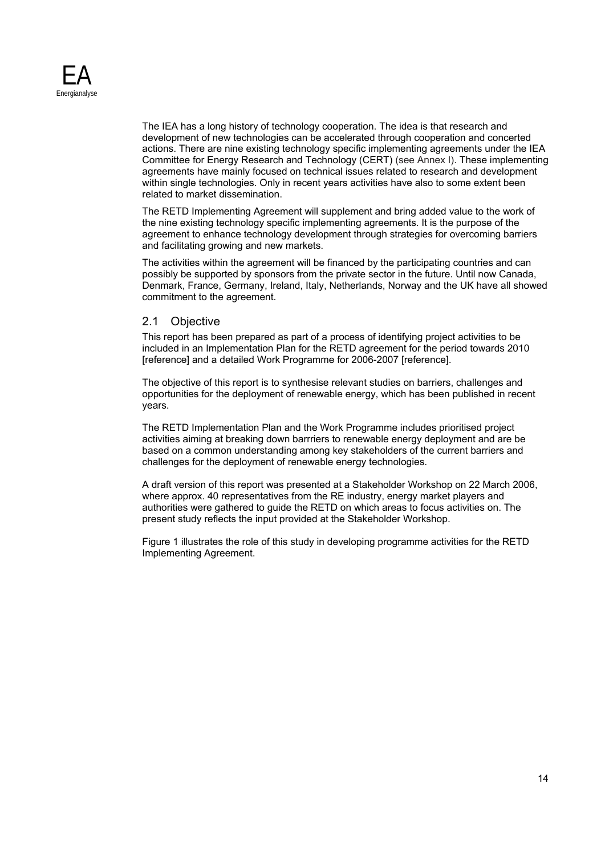The IEA has a long history of technology cooperation. The idea is that research and development of new technologies can be accelerated through cooperation and concerted actions. There are nine existing technology specific implementing agreements under the IEA Committee for Energy Research and Technology (CERT) (see Annex I). These implementing agreements have mainly focused on technical issues related to research and development within single technologies. Only in recent years activities have also to some extent been related to market dissemination.

The RETD Implementing Agreement will supplement and bring added value to the work of the nine existing technology specific implementing agreements. It is the purpose of the agreement to enhance technology development through strategies for overcoming barriers and facilitating growing and new markets.

The activities within the agreement will be financed by the participating countries and can possibly be supported by sponsors from the private sector in the future. Until now Canada, Denmark, France, Germany, Ireland, Italy, Netherlands, Norway and the UK have all showed commitment to the agreement.

#### 2.1 Objective

This report has been prepared as part of a process of identifying project activities to be included in an Implementation Plan for the RETD agreement for the period towards 2010 [reference] and a detailed Work Programme for 2006-2007 [reference].

The objective of this report is to synthesise relevant studies on barriers, challenges and opportunities for the deployment of renewable energy, which has been published in recent years.

The RETD Implementation Plan and the Work Programme includes prioritised project activities aiming at breaking down barrriers to renewable energy deployment and are be based on a common understanding among key stakeholders of the current barriers and challenges for the deployment of renewable energy technologies.

A draft version of this report was presented at a Stakeholder Workshop on 22 March 2006, where approx. 40 representatives from the RE industry, energy market players and authorities were gathered to guide the RETD on which areas to focus activities on. The present study reflects the input provided at the Stakeholder Workshop.

Figure 1 illustrates the role of this study in developing programme activities for the RETD Implementing Agreement.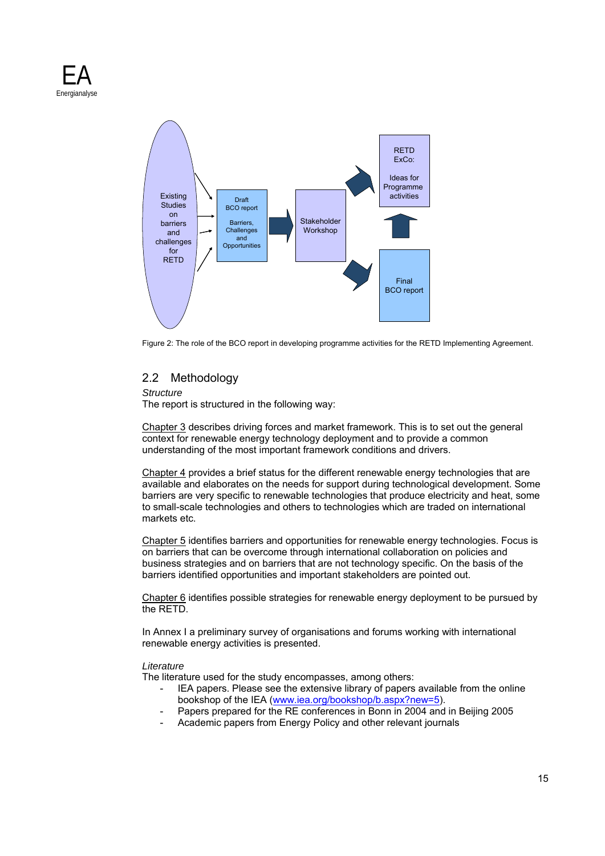

Figure 2: The role of the BCO report in developing programme activities for the RETD Implementing Agreement.

## 2.2 Methodology

*Structure*  The report is structured in the following way:

Chapter 3 describes driving forces and market framework. This is to set out the general context for renewable energy technology deployment and to provide a common understanding of the most important framework conditions and drivers.

Chapter 4 provides a brief status for the different renewable energy technologies that are available and elaborates on the needs for support during technological development. Some barriers are very specific to renewable technologies that produce electricity and heat, some to small-scale technologies and others to technologies which are traded on international markets etc.

Chapter 5 identifies barriers and opportunities for renewable energy technologies. Focus is on barriers that can be overcome through international collaboration on policies and business strategies and on barriers that are not technology specific. On the basis of the barriers identified opportunities and important stakeholders are pointed out.

Chapter 6 identifies possible strategies for renewable energy deployment to be pursued by the RETD.

In Annex I a preliminary survey of organisations and forums working with international renewable energy activities is presented.

#### *Literature*

The literature used for the study encompasses, among others:

- IEA papers. Please see the extensive library of papers available from the online bookshop of the IEA (www.iea.org/bookshop/b.aspx?new=5).
- Papers prepared for the RE conferences in Bonn in 2004 and in Beijing 2005
- Academic papers from Energy Policy and other relevant journals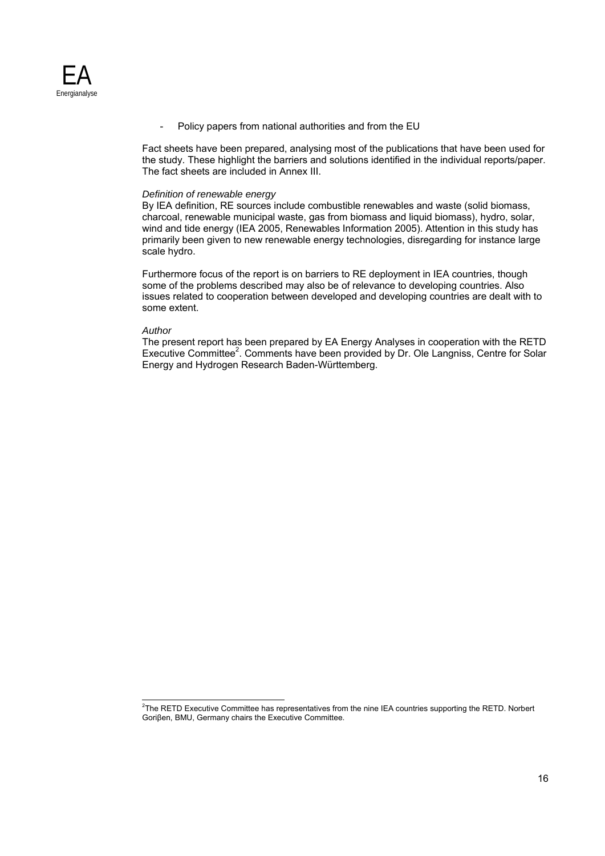Policy papers from national authorities and from the EU

Fact sheets have been prepared, analysing most of the publications that have been used for the study. These highlight the barriers and solutions identified in the individual reports/paper. The fact sheets are included in Annex III.

#### *Definition of renewable energy*

By IEA definition, RE sources include combustible renewables and waste (solid biomass, charcoal, renewable municipal waste, gas from biomass and liquid biomass), hydro, solar, wind and tide energy (IEA 2005, Renewables Information 2005). Attention in this study has primarily been given to new renewable energy technologies, disregarding for instance large scale hydro.

Furthermore focus of the report is on barriers to RE deployment in IEA countries, though some of the problems described may also be of relevance to developing countries. Also issues related to cooperation between developed and developing countries are dealt with to some extent.

#### *Author*

The present report has been prepared by EA Energy Analyses in cooperation with the RETD Executive Committee<sup>2</sup>. Comments have been provided by Dr. Ole Langniss, Centre for Solar Energy and Hydrogen Research Baden-Württemberg.

 2 The RETD Executive Committee has representatives from the nine IEA countries supporting the RETD. Norbert Goriβen, BMU, Germany chairs the Executive Committee.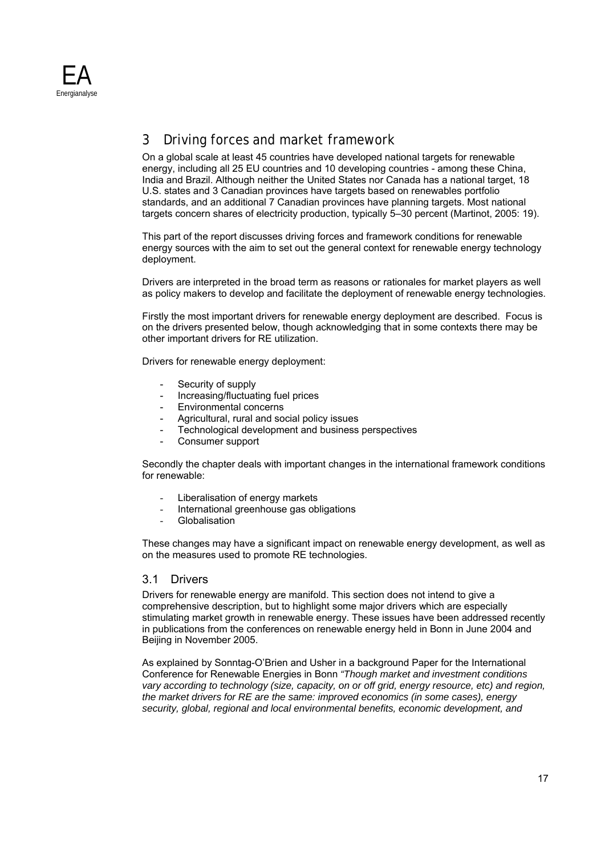## 3 Driving forces and market framework

On a global scale at least 45 countries have developed national targets for renewable energy, including all 25 EU countries and 10 developing countries - among these China, India and Brazil. Although neither the United States nor Canada has a national target, 18 U.S. states and 3 Canadian provinces have targets based on renewables portfolio standards, and an additional 7 Canadian provinces have planning targets. Most national targets concern shares of electricity production, typically 5–30 percent (Martinot, 2005: 19).

This part of the report discusses driving forces and framework conditions for renewable energy sources with the aim to set out the general context for renewable energy technology deployment.

Drivers are interpreted in the broad term as reasons or rationales for market players as well as policy makers to develop and facilitate the deployment of renewable energy technologies.

Firstly the most important drivers for renewable energy deployment are described. Focus is on the drivers presented below, though acknowledging that in some contexts there may be other important drivers for RE utilization.

Drivers for renewable energy deployment:

- Security of supply
- Increasing/fluctuating fuel prices
- Environmental concerns
- Agricultural, rural and social policy issues
- Technological development and business perspectives
- Consumer support

Secondly the chapter deals with important changes in the international framework conditions for renewable:

- Liberalisation of energy markets
- International greenhouse gas obligations
- **Globalisation**

These changes may have a significant impact on renewable energy development, as well as on the measures used to promote RE technologies.

#### 3.1 Drivers

Drivers for renewable energy are manifold. This section does not intend to give a comprehensive description, but to highlight some major drivers which are especially stimulating market growth in renewable energy. These issues have been addressed recently in publications from the conferences on renewable energy held in Bonn in June 2004 and Beijing in November 2005.

As explained by Sonntag-O'Brien and Usher in a background Paper for the International Conference for Renewable Energies in Bonn *"Though market and investment conditions vary according to technology (size, capacity, on or off grid, energy resource, etc) and region, the market drivers for RE are the same: improved economics (in some cases), energy security, global, regional and local environmental benefits, economic development, and*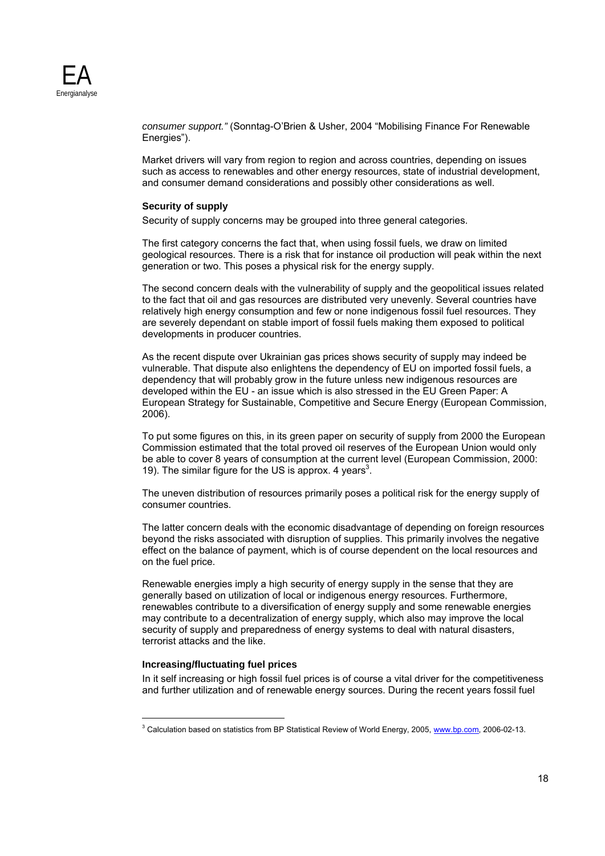*consumer support."* (Sonntag-O'Brien & Usher, 2004 "Mobilising Finance For Renewable Energies").

Market drivers will vary from region to region and across countries, depending on issues such as access to renewables and other energy resources, state of industrial development, and consumer demand considerations and possibly other considerations as well.

#### **Security of supply**

Security of supply concerns may be grouped into three general categories.

The first category concerns the fact that, when using fossil fuels, we draw on limited geological resources. There is a risk that for instance oil production will peak within the next generation or two. This poses a physical risk for the energy supply.

The second concern deals with the vulnerability of supply and the geopolitical issues related to the fact that oil and gas resources are distributed very unevenly. Several countries have relatively high energy consumption and few or none indigenous fossil fuel resources. They are severely dependant on stable import of fossil fuels making them exposed to political developments in producer countries.

As the recent dispute over Ukrainian gas prices shows security of supply may indeed be vulnerable. That dispute also enlightens the dependency of EU on imported fossil fuels, a dependency that will probably grow in the future unless new indigenous resources are developed within the EU - an issue which is also stressed in the EU Green Paper: A European Strategy for Sustainable, Competitive and Secure Energy (European Commission, 2006).

To put some figures on this, in its green paper on security of supply from 2000 the European Commission estimated that the total proved oil reserves of the European Union would only be able to cover 8 years of consumption at the current level (European Commission, 2000: 19). The similar figure for the US is approx. 4 years<sup>3</sup>.

The uneven distribution of resources primarily poses a political risk for the energy supply of consumer countries.

The latter concern deals with the economic disadvantage of depending on foreign resources beyond the risks associated with disruption of supplies. This primarily involves the negative effect on the balance of payment, which is of course dependent on the local resources and on the fuel price.

Renewable energies imply a high security of energy supply in the sense that they are generally based on utilization of local or indigenous energy resources. Furthermore, renewables contribute to a diversification of energy supply and some renewable energies may contribute to a decentralization of energy supply, which also may improve the local security of supply and preparedness of energy systems to deal with natural disasters, terrorist attacks and the like.

#### **Increasing/fluctuating fuel prices**

l

In it self increasing or high fossil fuel prices is of course a vital driver for the competitiveness and further utilization and of renewable energy sources. During the recent years fossil fuel

<sup>&</sup>lt;sup>3</sup> Calculation based on statistics from BP Statistical Review of World Energy, 2005, www.bp.com, 2006-02-13.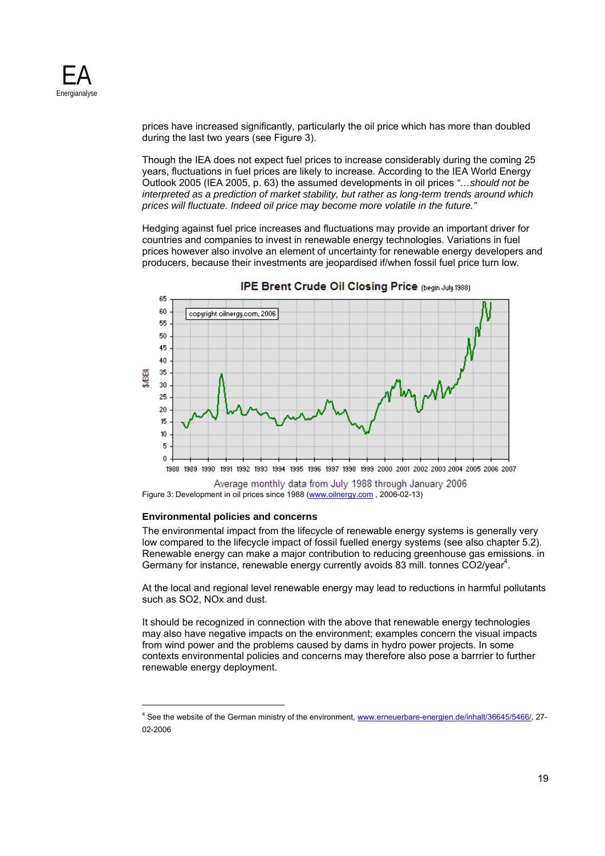prices have increased significantly, particularly the oil price which has more than doubled during the last two years (see Figure 3).

Though the IEA does not expect fuel prices to increase considerably during the coming 25 years, fluctuations in fuel prices are likely to increase. According to the IEA World Energy Outlook 2005 (IEA 2005, p. 63) the assumed developments in oil prices *"…should not be interpreted as a prediction of market stability, but rather as long-term trends around which prices will fluctuate. Indeed oil price may become more volatile in the future."*

Hedging against fuel price increases and fluctuations may provide an important driver for countries and companies to invest in renewable energy technologies. Variations in fuel prices however also involve an element of uncertainty for renewable energy developers and producers, because their investments are jeopardised if/when fossil fuel price turn low.



**IPE Brent Crude Oil Closing Price (begin July 1988)** 

**Environmental policies and concerns** 

l

The environmental impact from the lifecycle of renewable energy systems is generally very low compared to the lifecycle impact of fossil fuelled energy systems (see also chapter 5.2). Renewable energy can make a major contribution to reducing greenhouse gas emissions. in Germany for instance, renewable energy currently avoids 83 mill. tonnes  $CO2$ /year<sup>4</sup>.

At the local and regional level renewable energy may lead to reductions in harmful pollutants such as SO2, NOx and dust.

It should be recognized in connection with the above that renewable energy technologies may also have negative impacts on the environment; examples concern the visual impacts from wind power and the problems caused by dams in hydro power projects. In some contexts environmental policies and concerns may therefore also pose a barrrier to further renewable energy deployment.

<sup>&</sup>lt;sup>4</sup> See the website of the German ministry of the environment, www.erneuerbare-energien.de/inhalt/36645/5466/, 27-02-2006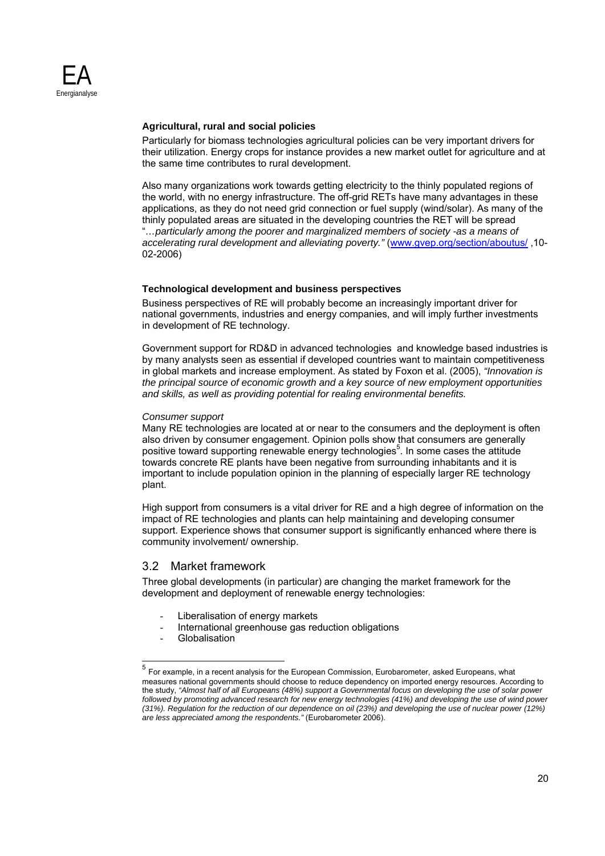#### **Agricultural, rural and social policies**

Particularly for biomass technologies agricultural policies can be very important drivers for their utilization. Energy crops for instance provides a new market outlet for agriculture and at the same time contributes to rural development.

Also many organizations work towards getting electricity to the thinly populated regions of the world, with no energy infrastructure. The off-grid RETs have many advantages in these applications, as they do not need grid connection or fuel supply (wind/solar). As many of the thinly populated areas are situated in the developing countries the RET will be spread "*…particularly among the poorer and marginalized members of society -as a means of accelerating rural development and alleviating poverty."* (www.gvep.org/section/aboutus/ ,10- 02-2006)

#### **Technological development and business perspectives**

Business perspectives of RE will probably become an increasingly important driver for national governments, industries and energy companies, and will imply further investments in development of RE technology.

Government support for RD&D in advanced technologies and knowledge based industries is by many analysts seen as essential if developed countries want to maintain competitiveness in global markets and increase employment. As stated by Foxon et al. (2005), *"Innovation is the principal source of economic growth and a key source of new employment opportunities and skills, as well as providing potential for realing environmental benefits.*

#### *Consumer support*

Many RE technologies are located at or near to the consumers and the deployment is often also driven by consumer engagement. Opinion polls show that consumers are generally positive toward supporting renewable energy technologies<sup>5</sup>. In some cases the attitude towards concrete RE plants have been negative from surrounding inhabitants and it is important to include population opinion in the planning of especially larger RE technology plant.

High support from consumers is a vital driver for RE and a high degree of information on the impact of RE technologies and plants can help maintaining and developing consumer support. Experience shows that consumer support is significantly enhanced where there is community involvement/ ownership.

#### 3.2 Market framework

Three global developments (in particular) are changing the market framework for the development and deployment of renewable energy technologies:

- Liberalisation of energy markets
- International greenhouse gas reduction obligations
- **Globalisation**

l

 $<sup>5</sup>$  For example, in a recent analysis for the European Commission, Eurobarometer, asked Europeans, what</sup> measures national governments should choose to reduce dependency on imported energy resources. According to the study, *"Almost half of all Europeans (48%) support a Governmental focus on developing the use of solar power followed by promoting advanced research for new energy technologies (41%) and developing the use of wind power (31%). Regulation for the reduction of our dependence on oil (23%) and developing the use of nuclear power (12%) are less appreciated among the respondents."* (Eurobarometer 2006).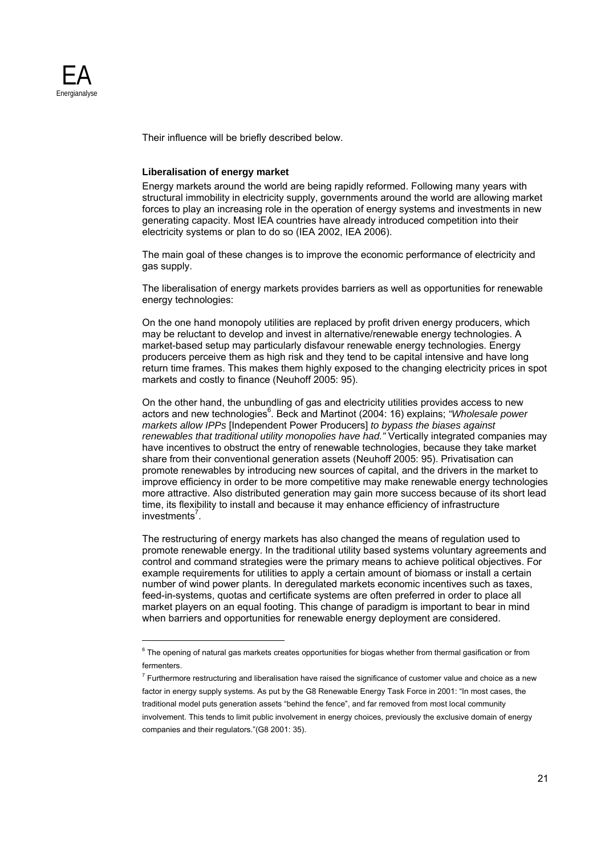Their influence will be briefly described below.

#### **Liberalisation of energy market**

l

Energy markets around the world are being rapidly reformed. Following many years with structural immobility in electricity supply, governments around the world are allowing market forces to play an increasing role in the operation of energy systems and investments in new generating capacity. Most IEA countries have already introduced competition into their electricity systems or plan to do so (IEA 2002, IEA 2006).

The main goal of these changes is to improve the economic performance of electricity and gas supply.

The liberalisation of energy markets provides barriers as well as opportunities for renewable energy technologies:

On the one hand monopoly utilities are replaced by profit driven energy producers, which may be reluctant to develop and invest in alternative/renewable energy technologies. A market-based setup may particularly disfavour renewable energy technologies. Energy producers perceive them as high risk and they tend to be capital intensive and have long return time frames. This makes them highly exposed to the changing electricity prices in spot markets and costly to finance (Neuhoff 2005: 95).

On the other hand, the unbundling of gas and electricity utilities provides access to new actors and new technologies<sup>6</sup>. Beck and Martinot (2004: 16) explains; *"Wholesale power markets allow IPPs* [Independent Power Producers] *to bypass the biases against renewables that traditional utility monopolies have had."* Vertically integrated companies may have incentives to obstruct the entry of renewable technologies, because they take market share from their conventional generation assets (Neuhoff 2005: 95). Privatisation can promote renewables by introducing new sources of capital, and the drivers in the market to improve efficiency in order to be more competitive may make renewable energy technologies more attractive. Also distributed generation may gain more success because of its short lead time, its flexibility to install and because it may enhance efficiency of infrastructure investments<sup>7</sup>.

The restructuring of energy markets has also changed the means of regulation used to promote renewable energy. In the traditional utility based systems voluntary agreements and control and command strategies were the primary means to achieve political objectives. For example requirements for utilities to apply a certain amount of biomass or install a certain number of wind power plants. In deregulated markets economic incentives such as taxes, feed-in-systems, quotas and certificate systems are often preferred in order to place all market players on an equal footing. This change of paradigm is important to bear in mind when barriers and opportunities for renewable energy deployment are considered.

 $6$  The opening of natural gas markets creates opportunities for biogas whether from thermal gasification or from fermenters.

<sup>&</sup>lt;sup>7</sup> Furthermore restructuring and liberalisation have raised the significance of customer value and choice as a new factor in energy supply systems. As put by the G8 Renewable Energy Task Force in 2001: "In most cases, the traditional model puts generation assets "behind the fence", and far removed from most local community involvement. This tends to limit public involvement in energy choices, previously the exclusive domain of energy companies and their regulators."(G8 2001: 35).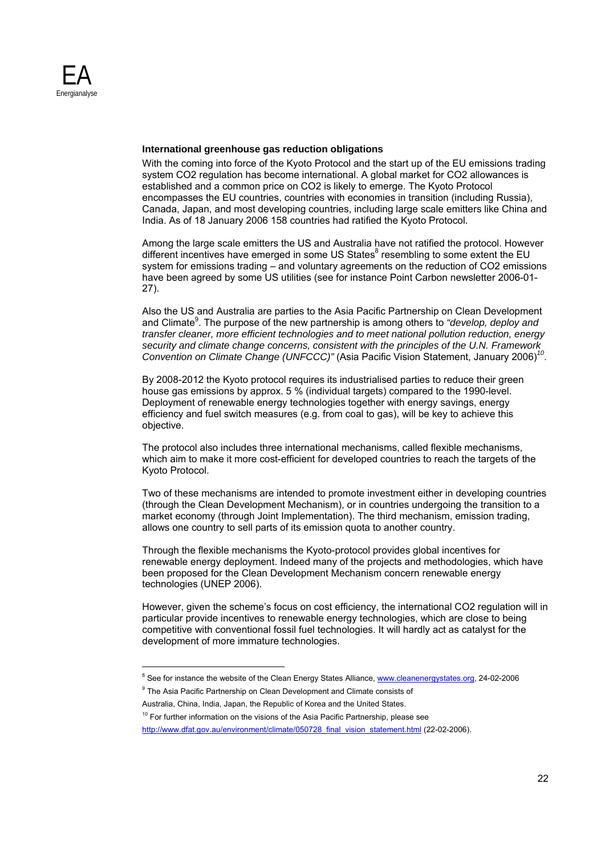#### **International greenhouse gas reduction obligations**

With the coming into force of the Kyoto Protocol and the start up of the EU emissions trading system CO2 regulation has become international. A global market for CO2 allowances is established and a common price on CO2 is likely to emerge. The Kyoto Protocol encompasses the EU countries, countries with economies in transition (including Russia), Canada, Japan, and most developing countries, including large scale emitters like China and India. As of 18 January 2006 158 countries had ratified the Kyoto Protocol.

Among the large scale emitters the US and Australia have not ratified the protocol. However different incentives have emerged in some US States $^8$  resembling to some extent the EU system for emissions trading – and voluntary agreements on the reduction of CO2 emissions have been agreed by some US utilities (see for instance Point Carbon newsletter 2006-01- 27).

Also the US and Australia are parties to the Asia Pacific Partnership on Clean Development and Climate<sup>9</sup>. The purpose of the new partnership is among others to *"develop, deploy and transfer cleaner, more efficient technologies and to meet national pollution reduction, energy security and climate change concerns, consistent with the principles of the U.N. Framework Convention on Climate Change (UNFCCC)"* (Asia Pacific Vision Statement, January 2006)*<sup>10</sup>*.

By 2008-2012 the Kyoto protocol requires its industrialised parties to reduce their green house gas emissions by approx. 5 % (individual targets) compared to the 1990-level. Deployment of renewable energy technologies together with energy savings, energy efficiency and fuel switch measures (e.g. from coal to gas), will be key to achieve this objective.

The protocol also includes three international mechanisms, called flexible mechanisms, which aim to make it more cost-efficient for developed countries to reach the targets of the Kyoto Protocol.

Two of these mechanisms are intended to promote investment either in developing countries (through the Clean Development Mechanism), or in countries undergoing the transition to a market economy (through Joint Implementation). The third mechanism, emission trading, allows one country to sell parts of its emission quota to another country.

Through the flexible mechanisms the Kyoto-protocol provides global incentives for renewable energy deployment. Indeed many of the projects and methodologies, which have been proposed for the Clean Development Mechanism concern renewable energy technologies (UNEP 2006).

However, given the scheme's focus on cost efficiency, the international CO2 regulation will in particular provide incentives to renewable energy technologies, which are close to being competitive with conventional fossil fuel technologies. It will hardly act as catalyst for the development of more immature technologies.

l

<sup>&</sup>lt;sup>8</sup> See for instance the website of the Clean Energy States Alliance, www.cleanenergystates.org, 24-02-2006

<sup>&</sup>lt;sup>9</sup> The Asia Pacific Partnership on Clean Development and Climate consists of Australia, China, India, Japan, the Republic of Korea and the United States.

 $10$  For further information on the visions of the Asia Pacific Partnership, please see

http://www.dfat.gov.au/environment/climate/050728\_final\_vision\_statement.html (22-02-2006).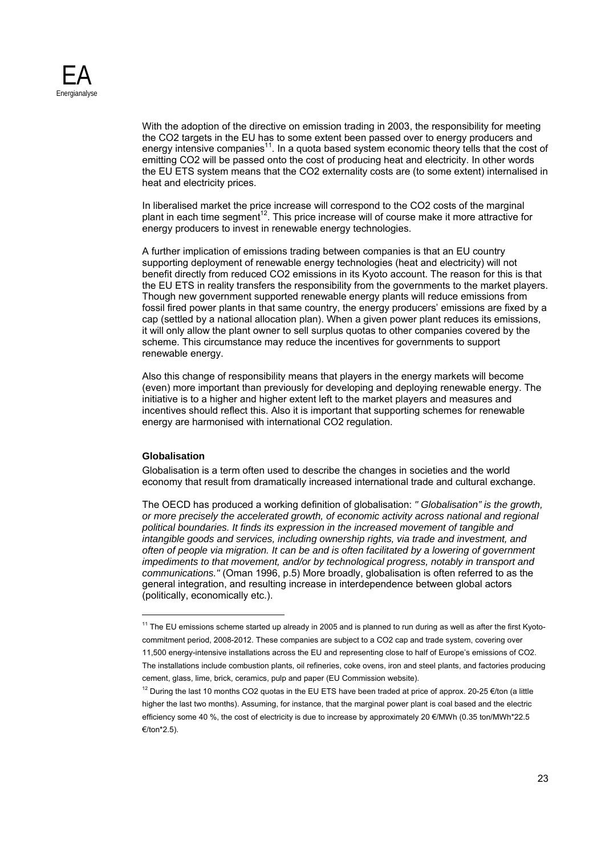With the adoption of the directive on emission trading in 2003, the responsibility for meeting the CO2 targets in the EU has to some extent been passed over to energy producers and energy intensive companies<sup>11</sup>. In a quota based system economic theory tells that the cost of emitting CO2 will be passed onto the cost of producing heat and electricity. In other words the EU ETS system means that the CO2 externality costs are (to some extent) internalised in heat and electricity prices.

In liberalised market the price increase will correspond to the CO2 costs of the marginal plant in each time segment<sup>12</sup>. This price increase will of course make it more attractive for energy producers to invest in renewable energy technologies.

A further implication of emissions trading between companies is that an EU country supporting deployment of renewable energy technologies (heat and electricity) will not benefit directly from reduced CO2 emissions in its Kyoto account. The reason for this is that the EU ETS in reality transfers the responsibility from the governments to the market players. Though new government supported renewable energy plants will reduce emissions from fossil fired power plants in that same country, the energy producers' emissions are fixed by a cap (settled by a national allocation plan). When a given power plant reduces its emissions, it will only allow the plant owner to sell surplus quotas to other companies covered by the scheme. This circumstance may reduce the incentives for governments to support renewable energy.

Also this change of responsibility means that players in the energy markets will become (even) more important than previously for developing and deploying renewable energy. The initiative is to a higher and higher extent left to the market players and measures and incentives should reflect this. Also it is important that supporting schemes for renewable energy are harmonised with international CO2 regulation.

#### **Globalisation**

l

Globalisation is a term often used to describe the changes in societies and the world economy that result from dramatically increased international trade and cultural exchange.

The OECD has produced a working definition of globalisation: *" Globalisation" is the growth, or more precisely the accelerated growth, of economic activity across national and regional political boundaries. It finds its expression in the increased movement of tangible and intangible goods and services, including ownership rights, via trade and investment, and often of people via migration. It can be and is often facilitated by a lowering of government impediments to that movement, and/or by technological progress, notably in transport and communications."* (Oman 1996, p.5) More broadly, globalisation is often referred to as the general integration, and resulting increase in interdependence between global actors (politically, economically etc.).

 $11$  The EU emissions scheme started up already in 2005 and is planned to run during as well as after the first Kyotocommitment period, 2008-2012. These companies are subject to a CO2 cap and trade system, covering over 11,500 energy-intensive installations across the EU and representing close to half of Europe's emissions of CO2. The installations include combustion plants, oil refineries, coke ovens, iron and steel plants, and factories producing cement, glass, lime, brick, ceramics, pulp and paper (EU Commission website).

 $12$  During the last 10 months CO2 quotas in the EU ETS have been traded at price of approx. 20-25 €/ton (a little higher the last two months). Assuming, for instance, that the marginal power plant is coal based and the electric efficiency some 40 %, the cost of electricity is due to increase by approximately 20 €/MWh (0.35 ton/MWh\*22.5 €/ton\*2.5).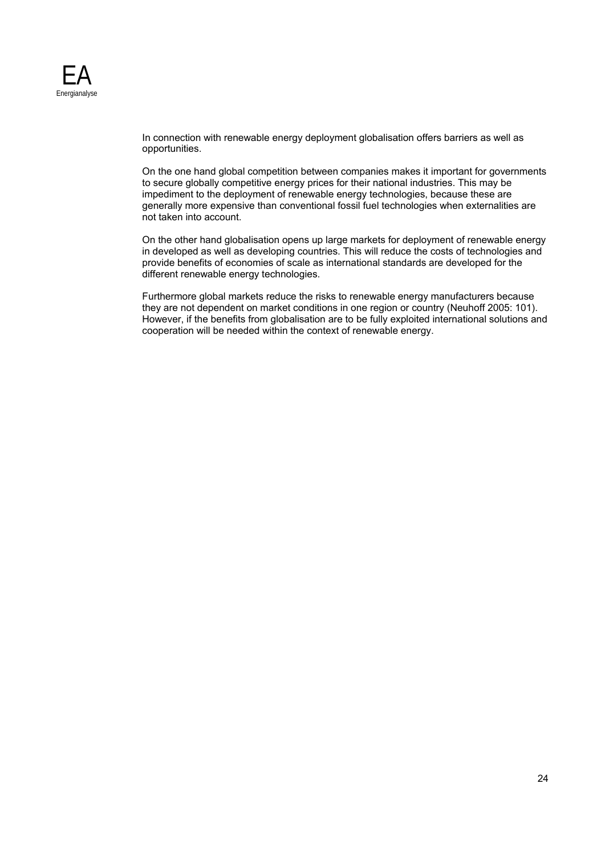In connection with renewable energy deployment globalisation offers barriers as well as opportunities.

On the one hand global competition between companies makes it important for governments to secure globally competitive energy prices for their national industries. This may be impediment to the deployment of renewable energy technologies, because these are generally more expensive than conventional fossil fuel technologies when externalities are not taken into account.

On the other hand globalisation opens up large markets for deployment of renewable energy in developed as well as developing countries. This will reduce the costs of technologies and provide benefits of economies of scale as international standards are developed for the different renewable energy technologies.

Furthermore global markets reduce the risks to renewable energy manufacturers because they are not dependent on market conditions in one region or country (Neuhoff 2005: 101). However, if the benefits from globalisation are to be fully exploited international solutions and cooperation will be needed within the context of renewable energy.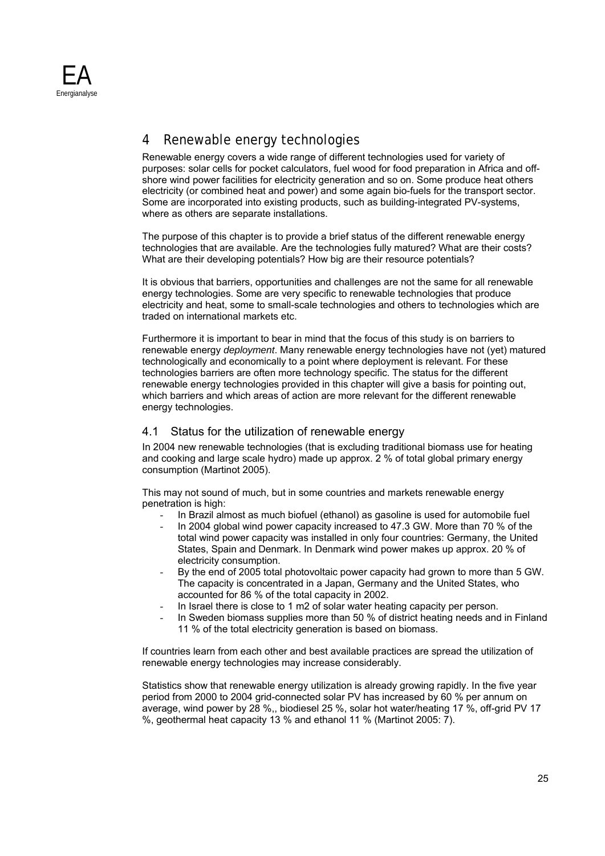## 4 Renewable energy technologies

Renewable energy covers a wide range of different technologies used for variety of purposes: solar cells for pocket calculators, fuel wood for food preparation in Africa and offshore wind power facilities for electricity generation and so on. Some produce heat others electricity (or combined heat and power) and some again bio-fuels for the transport sector. Some are incorporated into existing products, such as building-integrated PV-systems, where as others are separate installations.

The purpose of this chapter is to provide a brief status of the different renewable energy technologies that are available. Are the technologies fully matured? What are their costs? What are their developing potentials? How big are their resource potentials?

It is obvious that barriers, opportunities and challenges are not the same for all renewable energy technologies. Some are very specific to renewable technologies that produce electricity and heat, some to small-scale technologies and others to technologies which are traded on international markets etc.

Furthermore it is important to bear in mind that the focus of this study is on barriers to renewable energy *deployment*. Many renewable energy technologies have not (yet) matured technologically and economically to a point where deployment is relevant. For these technologies barriers are often more technology specific. The status for the different renewable energy technologies provided in this chapter will give a basis for pointing out, which barriers and which areas of action are more relevant for the different renewable energy technologies.

## 4.1 Status for the utilization of renewable energy

In 2004 new renewable technologies (that is excluding traditional biomass use for heating and cooking and large scale hydro) made up approx. 2 % of total global primary energy consumption (Martinot 2005).

This may not sound of much, but in some countries and markets renewable energy penetration is high:

- In Brazil almost as much biofuel (ethanol) as gasoline is used for automobile fuel
- In 2004 global wind power capacity increased to 47.3 GW. More than 70 % of the total wind power capacity was installed in only four countries: Germany, the United States, Spain and Denmark. In Denmark wind power makes up approx. 20 % of electricity consumption.
- By the end of 2005 total photovoltaic power capacity had grown to more than 5 GW. The capacity is concentrated in a Japan, Germany and the United States, who accounted for 86 % of the total capacity in 2002.
- In Israel there is close to 1 m2 of solar water heating capacity per person.
- In Sweden biomass supplies more than 50 % of district heating needs and in Finland 11 % of the total electricity generation is based on biomass.

If countries learn from each other and best available practices are spread the utilization of renewable energy technologies may increase considerably.

Statistics show that renewable energy utilization is already growing rapidly. In the five year period from 2000 to 2004 grid-connected solar PV has increased by 60 % per annum on average, wind power by 28 %,, biodiesel 25 %, solar hot water/heating 17 %, off-grid PV 17 %, geothermal heat capacity 13 % and ethanol 11 % (Martinot 2005: 7).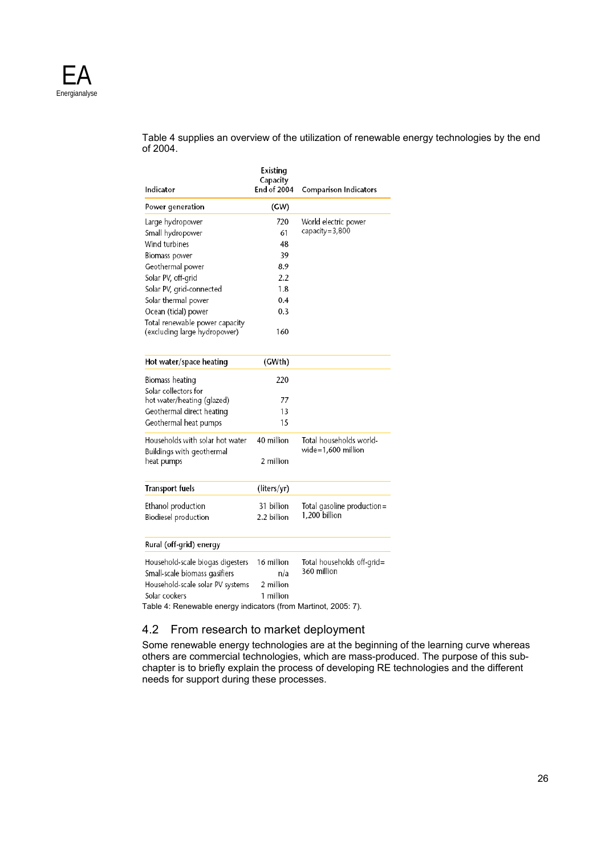Table 4 supplies an overview of the utilization of renewable energy technologies by the end of 2004.

| Indicator                                                                                                              | Existing<br>Capacity<br>End of 2004         | <b>Comparison Indicators</b>                  |
|------------------------------------------------------------------------------------------------------------------------|---------------------------------------------|-----------------------------------------------|
| Power generation                                                                                                       | (GW)                                        |                                               |
| Large hydropower                                                                                                       | 720                                         | World electric power                          |
| Small hydropower                                                                                                       | 61                                          | capacity= $3,800$                             |
| Wind turbines                                                                                                          | 48                                          |                                               |
| Biomass power                                                                                                          | 39                                          |                                               |
| Geothermal power                                                                                                       | 8.9                                         |                                               |
| Solar PV, off-grid                                                                                                     | 2.2                                         |                                               |
| Solar PV, grid-connected                                                                                               | 1.8                                         |                                               |
| Solar thermal power                                                                                                    | 0.4                                         |                                               |
| Ocean (tidal) power                                                                                                    | 0.3                                         |                                               |
| Total renewable power capacity<br>(excluding large hydropower)                                                         | 160                                         |                                               |
| Hot water/space heating                                                                                                | (GWth)                                      |                                               |
| Biomass heating                                                                                                        | 220                                         |                                               |
| Solar collectors for                                                                                                   |                                             |                                               |
| hot water/heating (glazed)                                                                                             | 77                                          |                                               |
| Geothermal direct heating                                                                                              | 13                                          |                                               |
| Geothermal heat pumps                                                                                                  | 15                                          |                                               |
| Households with solar hot water<br>Buildings with geothermal                                                           | 40 million                                  | Total households world-<br>wide=1,600 million |
| heat pumps                                                                                                             | 2 million                                   |                                               |
| <b>Transport fuels</b>                                                                                                 | (liters/yr)                                 |                                               |
| Ethanol production<br>Biodiesel production                                                                             | 31 billion<br>2.2 billion                   | Total gasoline production=<br>1,200 billion   |
| Rural (off-grid) energy                                                                                                |                                             |                                               |
| Household-scale biogas digesters<br>Small-scale biomass gasifiers<br>Household-scale solar PV systems<br>Solar cookers | 16 million<br>n/a<br>2 million<br>1 million | Total households off-grid=<br>360 million     |
| Table 4: Renewable energy indicators (from Martinot, 2005: 7).                                                         |                                             |                                               |

## 4.2 From research to market deployment

Some renewable energy technologies are at the beginning of the learning curve whereas others are commercial technologies, which are mass-produced. The purpose of this subchapter is to briefly explain the process of developing RE technologies and the different needs for support during these processes.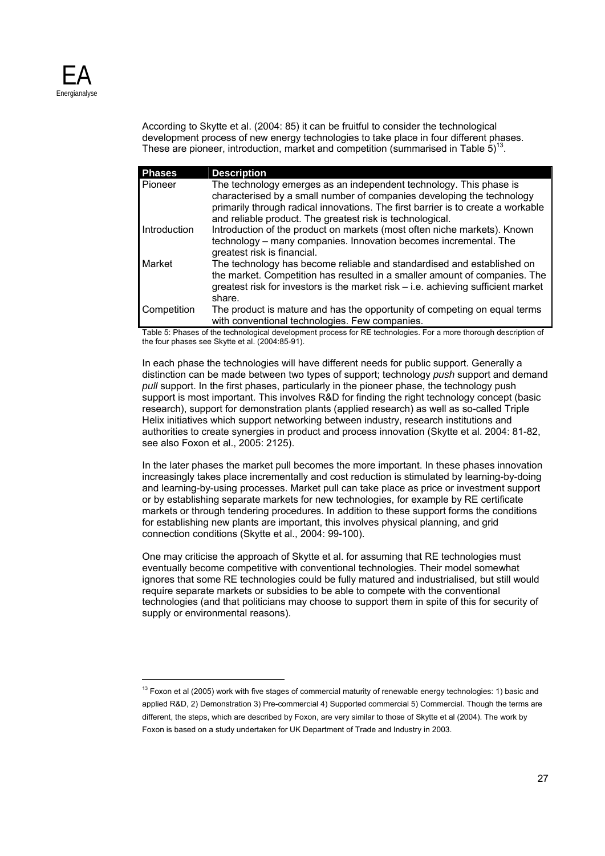l

According to Skytte et al. (2004: 85) it can be fruitful to consider the technological development process of new energy technologies to take place in four different phases. These are pioneer, introduction, market and competition (summarised in Table 5)<sup>1</sup>

| <b>Phases</b> | <b>Description</b>                                                                |
|---------------|-----------------------------------------------------------------------------------|
| Pioneer       | The technology emerges as an independent technology. This phase is                |
|               | characterised by a small number of companies developing the technology            |
|               | primarily through radical innovations. The first barrier is to create a workable  |
|               | and reliable product. The greatest risk is technological.                         |
| Introduction  | Introduction of the product on markets (most often niche markets). Known          |
|               | technology – many companies. Innovation becomes incremental. The                  |
|               | greatest risk is financial.                                                       |
| Market        | The technology has become reliable and standardised and established on            |
|               | the market. Competition has resulted in a smaller amount of companies. The        |
|               | greatest risk for investors is the market risk – i.e. achieving sufficient market |
|               | share.                                                                            |
| Competition   | The product is mature and has the opportunity of competing on equal terms         |
|               | with conventional technologies. Few companies.                                    |

Table 5: Phases of the technological development process for RE technologies. For a more thorough description of the four phases see Skytte et al. (2004:85-91).

In each phase the technologies will have different needs for public support. Generally a distinction can be made between two types of support; technology *push* support and demand *pull* support. In the first phases, particularly in the pioneer phase, the technology push support is most important. This involves R&D for finding the right technology concept (basic research), support for demonstration plants (applied research) as well as so-called Triple Helix initiatives which support networking between industry, research institutions and authorities to create synergies in product and process innovation (Skytte et al. 2004: 81-82, see also Foxon et al., 2005: 2125).

In the later phases the market pull becomes the more important. In these phases innovation increasingly takes place incrementally and cost reduction is stimulated by learning-by-doing and learning-by-using processes. Market pull can take place as price or investment support or by establishing separate markets for new technologies, for example by RE certificate markets or through tendering procedures. In addition to these support forms the conditions for establishing new plants are important, this involves physical planning, and grid connection conditions (Skytte et al., 2004: 99-100).

One may criticise the approach of Skytte et al. for assuming that RE technologies must eventually become competitive with conventional technologies. Their model somewhat ignores that some RE technologies could be fully matured and industrialised, but still would require separate markets or subsidies to be able to compete with the conventional technologies (and that politicians may choose to support them in spite of this for security of supply or environmental reasons).

 $13$  Foxon et al (2005) work with five stages of commercial maturity of renewable energy technologies: 1) basic and applied R&D, 2) Demonstration 3) Pre-commercial 4) Supported commercial 5) Commercial. Though the terms are different, the steps, which are described by Foxon, are very similar to those of Skytte et al (2004). The work by Foxon is based on a study undertaken for UK Department of Trade and Industry in 2003.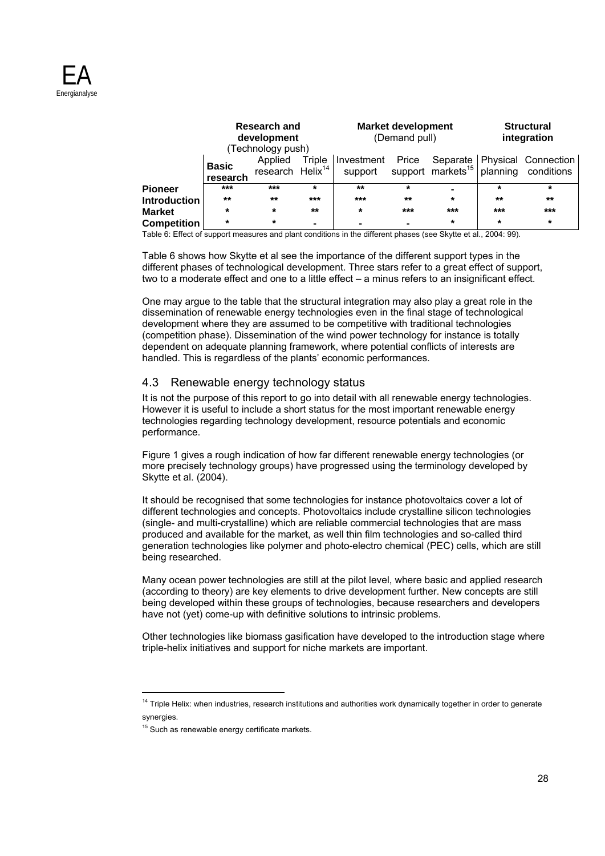|                                                                                 | <b>Research and</b><br>development<br>(Technology push) |         |                | <b>Market development</b><br>(Demand pull)                              |                |         | <b>Structural</b><br>integration |         |
|---------------------------------------------------------------------------------|---------------------------------------------------------|---------|----------------|-------------------------------------------------------------------------|----------------|---------|----------------------------------|---------|
| Triple  <br>Applied<br><b>Basic</b><br>research Helix <sup>14</sup><br>research |                                                         |         | support        | Investment Price<br>support markets <sup>15</sup>   planning conditions |                |         | Separate   Physical Connection   |         |
| <b>Pioneer</b>                                                                  | $***$                                                   | ***     | $\star$        | $***$                                                                   | $\star$        |         | *                                | $\star$ |
| Introduction                                                                    | $***$                                                   | $**$    | ***            | $***$                                                                   | $***$          | $\star$ | $**$                             | $***$   |
| <b>Market</b>                                                                   | $\star$                                                 | $\star$ | $**$           | $\star$                                                                 | ***            | ***     | $***$                            | $***$   |
| <b>Competition</b>                                                              | $\ast$                                                  | $\star$ | $\blacksquare$ | -                                                                       | $\blacksquare$ | *       | $\star$                          | $\ast$  |

Table 6: Effect of support measures and plant conditions in the different phases (see Skytte et al., 2004: 99).

Table 6 shows how Skytte et al see the importance of the different support types in the different phases of technological development. Three stars refer to a great effect of support, two to a moderate effect and one to a little effect – a minus refers to an insignificant effect.

One may argue to the table that the structural integration may also play a great role in the dissemination of renewable energy technologies even in the final stage of technological development where they are assumed to be competitive with traditional technologies (competition phase). Dissemination of the wind power technology for instance is totally dependent on adequate planning framework, where potential conflicts of interests are handled. This is regardless of the plants' economic performances.

#### 4.3 Renewable energy technology status

It is not the purpose of this report to go into detail with all renewable energy technologies. However it is useful to include a short status for the most important renewable energy technologies regarding technology development, resource potentials and economic performance.

Figure 1 gives a rough indication of how far different renewable energy technologies (or more precisely technology groups) have progressed using the terminology developed by Skytte et al. (2004).

It should be recognised that some technologies for instance photovoltaics cover a lot of different technologies and concepts. Photovoltaics include crystalline silicon technologies (single- and multi-crystalline) which are reliable commercial technologies that are mass produced and available for the market, as well thin film technologies and so-called third generation technologies like polymer and photo-electro chemical (PEC) cells, which are still being researched.

Many ocean power technologies are still at the pilot level, where basic and applied research (according to theory) are key elements to drive development further. New concepts are still being developed within these groups of technologies, because researchers and developers have not (yet) come-up with definitive solutions to intrinsic problems.

Other technologies like biomass gasification have developed to the introduction stage where triple-helix initiatives and support for niche markets are important.

l

<sup>&</sup>lt;sup>14</sup> Triple Helix: when industries, research institutions and authorities work dynamically together in order to generate synergies.

<sup>&</sup>lt;sup>15</sup> Such as renewable energy certificate markets.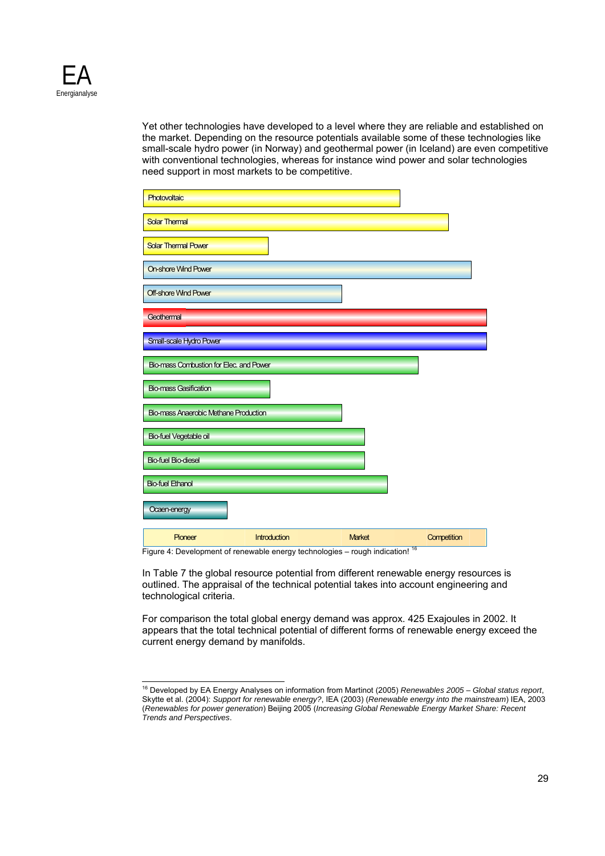Yet other technologies have developed to a level where they are reliable and established on the market. Depending on the resource potentials available some of these technologies like small-scale hydro power (in Norway) and geothermal power (in Iceland) are even competitive with conventional technologies, whereas for instance wind power and solar technologies need support in most markets to be competitive.

| Photovoltaic                                 |              |               |             |
|----------------------------------------------|--------------|---------------|-------------|
| <b>Solar Thermal</b>                         |              |               |             |
| <b>Solar Thermal Power</b>                   |              |               |             |
| <b>On-shore Wind Power</b>                   |              |               |             |
| <b>Off-shore Wind Power</b>                  |              |               |             |
| Geothermal                                   |              |               |             |
| Small-scale Hydro Power                      |              |               |             |
| Bio-mass Combustion for Elec. and Power      |              |               |             |
| <b>Bio-mass Gasification</b>                 |              |               |             |
| <b>Bio-mass Anaerobic Methane Production</b> |              |               |             |
| Bio-fuel Vegetable oil                       |              |               |             |
| <b>Bio-fuel Bio-diesel</b>                   |              |               |             |
| <b>Bio-fuel Ethanol</b>                      |              |               |             |
| Ocaen-energy                                 |              |               |             |
| Pioneer                                      | Introduction | <b>Market</b> | Competition |

Figure 4: Development of renewable energy technologies – rough indication!<sup>16</sup>

l

In Table 7 the global resource potential from different renewable energy resources is outlined. The appraisal of the technical potential takes into account engineering and technological criteria.

For comparison the total global energy demand was approx. 425 Exajoules in 2002. It appears that the total technical potential of different forms of renewable energy exceed the current energy demand by manifolds.

<sup>16</sup> Developed by EA Energy Analyses on information from Martinot (2005) *Renewables 2005 – Global status report*, Skytte et al. (2004): *Support for renewable energy?*, IEA (2003) (*Renewable energy into the mainstream*) IEA, 2003 (*Renewables for power generation*) Beijing 2005 (*Increasing Global Renewable Energy Market Share: Recent Trends and Perspectives*.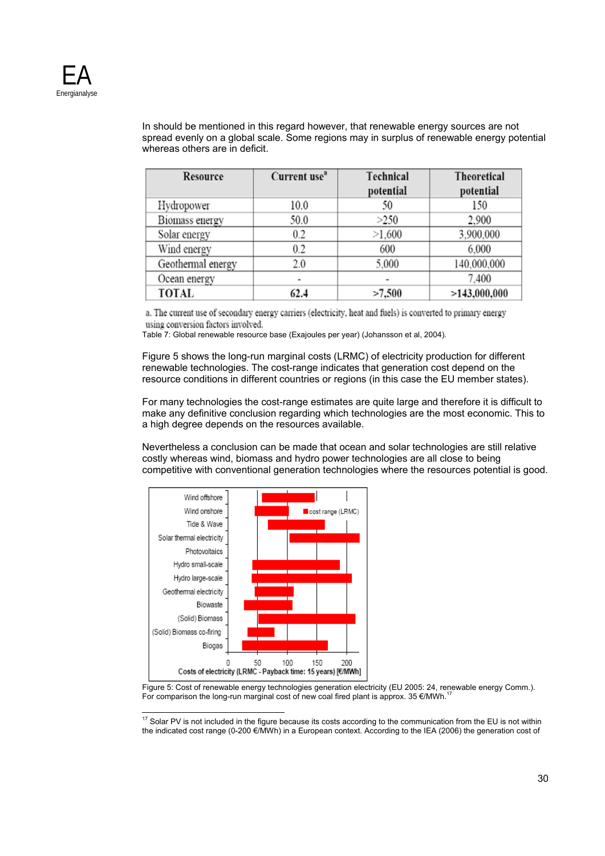In should be mentioned in this regard however, that renewable energy sources are not spread evenly on a global scale. Some regions may in surplus of renewable energy potential whereas others are in deficit.

| Resource          | Current use <sup>a</sup> | Technical<br>potential | <b>Theoretical</b><br>potential |
|-------------------|--------------------------|------------------------|---------------------------------|
| Hydropower        | 10.0                     | 50                     | 150                             |
| Biomass energy    | 50.0                     | >250                   | 2,900                           |
| Solar energy      | 0.2                      | >1,600                 | 3,900,000                       |
| Wind energy       | 0.2                      | 600                    | 6,000                           |
| Geothermal energy | 2.0                      | 5,000                  | 140,000,000                     |
| Ocean energy      | ٠                        | ۰                      | 7,400                           |
| <b>TOTAL</b>      | 62.4                     | >7,500                 | >143,000,000                    |

a. The current use of secondary energy carriers (electricity, heat and fuels) is converted to primary energy using conversion factors involved.

Table 7: Global renewable resource base (Exajoules per year) (Johansson et al, 2004).

Figure 5 shows the long-run marginal costs (LRMC) of electricity production for different renewable technologies. The cost-range indicates that generation cost depend on the resource conditions in different countries or regions (in this case the EU member states).

For many technologies the cost-range estimates are quite large and therefore it is difficult to make any definitive conclusion regarding which technologies are the most economic. This to a high degree depends on the resources available.

Nevertheless a conclusion can be made that ocean and solar technologies are still relative costly whereas wind, biomass and hydro power technologies are all close to being competitive with conventional generation technologies where the resources potential is good.



Figure 5: Cost of renewable energy technologies generation electricity (EU 2005: 24, renewable energy Comm.). For comparison the long-run marginal cost of new coal fired plant is approx. 35  $\epsilon$ /MWh.<sup>1</sup>

l  $17$  Solar PV is not included in the figure because its costs according to the communication from the EU is not within the indicated cost range (0-200 €/MWh) in a European context. According to the IEA (2006) the generation cost of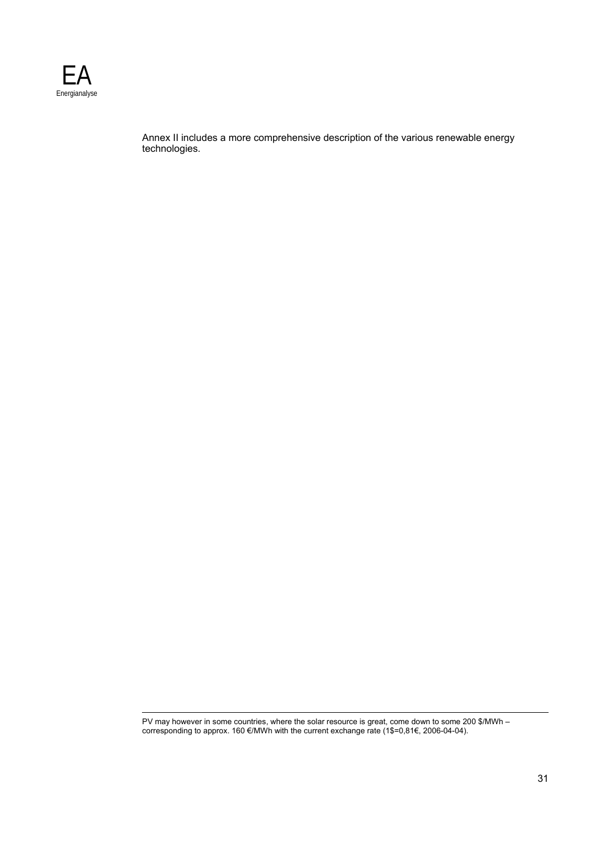

Annex II includes a more comprehensive description of the various renewable energy technologies.

 PV may however in some countries, where the solar resource is great, come down to some 200 \$/MWh – corresponding to approx. 160 €/MWh with the current exchange rate (1\$=0,81€, 2006-04-04).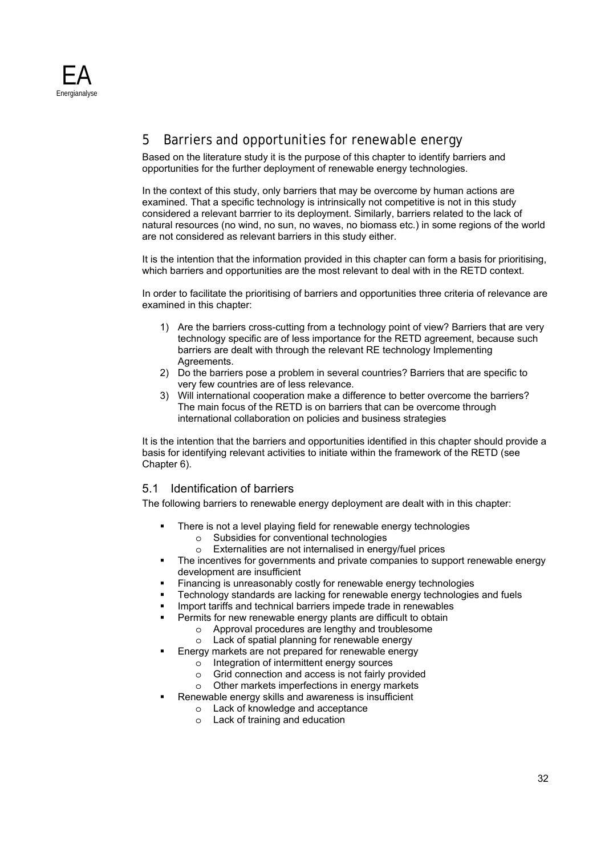## 5 Barriers and opportunities for renewable energy

Based on the literature study it is the purpose of this chapter to identify barriers and opportunities for the further deployment of renewable energy technologies.

In the context of this study, only barriers that may be overcome by human actions are examined. That a specific technology is intrinsically not competitive is not in this study considered a relevant barrrier to its deployment. Similarly, barriers related to the lack of natural resources (no wind, no sun, no waves, no biomass etc.) in some regions of the world are not considered as relevant barriers in this study either.

It is the intention that the information provided in this chapter can form a basis for prioritising, which barriers and opportunities are the most relevant to deal with in the RETD context.

In order to facilitate the prioritising of barriers and opportunities three criteria of relevance are examined in this chapter:

- 1) Are the barriers cross-cutting from a technology point of view? Barriers that are very technology specific are of less importance for the RETD agreement, because such barriers are dealt with through the relevant RE technology Implementing Agreements.
- 2) Do the barriers pose a problem in several countries? Barriers that are specific to very few countries are of less relevance.
- 3) Will international cooperation make a difference to better overcome the barriers? The main focus of the RETD is on barriers that can be overcome through international collaboration on policies and business strategies

It is the intention that the barriers and opportunities identified in this chapter should provide a basis for identifying relevant activities to initiate within the framework of the RETD (see Chapter 6).

## 5.1 Identification of barriers

The following barriers to renewable energy deployment are dealt with in this chapter:

- There is not a level playing field for renewable energy technologies
	- o Subsidies for conventional technologies
	- o Externalities are not internalised in energy/fuel prices
- The incentives for governments and private companies to support renewable energy development are insufficient
- Financing is unreasonably costly for renewable energy technologies
- Technology standards are lacking for renewable energy technologies and fuels
- Import tariffs and technical barriers impede trade in renewables
	- Permits for new renewable energy plants are difficult to obtain
		- o Approval procedures are lengthy and troublesome
		- o Lack of spatial planning for renewable energy
- Energy markets are not prepared for renewable energy
	- o Integration of intermittent energy sources
	- o Grid connection and access is not fairly provided
	- o Other markets imperfections in energy markets
	- Renewable energy skills and awareness is insufficient
		- o Lack of knowledge and acceptance
		- o Lack of training and education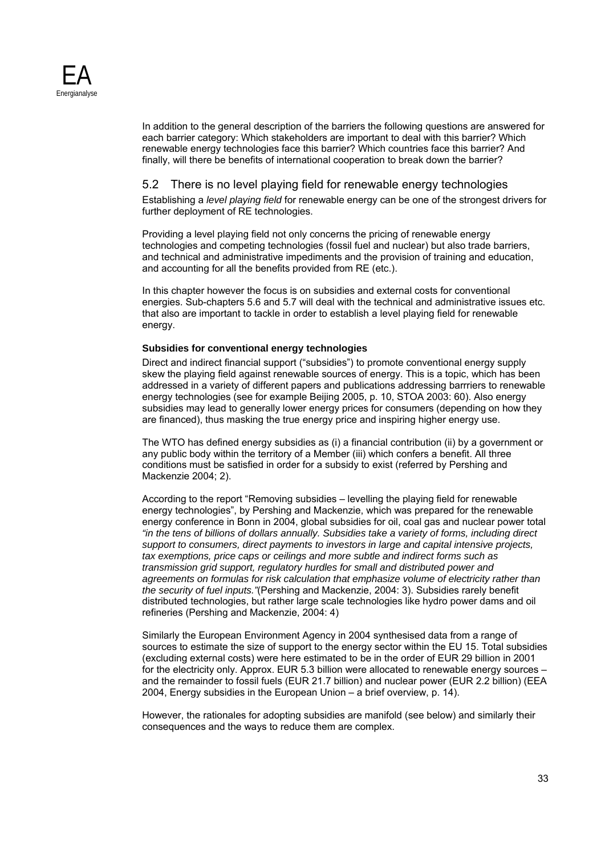In addition to the general description of the barriers the following questions are answered for each barrier category: Which stakeholders are important to deal with this barrier? Which renewable energy technologies face this barrier? Which countries face this barrier? And finally, will there be benefits of international cooperation to break down the barrier?

## 5.2 There is no level playing field for renewable energy technologies

Establishing a *level playing field* for renewable energy can be one of the strongest drivers for further deployment of RE technologies.

Providing a level playing field not only concerns the pricing of renewable energy technologies and competing technologies (fossil fuel and nuclear) but also trade barriers, and technical and administrative impediments and the provision of training and education, and accounting for all the benefits provided from RE (etc.).

In this chapter however the focus is on subsidies and external costs for conventional energies. Sub-chapters 5.6 and 5.7 will deal with the technical and administrative issues etc. that also are important to tackle in order to establish a level playing field for renewable energy.

#### **Subsidies for conventional energy technologies**

Direct and indirect financial support ("subsidies") to promote conventional energy supply skew the playing field against renewable sources of energy. This is a topic, which has been addressed in a variety of different papers and publications addressing barrriers to renewable energy technologies (see for example Beijing 2005, p. 10, STOA 2003: 60). Also energy subsidies may lead to generally lower energy prices for consumers (depending on how they are financed), thus masking the true energy price and inspiring higher energy use.

The WTO has defined energy subsidies as (i) a financial contribution (ii) by a government or any public body within the territory of a Member (iii) which confers a benefit. All three conditions must be satisfied in order for a subsidy to exist (referred by Pershing and Mackenzie 2004; 2).

According to the report "Removing subsidies – levelling the playing field for renewable energy technologies", by Pershing and Mackenzie, which was prepared for the renewable energy conference in Bonn in 2004, global subsidies for oil, coal gas and nuclear power total *"in the tens of billions of dollars annually. Subsidies take a variety of forms, including direct support to consumers, direct payments to investors in large and capital intensive projects, tax exemptions, price caps or ceilings and more subtle and indirect forms such as transmission grid support, regulatory hurdles for small and distributed power and agreements on formulas for risk calculation that emphasize volume of electricity rather than the security of fuel inputs."*(Pershing and Mackenzie, 2004: 3). Subsidies rarely benefit distributed technologies, but rather large scale technologies like hydro power dams and oil refineries (Pershing and Mackenzie, 2004: 4)

Similarly the European Environment Agency in 2004 synthesised data from a range of sources to estimate the size of support to the energy sector within the EU 15. Total subsidies (excluding external costs) were here estimated to be in the order of EUR 29 billion in 2001 for the electricity only. Approx. EUR 5.3 billion were allocated to renewable energy sources – and the remainder to fossil fuels (EUR 21.7 billion) and nuclear power (EUR 2.2 billion) (EEA 2004, Energy subsidies in the European Union – a brief overview, p. 14).

However, the rationales for adopting subsidies are manifold (see below) and similarly their consequences and the ways to reduce them are complex.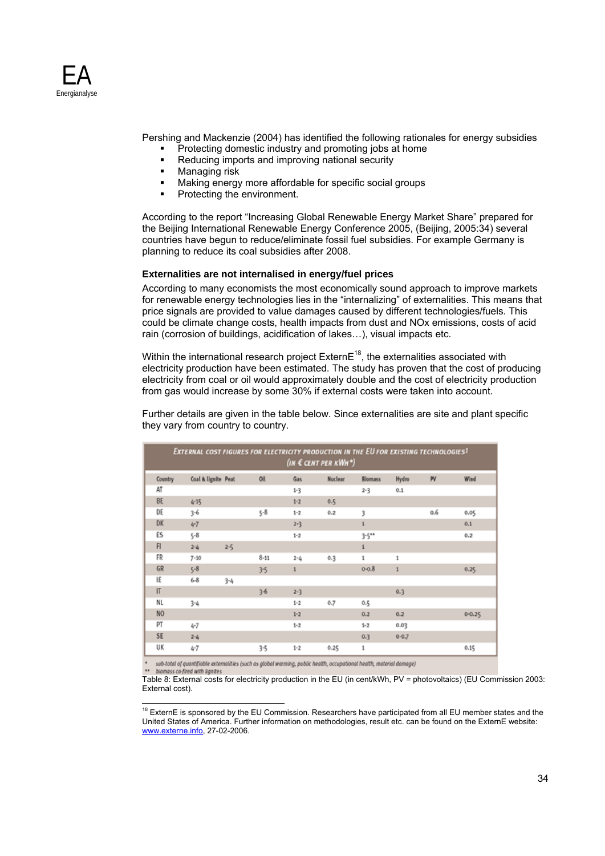

Pershing and Mackenzie (2004) has identified the following rationales for energy subsidies

- Protecting domestic industry and promoting jobs at home
- Reducing imports and improving national security
- Managing risk
- Making energy more affordable for specific social groups
- Protecting the environment.

According to the report "Increasing Global Renewable Energy Market Share" prepared for the Beijing International Renewable Energy Conference 2005, (Beijing, 2005:34) several countries have begun to reduce/eliminate fossil fuel subsidies. For example Germany is planning to reduce its coal subsidies after 2008.

#### **Externalities are not internalised in energy/fuel prices**

According to many economists the most economically sound approach to improve markets for renewable energy technologies lies in the "internalizing" of externalities. This means that price signals are provided to value damages caused by different technologies/fuels. This could be climate change costs, health impacts from dust and NOx emissions, costs of acid rain (corrosion of buildings, acidification of lakes…), visual impacts etc.

Within the international research project  $ExternE^{18}$ , the externalities associated with electricity production have been estimated. The study has proven that the cost of producing electricity from coal or oil would approximately double and the cost of electricity production from gas would increase by some 30% if external costs were taken into account.

Further details are given in the table below. Since externalities are site and plant specific they vary from country to country.

|                | EXTERNAL COST FIGURES FOR ELECTRICITY PRODUCTION IN THE EU FOR EXISTING TECHNOLOGIES1<br>$(n \in \mathsf{CENT}\ \mathsf{PER}\ \mathsf{KWh}^*)$ |         |          |             |                |                |              |     |            |
|----------------|------------------------------------------------------------------------------------------------------------------------------------------------|---------|----------|-------------|----------------|----------------|--------------|-----|------------|
| Country        | Coal & lignite Peat                                                                                                                            |         | Oil      | Gas         | <b>Nuclear</b> | <b>Biomass</b> | Hydro        | PV  | Wind       |
| AT             |                                                                                                                                                |         |          | $1-3$       |                | $2-3$          | 0.1          |     |            |
| BE             | 4.15                                                                                                                                           |         |          | $1 - 2$     | 0.5            |                |              |     |            |
| DE             | $3 - 6$                                                                                                                                        |         | $5 - 8$  | $1 - 2$     | 0.2            | 3              |              | 0.6 | 0.05       |
| DK             | $4 - 7$                                                                                                                                        |         |          | $2 - 3$     |                | 1              |              |     | 0.1        |
| ES             | $5 - 8$                                                                                                                                        |         |          | $1 - 2$     |                | $3.5$ **       |              |     | 0.2        |
| Я              | $2 - 4$                                                                                                                                        | $2 - 5$ |          |             |                | $\mathbf{1}$   |              |     |            |
| FR             | $7 - 10$                                                                                                                                       |         | $8 - 11$ | $2 - 4$     | 0.3            | 1              | 1            |     |            |
| <b>GR</b>      | $5 - 8$                                                                                                                                        |         | 3.5      | $\mathbf 1$ |                | $0 - 0.8$      | $\mathbf{1}$ |     | 0.25       |
| IE             | $6 - 8$                                                                                                                                        | $3 - 4$ |          |             |                |                |              |     |            |
| $\mathsf{I}$   |                                                                                                                                                |         | $3 - 6$  | $2-3$       |                |                | 0.3          |     |            |
| NL             | 3.4                                                                                                                                            |         |          | $1 - 2$     | 0.7            | 0.5            |              |     |            |
| N <sub>O</sub> |                                                                                                                                                |         |          | $1 - 2$     |                | 0.2            | 0.2          |     | $0 - 0.25$ |
| PT             | $4 - 7$                                                                                                                                        |         |          | $1 - 2$     |                | $1 - 2$        | 0.03         |     |            |
| SE             | $2 - 4$                                                                                                                                        |         |          |             |                | 0.3            | 0.0.7        |     |            |
| UK             | $4 - 7$                                                                                                                                        |         | 3.5      | $1 - 2$     | 0.25           | 1              |              |     | 0.15       |

\* sub-total of quantifiable externalities (such as global warming, public health, occupational health, material damage)<br>\*\* biomass co-fired with lignites<br>Table 8: External costs for electricity production in the EU (in cen External cost).

l <sup>18</sup> ExternE is sponsored by the EU Commission. Researchers have participated from all EU member states and the United States of America. Further information on methodologies, result etc. can be found on the ExternE website: www.externe.info, 27-02-2006.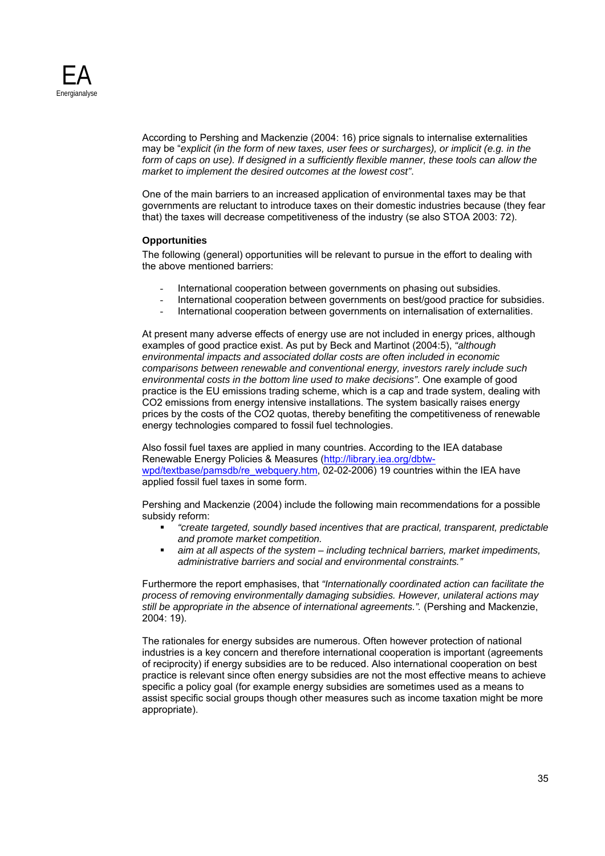According to Pershing and Mackenzie (2004: 16) price signals to internalise externalities may be "*explicit (in the form of new taxes, user fees or surcharges), or implicit (e.g. in the form of caps on use). If designed in a sufficiently flexible manner, these tools can allow the market to implement the desired outcomes at the lowest cost"*.

One of the main barriers to an increased application of environmental taxes may be that governments are reluctant to introduce taxes on their domestic industries because (they fear that) the taxes will decrease competitiveness of the industry (se also STOA 2003: 72).

#### **Opportunities**

The following (general) opportunities will be relevant to pursue in the effort to dealing with the above mentioned barriers:

- International cooperation between governments on phasing out subsidies.
- International cooperation between governments on best/good practice for subsidies.
- International cooperation between governments on internalisation of externalities.

At present many adverse effects of energy use are not included in energy prices, although examples of good practice exist. As put by Beck and Martinot (2004:5), *"although environmental impacts and associated dollar costs are often included in economic comparisons between renewable and conventional energy, investors rarely include such environmental costs in the bottom line used to make decisions"*. One example of good practice is the EU emissions trading scheme, which is a cap and trade system, dealing with CO2 emissions from energy intensive installations. The system basically raises energy prices by the costs of the CO2 quotas, thereby benefiting the competitiveness of renewable energy technologies compared to fossil fuel technologies.

Also fossil fuel taxes are applied in many countries. According to the IEA database Renewable Energy Policies & Measures (http://library.iea.org/dbtwwpd/textbase/pamsdb/re\_webquery.htm, 02-02-2006) 19 countries within the IEA have applied fossil fuel taxes in some form.

Pershing and Mackenzie (2004) include the following main recommendations for a possible subsidy reform:

- *"create targeted, soundly based incentives that are practical, transparent, predictable and promote market competition.*
- *aim at all aspects of the system including technical barriers, market impediments, administrative barriers and social and environmental constraints."*

Furthermore the report emphasises, that *"Internationally coordinated action can facilitate the process of removing environmentally damaging subsidies. However, unilateral actions may still be appropriate in the absence of international agreements.".* (Pershing and Mackenzie, 2004: 19).

The rationales for energy subsides are numerous. Often however protection of national industries is a key concern and therefore international cooperation is important (agreements of reciprocity) if energy subsidies are to be reduced. Also international cooperation on best practice is relevant since often energy subsidies are not the most effective means to achieve specific a policy goal (for example energy subsidies are sometimes used as a means to assist specific social groups though other measures such as income taxation might be more appropriate).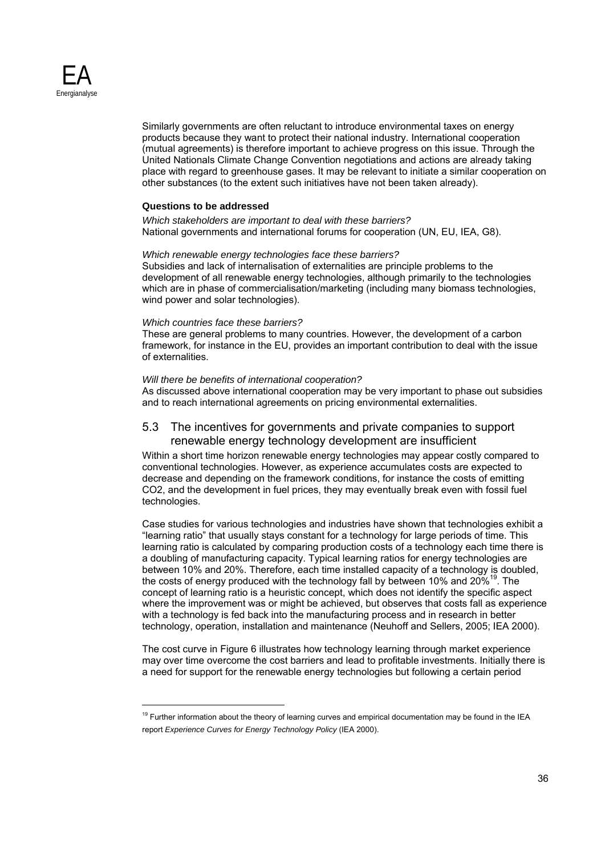Similarly governments are often reluctant to introduce environmental taxes on energy products because they want to protect their national industry. International cooperation (mutual agreements) is therefore important to achieve progress on this issue. Through the United Nationals Climate Change Convention negotiations and actions are already taking place with regard to greenhouse gases. It may be relevant to initiate a similar cooperation on other substances (to the extent such initiatives have not been taken already).

#### **Questions to be addressed**

*Which stakeholders are important to deal with these barriers?*  National governments and international forums for cooperation (UN, EU, IEA, G8).

#### *Which renewable energy technologies face these barriers?*

Subsidies and lack of internalisation of externalities are principle problems to the development of all renewable energy technologies, although primarily to the technologies which are in phase of commercialisation/marketing (including many biomass technologies, wind power and solar technologies).

#### *Which countries face these barriers?*

l

These are general problems to many countries. However, the development of a carbon framework, for instance in the EU, provides an important contribution to deal with the issue of externalities.

#### *Will there be benefits of international cooperation?*

As discussed above international cooperation may be very important to phase out subsidies and to reach international agreements on pricing environmental externalities.

# 5.3 The incentives for governments and private companies to support renewable energy technology development are insufficient

Within a short time horizon renewable energy technologies may appear costly compared to conventional technologies. However, as experience accumulates costs are expected to decrease and depending on the framework conditions, for instance the costs of emitting CO2, and the development in fuel prices, they may eventually break even with fossil fuel technologies.

Case studies for various technologies and industries have shown that technologies exhibit a "learning ratio" that usually stays constant for a technology for large periods of time. This learning ratio is calculated by comparing production costs of a technology each time there is a doubling of manufacturing capacity. Typical learning ratios for energy technologies are between 10% and 20%. Therefore, each time installed capacity of a technology is doubled, the costs of energy produced with the technology fall by between 10% and  $20\%^{19}$ . The concept of learning ratio is a heuristic concept, which does not identify the specific aspect where the improvement was or might be achieved, but observes that costs fall as experience with a technology is fed back into the manufacturing process and in research in better technology, operation, installation and maintenance (Neuhoff and Sellers, 2005; IEA 2000).

The cost curve in Figure 6 illustrates how technology learning through market experience may over time overcome the cost barriers and lead to profitable investments. Initially there is a need for support for the renewable energy technologies but following a certain period

 $19$  Further information about the theory of learning curves and empirical documentation may be found in the IEA report *Experience Curves for Energy Technology Policy* (IEA 2000).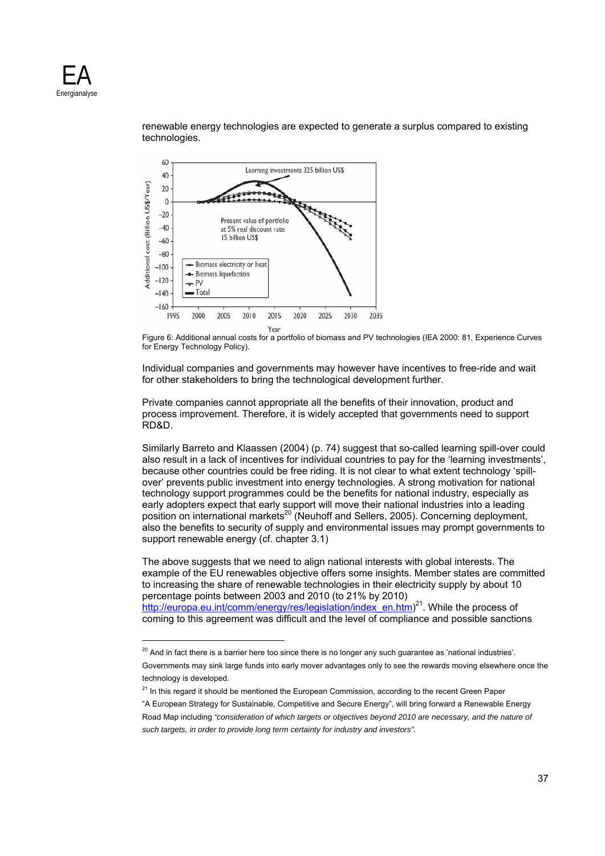l

renewable energy technologies are expected to generate a surplus compared to existing technologies.



Figure 6: Additional annual costs for a portfolio of biomass and PV technologies (IEA 2000: 81, Experience Curves for Energy Technology Policy).

Individual companies and governments may however have incentives to free-ride and wait for other stakeholders to bring the technological development further.

Private companies cannot appropriate all the benefits of their innovation, product and process improvement. Therefore, it is widely accepted that governments need to support RD&D.

Similarly Barreto and Klaassen (2004) (p. 74) suggest that so-called learning spill-over could also result in a lack of incentives for individual countries to pay for the 'learning investments', because other countries could be free riding. It is not clear to what extent technology 'spillover' prevents public investment into energy technologies. A strong motivation for national technology support programmes could be the benefits for national industry, especially as early adopters expect that early support will move their national industries into a leading position on international markets<sup>20</sup> (Neuhoff and Sellers, 2005). Concerning deployment, also the benefits to security of supply and environmental issues may prompt governments to support renewable energy (cf. chapter 3.1)

The above suggests that we need to align national interests with global interests. The example of the EU renewables objective offers some insights. Member states are committed to increasing the share of renewable technologies in their electricity supply by about 10 percentage points between 2003 and 2010 (to 21% by 2010) http://europa.eu.int/comm/energy/res/legislation/index\_en.htm)<sup>21</sup>. While the process of coming to this agreement was difficult and the level of compliance and possible sanctions

 $20$  And in fact there is a barrier here too since there is no longer any such guarantee as 'national industries'. Governments may sink large funds into early mover advantages only to see the rewards moving elsewhere once the technology is developed.

<sup>&</sup>lt;sup>21</sup> In this regard it should be mentioned the European Commission, according to the recent Green Paper "A European Strategy for Sustainable, Competitive and Secure Energy", will bring forward a Renewable Energy Road Map including *"consideration of which targets or objectives beyond 2010 are necessary, and the nature of such targets, in order to provide long term certainty for industry and investors"*.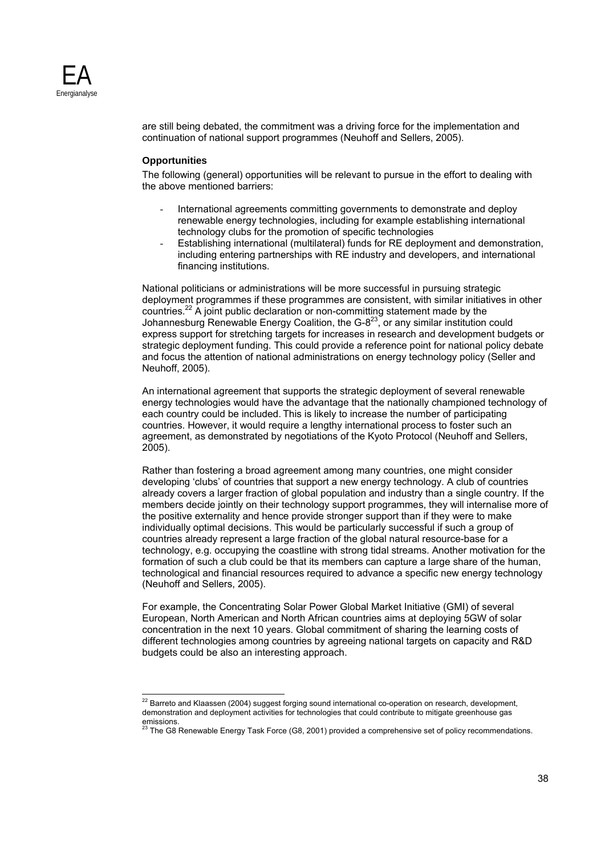are still being debated, the commitment was a driving force for the implementation and continuation of national support programmes (Neuhoff and Sellers, 2005).

#### **Opportunities**

l

The following (general) opportunities will be relevant to pursue in the effort to dealing with the above mentioned barriers:

- International agreements committing governments to demonstrate and deploy renewable energy technologies, including for example establishing international technology clubs for the promotion of specific technologies
- Establishing international (multilateral) funds for RE deployment and demonstration, including entering partnerships with RE industry and developers, and international financing institutions.

National politicians or administrations will be more successful in pursuing strategic deployment programmes if these programmes are consistent, with similar initiatives in other countries.<sup>22</sup> A joint public declaration or non-committing statement made by the Johannesburg Renewable Energy Coalition, the G- $8^{23}$ , or any similar institution could express support for stretching targets for increases in research and development budgets or strategic deployment funding. This could provide a reference point for national policy debate and focus the attention of national administrations on energy technology policy (Seller and Neuhoff, 2005).

An international agreement that supports the strategic deployment of several renewable energy technologies would have the advantage that the nationally championed technology of each country could be included. This is likely to increase the number of participating countries. However, it would require a lengthy international process to foster such an agreement, as demonstrated by negotiations of the Kyoto Protocol (Neuhoff and Sellers, 2005).

Rather than fostering a broad agreement among many countries, one might consider developing 'clubs' of countries that support a new energy technology. A club of countries already covers a larger fraction of global population and industry than a single country. If the members decide jointly on their technology support programmes, they will internalise more of the positive externality and hence provide stronger support than if they were to make individually optimal decisions. This would be particularly successful if such a group of countries already represent a large fraction of the global natural resource-base for a technology, e.g. occupying the coastline with strong tidal streams. Another motivation for the formation of such a club could be that its members can capture a large share of the human, technological and financial resources required to advance a specific new energy technology (Neuhoff and Sellers, 2005).

For example, the Concentrating Solar Power Global Market Initiative (GMI) of several European, North American and North African countries aims at deploying 5GW of solar concentration in the next 10 years. Global commitment of sharing the learning costs of different technologies among countries by agreeing national targets on capacity and R&D budgets could be also an interesting approach.

 $^{22}$  Barreto and Klaassen (2004) suggest forging sound international co-operation on research, development, demonstration and deployment activities for technologies that could contribute to mitigate greenhouse gas emissions.<br><sup>23</sup> The G8 Renewable Energy Task Force (G8, 2001) provided a comprehensive set of policy recommendations.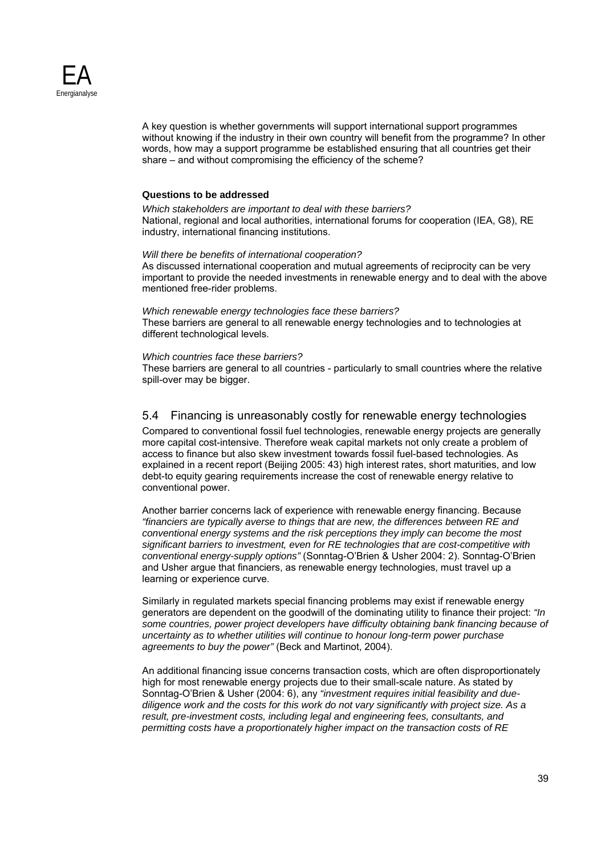A key question is whether governments will support international support programmes without knowing if the industry in their own country will benefit from the programme? In other words, how may a support programme be established ensuring that all countries get their share – and without compromising the efficiency of the scheme?

#### **Questions to be addressed**

*Which stakeholders are important to deal with these barriers?*  National, regional and local authorities, international forums for cooperation (IEA, G8), RE industry, international financing institutions.

#### *Will there be benefits of international cooperation?*

As discussed international cooperation and mutual agreements of reciprocity can be very important to provide the needed investments in renewable energy and to deal with the above mentioned free-rider problems.

*Which renewable energy technologies face these barriers?*  These barriers are general to all renewable energy technologies and to technologies at different technological levels.

#### *Which countries face these barriers?*

These barriers are general to all countries - particularly to small countries where the relative spill-over may be bigger.

# 5.4 Financing is unreasonably costly for renewable energy technologies

Compared to conventional fossil fuel technologies, renewable energy projects are generally more capital cost-intensive. Therefore weak capital markets not only create a problem of access to finance but also skew investment towards fossil fuel-based technologies. As explained in a recent report (Beijing 2005: 43) high interest rates, short maturities, and low debt-to equity gearing requirements increase the cost of renewable energy relative to conventional power.

Another barrier concerns lack of experience with renewable energy financing. Because *"financiers are typically averse to things that are new, the differences between RE and conventional energy systems and the risk perceptions they imply can become the most significant barriers to investment, even for RE technologies that are cost-competitive with conventional energy-supply options"* (Sonntag-O'Brien & Usher 2004: 2). Sonntag-O'Brien and Usher argue that financiers, as renewable energy technologies, must travel up a learning or experience curve.

Similarly in regulated markets special financing problems may exist if renewable energy generators are dependent on the goodwill of the dominating utility to finance their project: *"In some countries, power project developers have difficulty obtaining bank financing because of uncertainty as to whether utilities will continue to honour long-term power purchase agreements to buy the power"* (Beck and Martinot, 2004).

An additional financing issue concerns transaction costs, which are often disproportionately high for most renewable energy projects due to their small-scale nature. As stated by Sonntag-O'Brien & Usher (2004: 6), any *"investment requires initial feasibility and duediligence work and the costs for this work do not vary significantly with project size. As a result, pre-investment costs, including legal and engineering fees, consultants, and permitting costs have a proportionately higher impact on the transaction costs of RE*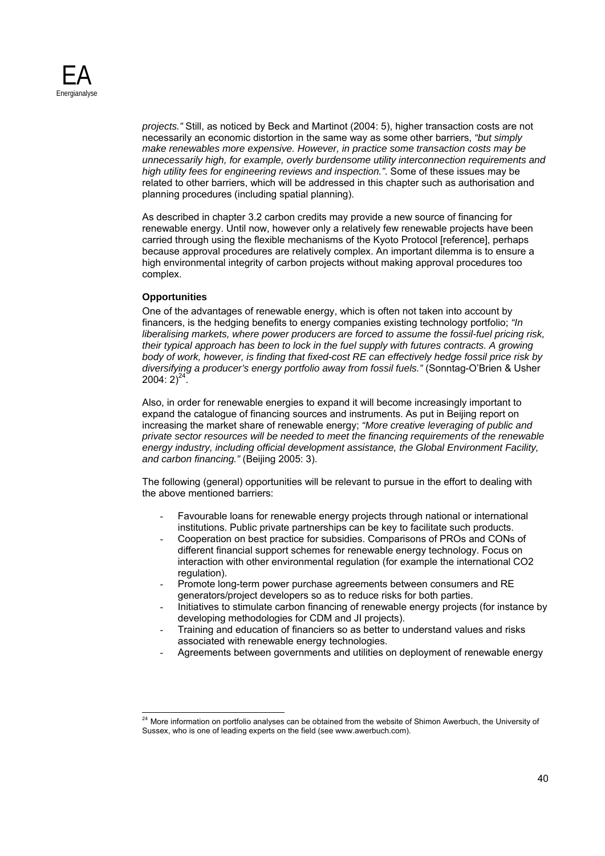*projects."* Still, as noticed by Beck and Martinot (2004: 5), higher transaction costs are not necessarily an economic distortion in the same way as some other barriers, *"but simply make renewables more expensive. However, in practice some transaction costs may be unnecessarily high, for example, overly burdensome utility interconnection requirements and high utility fees for engineering reviews and inspection."*. Some of these issues may be related to other barriers, which will be addressed in this chapter such as authorisation and planning procedures (including spatial planning).

As described in chapter 3.2 carbon credits may provide a new source of financing for renewable energy. Until now, however only a relatively few renewable projects have been carried through using the flexible mechanisms of the Kyoto Protocol [reference], perhaps because approval procedures are relatively complex. An important dilemma is to ensure a high environmental integrity of carbon projects without making approval procedures too complex.

# **Opportunities**

One of the advantages of renewable energy, which is often not taken into account by financers, is the hedging benefits to energy companies existing technology portfolio; *"In liberalising markets, where power producers are forced to assume the fossil-fuel pricing risk, their typical approach has been to lock in the fuel supply with futures contracts. A growing body of work, however, is finding that fixed-cost RE can effectively hedge fossil price risk by diversifying a producer's energy portfolio away from fossil fuels."* (Sonntag-O'Brien & Usher  $2004:2)^{24}$ .

Also, in order for renewable energies to expand it will become increasingly important to expand the catalogue of financing sources and instruments. As put in Beijing report on increasing the market share of renewable energy; *"More creative leveraging of public and private sector resources will be needed to meet the financing requirements of the renewable energy industry, including official development assistance, the Global Environment Facility, and carbon financing."* (Beijing 2005: 3).

The following (general) opportunities will be relevant to pursue in the effort to dealing with the above mentioned barriers:

- Favourable loans for renewable energy projects through national or international institutions. Public private partnerships can be key to facilitate such products.
- Cooperation on best practice for subsidies. Comparisons of PROs and CONs of different financial support schemes for renewable energy technology. Focus on interaction with other environmental regulation (for example the international CO2 regulation).
- Promote long-term power purchase agreements between consumers and RE generators/project developers so as to reduce risks for both parties.
- Initiatives to stimulate carbon financing of renewable energy projects (for instance by developing methodologies for CDM and JI projects).
- Training and education of financiers so as better to understand values and risks associated with renewable energy technologies.
- Agreements between governments and utilities on deployment of renewable energy

l  $^{24}$  More information on portfolio analyses can be obtained from the website of Shimon Awerbuch, the University of Sussex, who is one of leading experts on the field (see www.awerbuch.com).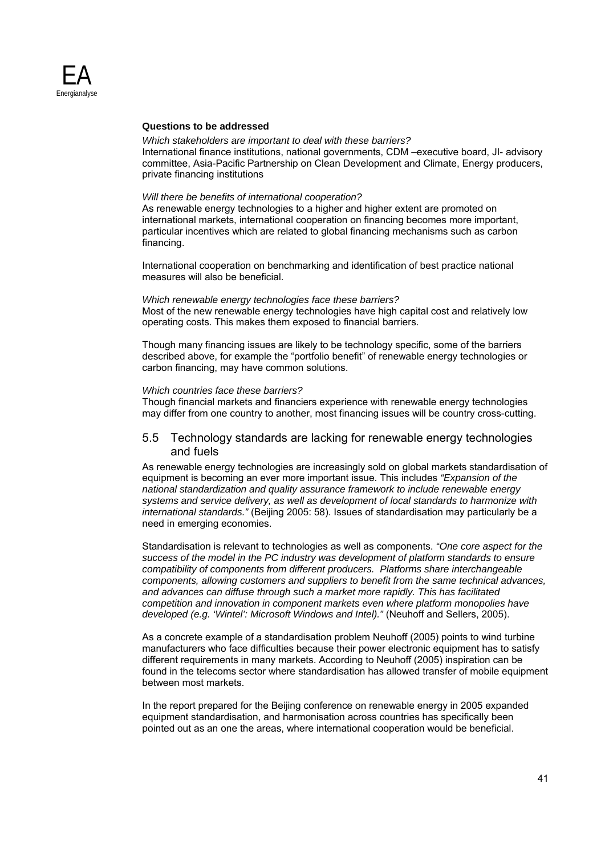#### **Questions to be addressed**

*Which stakeholders are important to deal with these barriers?*  International finance institutions, national governments, CDM –executive board, JI- advisory committee, Asia-Pacific Partnership on Clean Development and Climate, Energy producers, private financing institutions

#### *Will there be benefits of international cooperation?*

As renewable energy technologies to a higher and higher extent are promoted on international markets, international cooperation on financing becomes more important, particular incentives which are related to global financing mechanisms such as carbon financing.

International cooperation on benchmarking and identification of best practice national measures will also be beneficial.

#### *Which renewable energy technologies face these barriers?*  Most of the new renewable energy technologies have high capital cost and relatively low operating costs. This makes them exposed to financial barriers.

Though many financing issues are likely to be technology specific, some of the barriers described above, for example the "portfolio benefit" of renewable energy technologies or carbon financing, may have common solutions.

#### *Which countries face these barriers?*

Though financial markets and financiers experience with renewable energy technologies may differ from one country to another, most financing issues will be country cross-cutting.

# 5.5 Technology standards are lacking for renewable energy technologies and fuels

As renewable energy technologies are increasingly sold on global markets standardisation of equipment is becoming an ever more important issue. This includes *"Expansion of the national standardization and quality assurance framework to include renewable energy systems and service delivery, as well as development of local standards to harmonize with international standards."* (Beijing 2005: 58). Issues of standardisation may particularly be a need in emerging economies.

Standardisation is relevant to technologies as well as components. *"One core aspect for the success of the model in the PC industry was development of platform standards to ensure compatibility of components from different producers. Platforms share interchangeable components, allowing customers and suppliers to benefit from the same technical advances, and advances can diffuse through such a market more rapidly. This has facilitated competition and innovation in component markets even where platform monopolies have developed (e.g. 'Wintel': Microsoft Windows and Intel)."* (Neuhoff and Sellers, 2005).

As a concrete example of a standardisation problem Neuhoff (2005) points to wind turbine manufacturers who face difficulties because their power electronic equipment has to satisfy different requirements in many markets. According to Neuhoff (2005) inspiration can be found in the telecoms sector where standardisation has allowed transfer of mobile equipment between most markets.

In the report prepared for the Beijing conference on renewable energy in 2005 expanded equipment standardisation, and harmonisation across countries has specifically been pointed out as an one the areas, where international cooperation would be beneficial.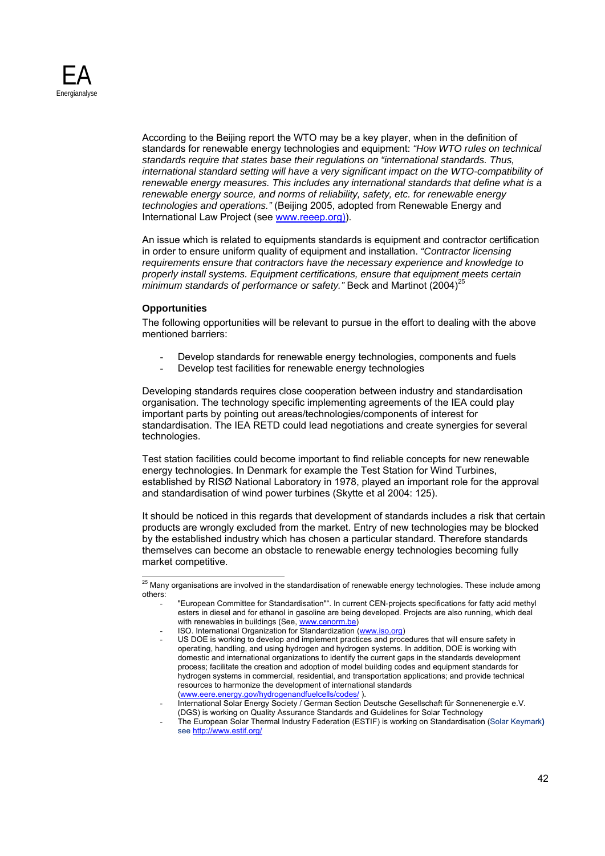According to the Beijing report the WTO may be a key player, when in the definition of standards for renewable energy technologies and equipment: *"How WTO rules on technical standards require that states base their regulations on "international standards. Thus, international standard setting will have a very significant impact on the WTO-compatibility of renewable energy measures. This includes any international standards that define what is a renewable energy source, and norms of reliability, safety, etc. for renewable energy technologies and operations."* (Beijing 2005, adopted from Renewable Energy and International Law Project (see www.reeep.org)).

An issue which is related to equipments standards is equipment and contractor certification in order to ensure uniform quality of equipment and installation. *"Contractor licensing requirements ensure that contractors have the necessary experience and knowledge to properly install systems. Equipment certifications, ensure that equipment meets certain minimum standards of performance or safety.*" Beck and Martinot (2004)<sup>2</sup>

#### **Opportunities**

The following opportunities will be relevant to pursue in the effort to dealing with the above mentioned barriers:

- Develop standards for renewable energy technologies, components and fuels
- Develop test facilities for renewable energy technologies

Developing standards requires close cooperation between industry and standardisation organisation. The technology specific implementing agreements of the IEA could play important parts by pointing out areas/technologies/components of interest for standardisation. The IEA RETD could lead negotiations and create synergies for several technologies.

Test station facilities could become important to find reliable concepts for new renewable energy technologies. In Denmark for example the Test Station for Wind Turbines, established by RISØ National Laboratory in 1978, played an important role for the approval and standardisation of wind power turbines (Skytte et al 2004: 125).

It should be noticed in this regards that development of standards includes a risk that certain products are wrongly excluded from the market. Entry of new technologies may be blocked by the established industry which has chosen a particular standard. Therefore standards themselves can become an obstacle to renewable energy technologies becoming fully market competitive.

l <sup>25</sup> Many organisations are involved in the standardisation of renewable energy technologies. These include among others:

<sup>-</sup> "European Committee for Standardisation"". In current CEN-projects specifications for fatty acid methyl esters in diesel and for ethanol in gasoline are being developed. Projects are also running, which deal with renewables in buildings (See, www.cenorm.be)

<sup>-</sup> ISO. International Organization for Standardization (www.iso.org)

US DOE is working to develop and implement practices and procedures that will ensure safety in operating, handling, and using hydrogen and hydrogen systems. In addition, DOE is working with domestic and international organizations to identify the current gaps in the standards development process; facilitate the creation and adoption of model building codes and equipment standards for hydrogen systems in commercial, residential, and transportation applications; and provide technical resources to harmonize the development of international standards (www.eere.energy.gov/hydrogenandfuelcells/codes/ ).

International Solar Energy Society / German Section Deutsche Gesellschaft für Sonnenenergie e.V. (DGS) is working on Quality Assurance Standards and Guidelines for Solar Technology

<sup>-</sup> The European Solar Thermal Industry Federation (ESTIF) is working on Standardisation (Solar Keymark**)**  see http://www.estif.org/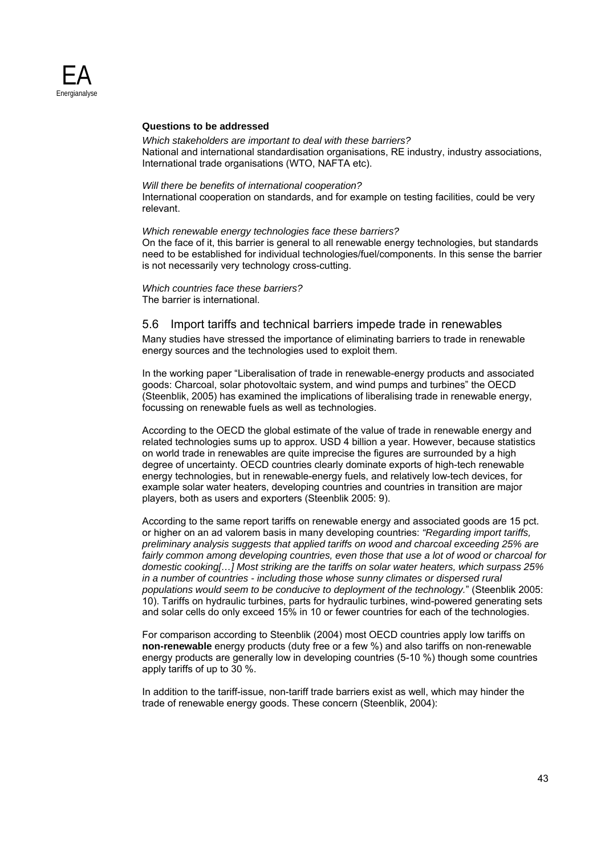#### **Questions to be addressed**

*Which stakeholders are important to deal with these barriers?*  National and international standardisation organisations, RE industry, industry associations, International trade organisations (WTO, NAFTA etc).

*Will there be benefits of international cooperation?*  International cooperation on standards, and for example on testing facilities, could be very relevant.

*Which renewable energy technologies face these barriers?* 

On the face of it, this barrier is general to all renewable energy technologies, but standards need to be established for individual technologies/fuel/components. In this sense the barrier is not necessarily very technology cross-cutting.

*Which countries face these barriers?*  The barrier is international.

#### 5.6 Import tariffs and technical barriers impede trade in renewables

Many studies have stressed the importance of eliminating barriers to trade in renewable energy sources and the technologies used to exploit them.

In the working paper "Liberalisation of trade in renewable-energy products and associated goods: Charcoal, solar photovoltaic system, and wind pumps and turbines" the OECD (Steenblik, 2005) has examined the implications of liberalising trade in renewable energy, focussing on renewable fuels as well as technologies.

According to the OECD the global estimate of the value of trade in renewable energy and related technologies sums up to approx. USD 4 billion a year. However, because statistics on world trade in renewables are quite imprecise the figures are surrounded by a high degree of uncertainty. OECD countries clearly dominate exports of high-tech renewable energy technologies, but in renewable-energy fuels, and relatively low-tech devices, for example solar water heaters, developing countries and countries in transition are major players, both as users and exporters (Steenblik 2005: 9).

According to the same report tariffs on renewable energy and associated goods are 15 pct. or higher on an ad valorem basis in many developing countries: *"Regarding import tariffs, preliminary analysis suggests that applied tariffs on wood and charcoal exceeding 25% are fairly common among developing countries, even those that use a lot of wood or charcoal for domestic cooking[…] Most striking are the tariffs on solar water heaters, which surpass 25% in a number of countries - including those whose sunny climates or dispersed rural populations would seem to be conducive to deployment of the technology.*" (Steenblik 2005: 10). Tariffs on hydraulic turbines, parts for hydraulic turbines, wind-powered generating sets and solar cells do only exceed 15% in 10 or fewer countries for each of the technologies.

For comparison according to Steenblik (2004) most OECD countries apply low tariffs on **non-renewable** energy products (duty free or a few %) and also tariffs on non-renewable energy products are generally low in developing countries (5-10 %) though some countries apply tariffs of up to 30 %.

In addition to the tariff-issue, non-tariff trade barriers exist as well, which may hinder the trade of renewable energy goods. These concern (Steenblik, 2004):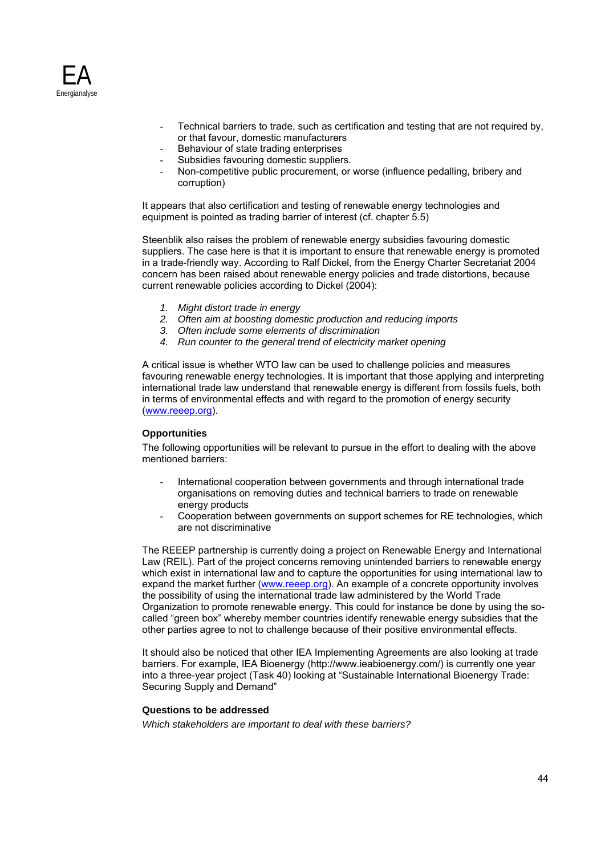- Technical barriers to trade, such as certification and testing that are not required by, or that favour, domestic manufacturers
- Behaviour of state trading enterprises
- Subsidies favouring domestic suppliers.
- Non-competitive public procurement, or worse (influence pedalling, bribery and corruption)

It appears that also certification and testing of renewable energy technologies and equipment is pointed as trading barrier of interest (cf. chapter 5.5)

Steenblik also raises the problem of renewable energy subsidies favouring domestic suppliers. The case here is that it is important to ensure that renewable energy is promoted in a trade-friendly way. According to Ralf Dickel, from the Energy Charter Secretariat 2004 concern has been raised about renewable energy policies and trade distortions, because current renewable policies according to Dickel (2004):

- *1. Might distort trade in energy*
- *2. Often aim at boosting domestic production and reducing imports*
- *3. Often include some elements of discrimination*
- *4. Run counter to the general trend of electricity market opening*

A critical issue is whether WTO law can be used to challenge policies and measures favouring renewable energy technologies. It is important that those applying and interpreting international trade law understand that renewable energy is different from fossils fuels, both in terms of environmental effects and with regard to the promotion of energy security (www.reeep.org).

#### **Opportunities**

The following opportunities will be relevant to pursue in the effort to dealing with the above mentioned barriers:

- International cooperation between governments and through international trade organisations on removing duties and technical barriers to trade on renewable energy products
- Cooperation between governments on support schemes for RE technologies, which are not discriminative

The REEEP partnership is currently doing a project on Renewable Energy and International Law (REIL). Part of the project concerns removing unintended barriers to renewable energy which exist in international law and to capture the opportunities for using international law to expand the market further (www.reeep.org). An example of a concrete opportunity involves the possibility of using the international trade law administered by the World Trade Organization to promote renewable energy. This could for instance be done by using the socalled "green box" whereby member countries identify renewable energy subsidies that the other parties agree to not to challenge because of their positive environmental effects.

It should also be noticed that other IEA Implementing Agreements are also looking at trade barriers. For example, IEA Bioenergy (http://www.ieabioenergy.com/) is currently one year into a three-year project (Task 40) looking at "Sustainable International Bioenergy Trade: Securing Supply and Demand"

#### **Questions to be addressed**

*Which stakeholders are important to deal with these barriers?*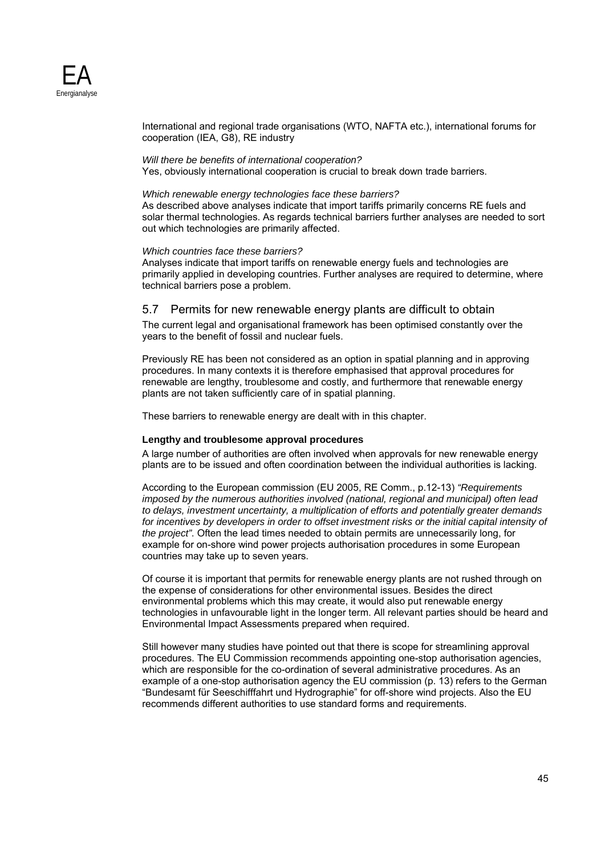International and regional trade organisations (WTO, NAFTA etc.), international forums for cooperation (IEA, G8), RE industry

*Will there be benefits of international cooperation?*  Yes, obviously international cooperation is crucial to break down trade barriers.

#### *Which renewable energy technologies face these barriers?*

As described above analyses indicate that import tariffs primarily concerns RE fuels and solar thermal technologies. As regards technical barriers further analyses are needed to sort out which technologies are primarily affected.

#### *Which countries face these barriers?*

Analyses indicate that import tariffs on renewable energy fuels and technologies are primarily applied in developing countries. Further analyses are required to determine, where technical barriers pose a problem.

#### 5.7 Permits for new renewable energy plants are difficult to obtain

The current legal and organisational framework has been optimised constantly over the years to the benefit of fossil and nuclear fuels.

Previously RE has been not considered as an option in spatial planning and in approving procedures. In many contexts it is therefore emphasised that approval procedures for renewable are lengthy, troublesome and costly, and furthermore that renewable energy plants are not taken sufficiently care of in spatial planning.

These barriers to renewable energy are dealt with in this chapter.

#### **Lengthy and troublesome approval procedures**

A large number of authorities are often involved when approvals for new renewable energy plants are to be issued and often coordination between the individual authorities is lacking.

According to the European commission (EU 2005, RE Comm., p.12-13) *"Requirements imposed by the numerous authorities involved (national, regional and municipal) often lead to delays, investment uncertainty, a multiplication of efforts and potentially greater demands*  for incentives by developers in order to offset investment risks or the initial capital intensity of *the project"*. Often the lead times needed to obtain permits are unnecessarily long, for example for on-shore wind power projects authorisation procedures in some European countries may take up to seven years.

Of course it is important that permits for renewable energy plants are not rushed through on the expense of considerations for other environmental issues. Besides the direct environmental problems which this may create, it would also put renewable energy technologies in unfavourable light in the longer term. All relevant parties should be heard and Environmental Impact Assessments prepared when required.

Still however many studies have pointed out that there is scope for streamlining approval procedures. The EU Commission recommends appointing one-stop authorisation agencies, which are responsible for the co-ordination of several administrative procedures. As an example of a one-stop authorisation agency the EU commission (p. 13) refers to the German "Bundesamt für Seeschifffahrt und Hydrographie" for off-shore wind projects. Also the EU recommends different authorities to use standard forms and requirements.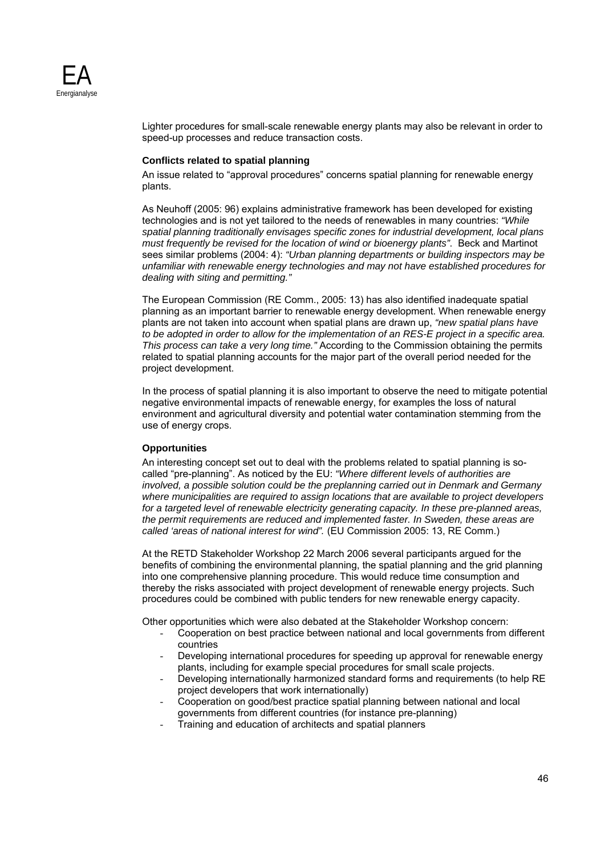Lighter procedures for small-scale renewable energy plants may also be relevant in order to speed-up processes and reduce transaction costs.

#### **Conflicts related to spatial planning**

An issue related to "approval procedures" concerns spatial planning for renewable energy plants.

As Neuhoff (2005: 96) explains administrative framework has been developed for existing technologies and is not yet tailored to the needs of renewables in many countries: *"While spatial planning traditionally envisages specific zones for industrial development, local plans must frequently be revised for the location of wind or bioenergy plants"*. Beck and Martinot sees similar problems (2004: 4): *"Urban planning departments or building inspectors may be unfamiliar with renewable energy technologies and may not have established procedures for dealing with siting and permitting."* 

The European Commission (RE Comm., 2005: 13) has also identified inadequate spatial planning as an important barrier to renewable energy development. When renewable energy plants are not taken into account when spatial plans are drawn up, *"new spatial plans have to be adopted in order to allow for the implementation of an RES-E project in a specific area. This process can take a very long time."* According to the Commission obtaining the permits related to spatial planning accounts for the major part of the overall period needed for the project development.

In the process of spatial planning it is also important to observe the need to mitigate potential negative environmental impacts of renewable energy, for examples the loss of natural environment and agricultural diversity and potential water contamination stemming from the use of energy crops.

#### **Opportunities**

An interesting concept set out to deal with the problems related to spatial planning is socalled "pre-planning". As noticed by the EU: *"Where different levels of authorities are involved, a possible solution could be the preplanning carried out in Denmark and Germany where municipalities are required to assign locations that are available to project developers for a targeted level of renewable electricity generating capacity. In these pre-planned areas, the permit requirements are reduced and implemented faster. In Sweden, these areas are called 'areas of national interest for wind".* (EU Commission 2005: 13, RE Comm.)

At the RETD Stakeholder Workshop 22 March 2006 several participants argued for the benefits of combining the environmental planning, the spatial planning and the grid planning into one comprehensive planning procedure. This would reduce time consumption and thereby the risks associated with project development of renewable energy projects. Such procedures could be combined with public tenders for new renewable energy capacity.

Other opportunities which were also debated at the Stakeholder Workshop concern:

- Cooperation on best practice between national and local governments from different countries
- Developing international procedures for speeding up approval for renewable energy plants, including for example special procedures for small scale projects.
- Developing internationally harmonized standard forms and requirements (to help RE project developers that work internationally)
- Cooperation on good/best practice spatial planning between national and local governments from different countries (for instance pre-planning)
- Training and education of architects and spatial planners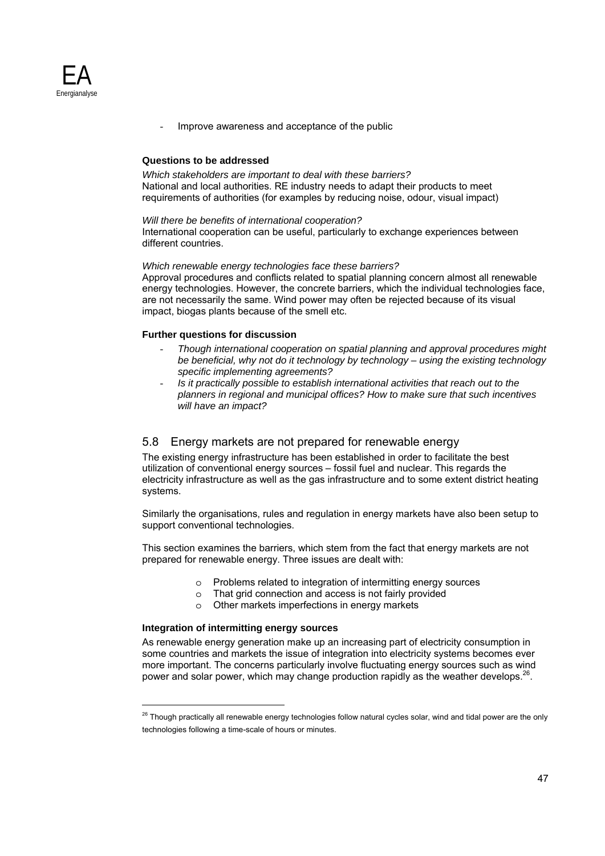Improve awareness and acceptance of the public

#### **Questions to be addressed**

*Which stakeholders are important to deal with these barriers?*  National and local authorities. RE industry needs to adapt their products to meet requirements of authorities (for examples by reducing noise, odour, visual impact)

*Will there be benefits of international cooperation?*  International cooperation can be useful, particularly to exchange experiences between different countries.

#### *Which renewable energy technologies face these barriers?*

Approval procedures and conflicts related to spatial planning concern almost all renewable energy technologies. However, the concrete barriers, which the individual technologies face, are not necessarily the same. Wind power may often be rejected because of its visual impact, biogas plants because of the smell etc.

#### **Further questions for discussion**

- *Though international cooperation on spatial planning and approval procedures might be beneficial, why not do it technology by technology – using the existing technology specific implementing agreements?*
- *Is it practically possible to establish international activities that reach out to the planners in regional and municipal offices? How to make sure that such incentives will have an impact?*

# 5.8 Energy markets are not prepared for renewable energy

The existing energy infrastructure has been established in order to facilitate the best utilization of conventional energy sources – fossil fuel and nuclear. This regards the electricity infrastructure as well as the gas infrastructure and to some extent district heating systems.

Similarly the organisations, rules and regulation in energy markets have also been setup to support conventional technologies.

This section examines the barriers, which stem from the fact that energy markets are not prepared for renewable energy. Three issues are dealt with:

- o Problems related to integration of intermitting energy sources
- o That grid connection and access is not fairly provided
- o Other markets imperfections in energy markets

# **Integration of intermitting energy sources**

l

As renewable energy generation make up an increasing part of electricity consumption in some countries and markets the issue of integration into electricity systems becomes ever more important. The concerns particularly involve fluctuating energy sources such as wind power and solar power, which may change production rapidly as the weather develops.<sup>26</sup>.

 $^{26}$  Though practically all renewable energy technologies follow natural cycles solar, wind and tidal power are the only technologies following a time-scale of hours or minutes.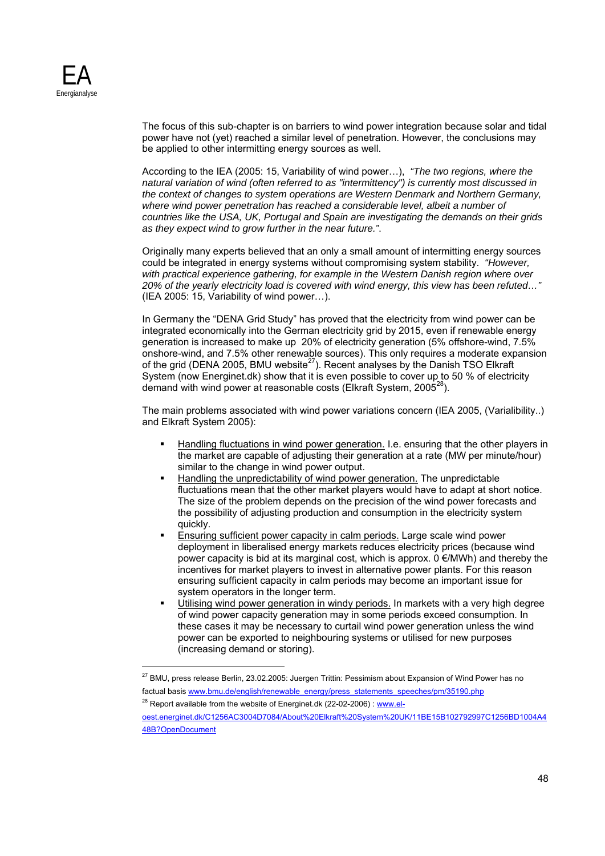The focus of this sub-chapter is on barriers to wind power integration because solar and tidal power have not (yet) reached a similar level of penetration. However, the conclusions may be applied to other intermitting energy sources as well.

According to the IEA (2005: 15, Variability of wind power…), *"The two regions, where the natural variation of wind (often referred to as "intermittency") is currently most discussed in the context of changes to system operations are Western Denmark and Northern Germany, where wind power penetration has reached a considerable level, albeit a number of countries like the USA, UK, Portugal and Spain are investigating the demands on their grids as they expect wind to grow further in the near future."*.

Originally many experts believed that an only a small amount of intermitting energy sources could be integrated in energy systems without compromising system stability. *"However, with practical experience gathering, for example in the Western Danish region where over 20% of the yearly electricity load is covered with wind energy, this view has been refuted…"* (IEA 2005: 15, Variability of wind power…).

In Germany the "DENA Grid Study" has proved that the electricity from wind power can be integrated economically into the German electricity grid by 2015, even if renewable energy generation is increased to make up 20% of electricity generation (5% offshore-wind, 7.5% onshore-wind, and 7.5% other renewable sources). This only requires a moderate expansion of the grid (DENA 2005, BMU website<sup>27</sup>). Recent analyses by the Danish TSO Elkraft System (now Energinet.dk) show that it is even possible to cover up to 50 % of electricity demand with wind power at reasonable costs (Elkraft System, 2005<sup>28</sup>).

The main problems associated with wind power variations concern (IEA 2005, (Varialibility..) and Elkraft System 2005):

- Handling fluctuations in wind power generation. I.e. ensuring that the other players in the market are capable of adjusting their generation at a rate (MW per minute/hour) similar to the change in wind power output.
- Handling the unpredictability of wind power generation. The unpredictable fluctuations mean that the other market players would have to adapt at short notice. The size of the problem depends on the precision of the wind power forecasts and the possibility of adjusting production and consumption in the electricity system quickly.
- Ensuring sufficient power capacity in calm periods. Large scale wind power deployment in liberalised energy markets reduces electricity prices (because wind power capacity is bid at its marginal cost, which is approx.  $0 \in \text{MWh}$  and thereby the incentives for market players to invest in alternative power plants. For this reason ensuring sufficient capacity in calm periods may become an important issue for system operators in the longer term.
- Utilising wind power generation in windy periods. In markets with a very high degree of wind power capacity generation may in some periods exceed consumption. In these cases it may be necessary to curtail wind power generation unless the wind power can be exported to neighbouring systems or utilised for new purposes (increasing demand or storing).

l

<sup>&</sup>lt;sup>27</sup> BMU, press release Berlin, 23.02.2005: Juergen Trittin: Pessimism about Expansion of Wind Power has no factual basis www.bmu.de/english/renewable\_energy/press\_statements\_speeches/pm/35190.php

 $^{28}$  Report available from the website of Energinet.dk (22-02-2006) : www.el-

oest.energinet.dk/C1256AC3004D7084/About%20Elkraft%20System%20UK/11BE15B102792997C1256BD1004A4 48B?OpenDocument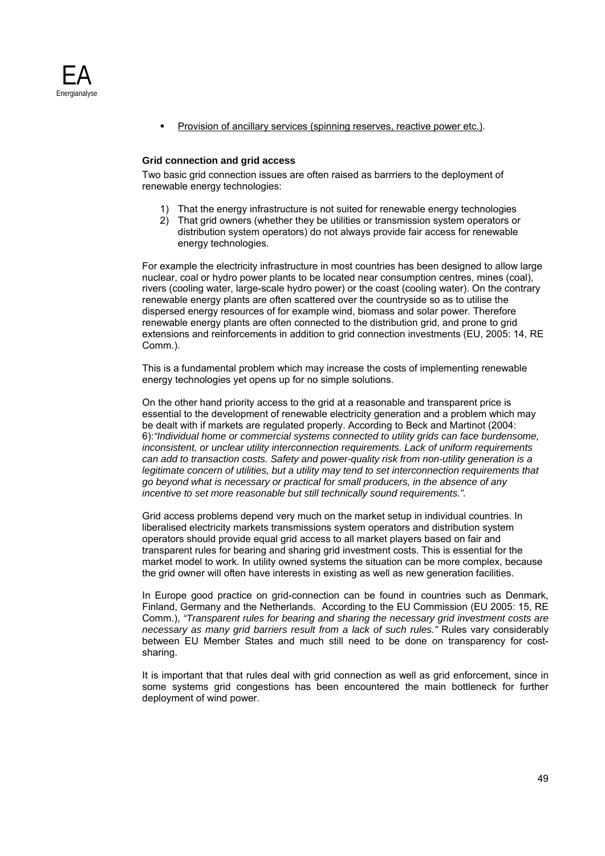Provision of ancillary services (spinning reserves, reactive power etc.).

### **Grid connection and grid access**

Two basic grid connection issues are often raised as barrriers to the deployment of renewable energy technologies:

- 1) That the energy infrastructure is not suited for renewable energy technologies
- 2) That grid owners (whether they be utilities or transmission system operators or distribution system operators) do not always provide fair access for renewable energy technologies.

For example the electricity infrastructure in most countries has been designed to allow large nuclear, coal or hydro power plants to be located near consumption centres, mines (coal), rivers (cooling water, large-scale hydro power) or the coast (cooling water). On the contrary renewable energy plants are often scattered over the countryside so as to utilise the dispersed energy resources of for example wind, biomass and solar power. Therefore renewable energy plants are often connected to the distribution grid, and prone to grid extensions and reinforcements in addition to grid connection investments (EU, 2005: 14, RE Comm.).

This is a fundamental problem which may increase the costs of implementing renewable energy technologies yet opens up for no simple solutions.

On the other hand priority access to the grid at a reasonable and transparent price is essential to the development of renewable electricity generation and a problem which may be dealt with if markets are regulated properly. According to Beck and Martinot (2004: 6):*"Individual home or commercial systems connected to utility grids can face burdensome, inconsistent, or unclear utility interconnection requirements. Lack of uniform requirements can add to transaction costs. Safety and power-quality risk from non-utility generation is a*  legitimate concern of utilities, but a utility may tend to set interconnection requirements that *go beyond what is necessary or practical for small producers, in the absence of any incentive to set more reasonable but still technically sound requirements.".* 

Grid access problems depend very much on the market setup in individual countries. In liberalised electricity markets transmissions system operators and distribution system operators should provide equal grid access to all market players based on fair and transparent rules for bearing and sharing grid investment costs. This is essential for the market model to work. In utility owned systems the situation can be more complex, because the grid owner will often have interests in existing as well as new generation facilities.

In Europe good practice on grid-connection can be found in countries such as Denmark, Finland, Germany and the Netherlands. According to the EU Commission (EU 2005: 15, RE Comm.), *"Transparent rules for bearing and sharing the necessary grid investment costs are necessary as many grid barriers result from a lack of such rules."* Rules vary considerably between EU Member States and much still need to be done on transparency for costsharing.

It is important that that rules deal with grid connection as well as grid enforcement, since in some systems grid congestions has been encountered the main bottleneck for further deployment of wind power.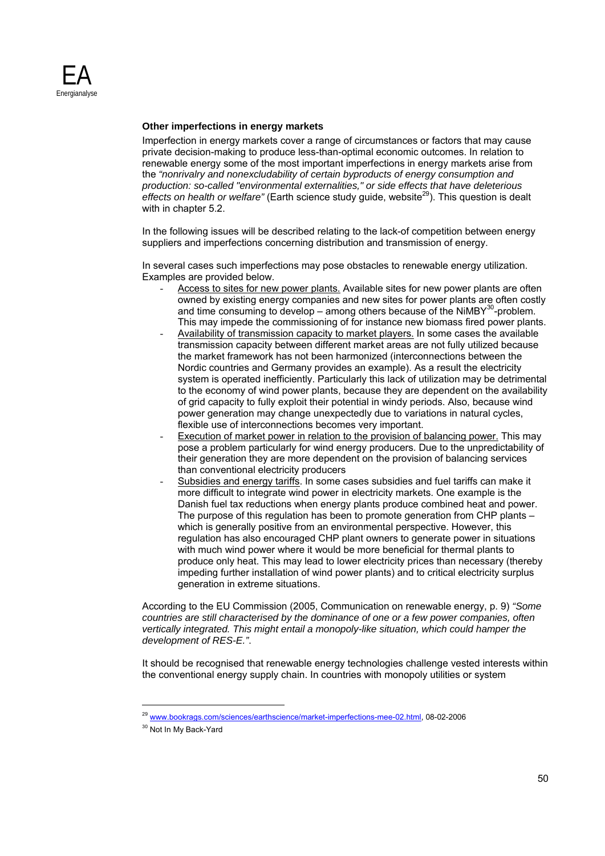#### **Other imperfections in energy markets**

Imperfection in energy markets cover a range of circumstances or factors that may cause private decision-making to produce less-than-optimal economic outcomes. In relation to renewable energy some of the most important imperfections in energy markets arise from the *"nonrivalry and nonexcludability of certain byproducts of energy consumption and production: so-called "environmental externalities," or side effects that have deleterious effects on health or welfare"* (Earth science study quide, website<sup>29</sup>). This question is dealt with in chapter 5.2.

In the following issues will be described relating to the lack-of competition between energy suppliers and imperfections concerning distribution and transmission of energy.

In several cases such imperfections may pose obstacles to renewable energy utilization. Examples are provided below.

- Access to sites for new power plants. Available sites for new power plants are often owned by existing energy companies and new sites for power plants are often costly and time consuming to develop – among others because of the  $NiMBY<sup>30</sup>$ -problem. This may impede the commissioning of for instance new biomass fired power plants.
- Availability of transmission capacity to market players. In some cases the available transmission capacity between different market areas are not fully utilized because the market framework has not been harmonized (interconnections between the Nordic countries and Germany provides an example). As a result the electricity system is operated inefficiently. Particularly this lack of utilization may be detrimental to the economy of wind power plants, because they are dependent on the availability of grid capacity to fully exploit their potential in windy periods. Also, because wind power generation may change unexpectedly due to variations in natural cycles, flexible use of interconnections becomes very important.
- Execution of market power in relation to the provision of balancing power. This may pose a problem particularly for wind energy producers. Due to the unpredictability of their generation they are more dependent on the provision of balancing services than conventional electricity producers
- Subsidies and energy tariffs. In some cases subsidies and fuel tariffs can make it more difficult to integrate wind power in electricity markets. One example is the Danish fuel tax reductions when energy plants produce combined heat and power. The purpose of this regulation has been to promote generation from CHP plants – which is generally positive from an environmental perspective. However, this regulation has also encouraged CHP plant owners to generate power in situations with much wind power where it would be more beneficial for thermal plants to produce only heat. This may lead to lower electricity prices than necessary (thereby impeding further installation of wind power plants) and to critical electricity surplus generation in extreme situations.

According to the EU Commission (2005, Communication on renewable energy, p. 9) *"Some countries are still characterised by the dominance of one or a few power companies, often vertically integrated. This might entail a monopoly-like situation, which could hamper the development of RES-E."*.

It should be recognised that renewable energy technologies challenge vested interests within the conventional energy supply chain. In countries with monopoly utilities or system

l

<sup>29</sup> www.bookrags.com/sciences/earthscience/market-imperfections-mee-02.html, 08-02-2006

<sup>&</sup>lt;sup>30</sup> Not In My Back-Yard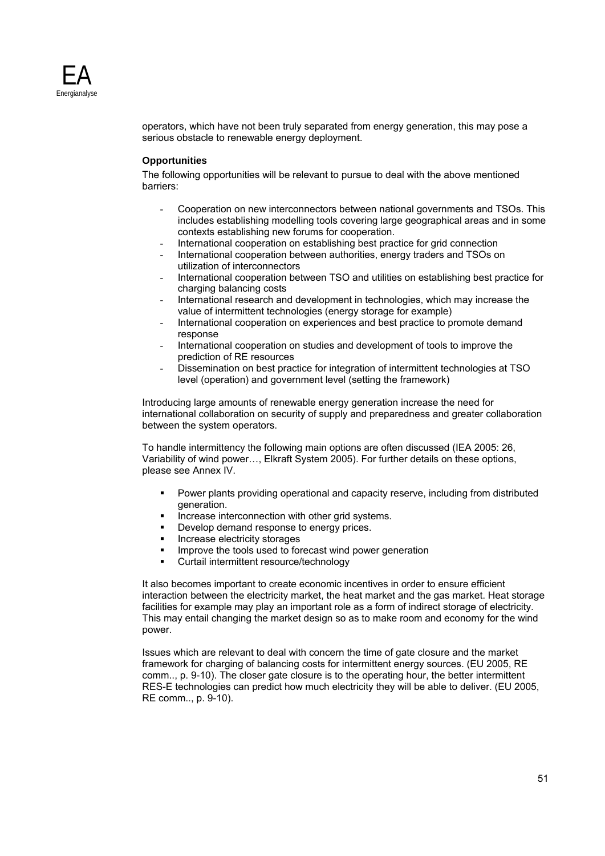operators, which have not been truly separated from energy generation, this may pose a serious obstacle to renewable energy deployment.

### **Opportunities**

The following opportunities will be relevant to pursue to deal with the above mentioned barriers:

- Cooperation on new interconnectors between national governments and TSOs. This includes establishing modelling tools covering large geographical areas and in some contexts establishing new forums for cooperation.
- International cooperation on establishing best practice for grid connection
- International cooperation between authorities, energy traders and TSOs on utilization of interconnectors
- International cooperation between TSO and utilities on establishing best practice for charging balancing costs
- International research and development in technologies, which may increase the value of intermittent technologies (energy storage for example)
- International cooperation on experiences and best practice to promote demand response
- International cooperation on studies and development of tools to improve the prediction of RE resources
- Dissemination on best practice for integration of intermittent technologies at TSO level (operation) and government level (setting the framework)

Introducing large amounts of renewable energy generation increase the need for international collaboration on security of supply and preparedness and greater collaboration between the system operators.

To handle intermittency the following main options are often discussed (IEA 2005: 26, Variability of wind power…, Elkraft System 2005). For further details on these options, please see Annex IV.

- Power plants providing operational and capacity reserve, including from distributed generation.
- Increase interconnection with other grid systems.
- Develop demand response to energy prices.
- **Increase electricity storages**
- **IMPROVE the tools used to forecast wind power generation**
- Curtail intermittent resource/technology

It also becomes important to create economic incentives in order to ensure efficient interaction between the electricity market, the heat market and the gas market. Heat storage facilities for example may play an important role as a form of indirect storage of electricity. This may entail changing the market design so as to make room and economy for the wind power.

Issues which are relevant to deal with concern the time of gate closure and the market framework for charging of balancing costs for intermittent energy sources. (EU 2005, RE comm.., p. 9-10). The closer gate closure is to the operating hour, the better intermittent RES-E technologies can predict how much electricity they will be able to deliver. (EU 2005, RE comm.., p. 9-10).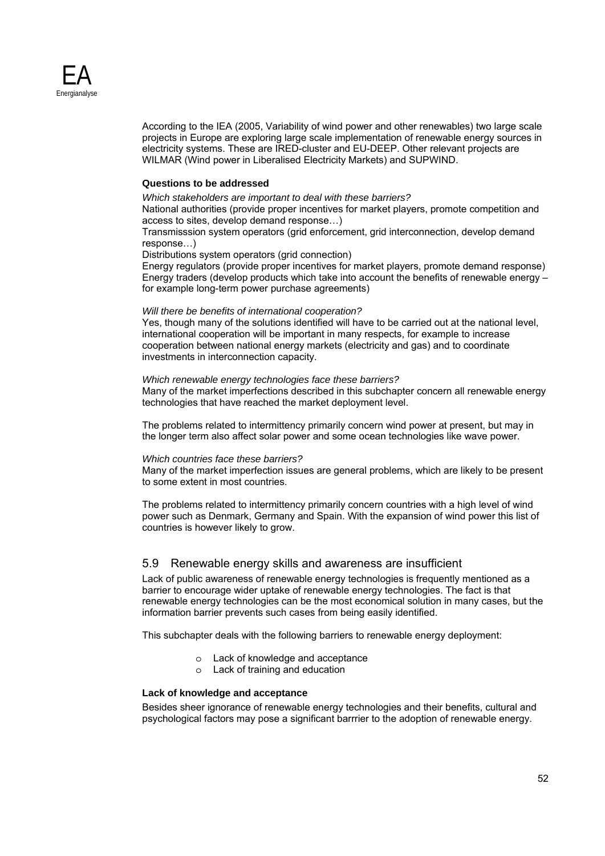According to the IEA (2005, Variability of wind power and other renewables) two large scale projects in Europe are exploring large scale implementation of renewable energy sources in electricity systems. These are IRED-cluster and EU-DEEP. Other relevant projects are WILMAR (Wind power in Liberalised Electricity Markets) and SUPWIND.

#### **Questions to be addressed**

*Which stakeholders are important to deal with these barriers?* 

National authorities (provide proper incentives for market players, promote competition and access to sites, develop demand response…)

Transmisssion system operators (grid enforcement, grid interconnection, develop demand response…)

Distributions system operators (grid connection)

Energy regulators (provide proper incentives for market players, promote demand response) Energy traders (develop products which take into account the benefits of renewable energy – for example long-term power purchase agreements)

#### *Will there be benefits of international cooperation?*

Yes, though many of the solutions identified will have to be carried out at the national level, international cooperation will be important in many respects, for example to increase cooperation between national energy markets (electricity and gas) and to coordinate investments in interconnection capacity.

#### *Which renewable energy technologies face these barriers?*

Many of the market imperfections described in this subchapter concern all renewable energy technologies that have reached the market deployment level.

The problems related to intermittency primarily concern wind power at present, but may in the longer term also affect solar power and some ocean technologies like wave power.

#### *Which countries face these barriers?*

Many of the market imperfection issues are general problems, which are likely to be present to some extent in most countries.

The problems related to intermittency primarily concern countries with a high level of wind power such as Denmark, Germany and Spain. With the expansion of wind power this list of countries is however likely to grow.

# 5.9 Renewable energy skills and awareness are insufficient

Lack of public awareness of renewable energy technologies is frequently mentioned as a barrier to encourage wider uptake of renewable energy technologies. The fact is that renewable energy technologies can be the most economical solution in many cases, but the information barrier prevents such cases from being easily identified.

This subchapter deals with the following barriers to renewable energy deployment:

- o Lack of knowledge and acceptance
- o Lack of training and education

#### **Lack of knowledge and acceptance**

Besides sheer ignorance of renewable energy technologies and their benefits, cultural and psychological factors may pose a significant barrrier to the adoption of renewable energy.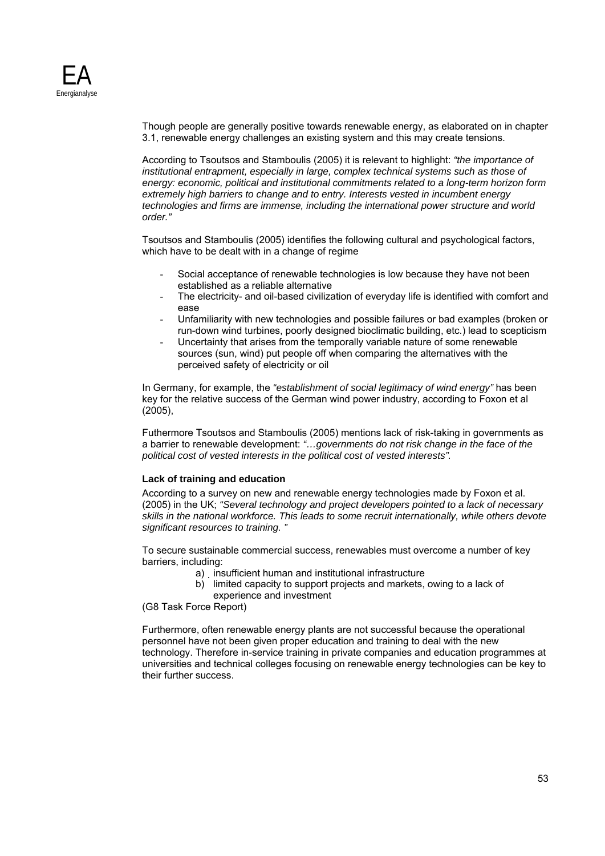Though people are generally positive towards renewable energy, as elaborated on in chapter 3.1, renewable energy challenges an existing system and this may create tensions.

According to Tsoutsos and Stamboulis (2005) it is relevant to highlight: *"the importance of institutional entrapment, especially in large, complex technical systems such as those of energy: economic, political and institutional commitments related to a long-term horizon form extremely high barriers to change and to entry. Interests vested in incumbent energy technologies and firms are immense, including the international power structure and world order."* 

Tsoutsos and Stamboulis (2005) identifies the following cultural and psychological factors, which have to be dealt with in a change of regime

- Social acceptance of renewable technologies is low because they have not been established as a reliable alternative
- The electricity- and oil-based civilization of everyday life is identified with comfort and ease
- Unfamiliarity with new technologies and possible failures or bad examples (broken or run-down wind turbines, poorly designed bioclimatic building, etc.) lead to scepticism
- Uncertainty that arises from the temporally variable nature of some renewable sources (sun, wind) put people off when comparing the alternatives with the perceived safety of electricity or oil

In Germany, for example, the *"establishment of social legitimacy of wind energy"* has been key for the relative success of the German wind power industry, according to Foxon et al (2005),

Futhermore Tsoutsos and Stamboulis (2005) mentions lack of risk-taking in governments as a barrier to renewable development: *"…governments do not risk change in the face of the political cost of vested interests in the political cost of vested interests".*

#### **Lack of training and education**

According to a survey on new and renewable energy technologies made by Foxon et al. (2005) in the UK; *"Several technology and project developers pointed to a lack of necessary skills in the national workforce. This leads to some recruit internationally, while others devote significant resources to training. "* 

To secure sustainable commercial success, renewables must overcome a number of key barriers, including:

- a) insufficient human and institutional infrastructure
- b) limited capacity to support projects and markets, owing to a lack of experience and investment

(G8 Task Force Report)

Furthermore, often renewable energy plants are not successful because the operational personnel have not been given proper education and training to deal with the new technology. Therefore in-service training in private companies and education programmes at universities and technical colleges focusing on renewable energy technologies can be key to their further success.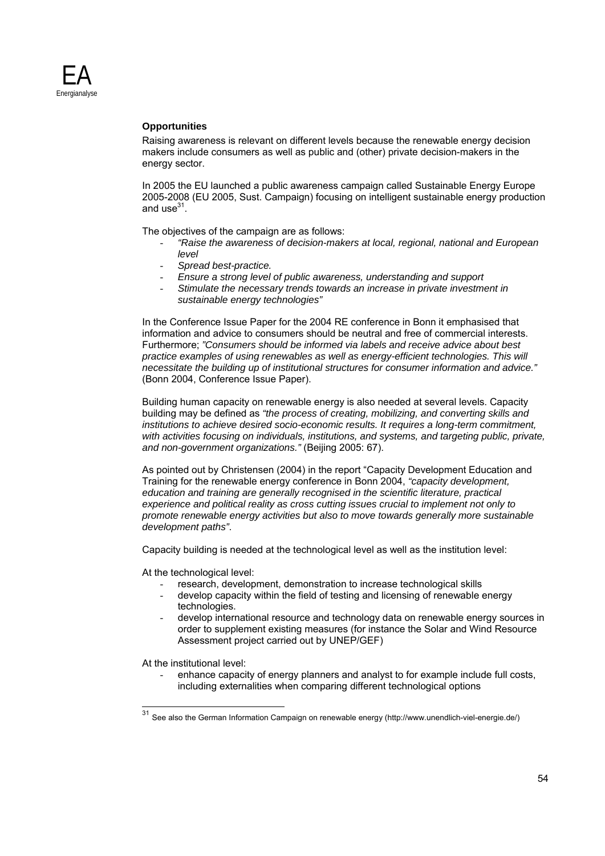#### **Opportunities**

Raising awareness is relevant on different levels because the renewable energy decision makers include consumers as well as public and (other) private decision-makers in the energy sector.

In 2005 the EU launched a public awareness campaign called Sustainable Energy Europe 2005-2008 (EU 2005, Sust. Campaign) focusing on intelligent sustainable energy production and use $^{31}$ .

The objectives of the campaign are as follows:

- *"Raise the awareness of decision-makers at local, regional, national and European level*
- *Spread best-practice.*
- *Ensure a strong level of public awareness, understanding and support*
- *Stimulate the necessary trends towards an increase in private investment in sustainable energy technologies"*

In the Conference Issue Paper for the 2004 RE conference in Bonn it emphasised that information and advice to consumers should be neutral and free of commercial interests. Furthermore; *"Consumers should be informed via labels and receive advice about best practice examples of using renewables as well as energy-efficient technologies. This will necessitate the building up of institutional structures for consumer information and advice."*  (Bonn 2004, Conference Issue Paper).

Building human capacity on renewable energy is also needed at several levels. Capacity building may be defined as *"the process of creating, mobilizing, and converting skills and institutions to achieve desired socio-economic results. It requires a long-term commitment,*  with activities focusing on individuals, institutions, and systems, and targeting public, private, *and non-government organizations."* (Beijing 2005: 67).

As pointed out by Christensen (2004) in the report "Capacity Development Education and Training for the renewable energy conference in Bonn 2004, *"capacity development, education and training are generally recognised in the scientific literature, practical experience and political reality as cross cutting issues crucial to implement not only to promote renewable energy activities but also to move towards generally more sustainable development paths"*.

Capacity building is needed at the technological level as well as the institution level:

At the technological level:

- research, development, demonstration to increase technological skills
- develop capacity within the field of testing and licensing of renewable energy technologies.
- develop international resource and technology data on renewable energy sources in order to supplement existing measures (for instance the Solar and Wind Resource Assessment project carried out by UNEP/GEF)

At the institutional level:

l

enhance capacity of energy planners and analyst to for example include full costs, including externalities when comparing different technological options

<sup>&</sup>lt;sup>31</sup> See also the German Information Campaign on renewable energy (http://www.unendlich-viel-energie.de/)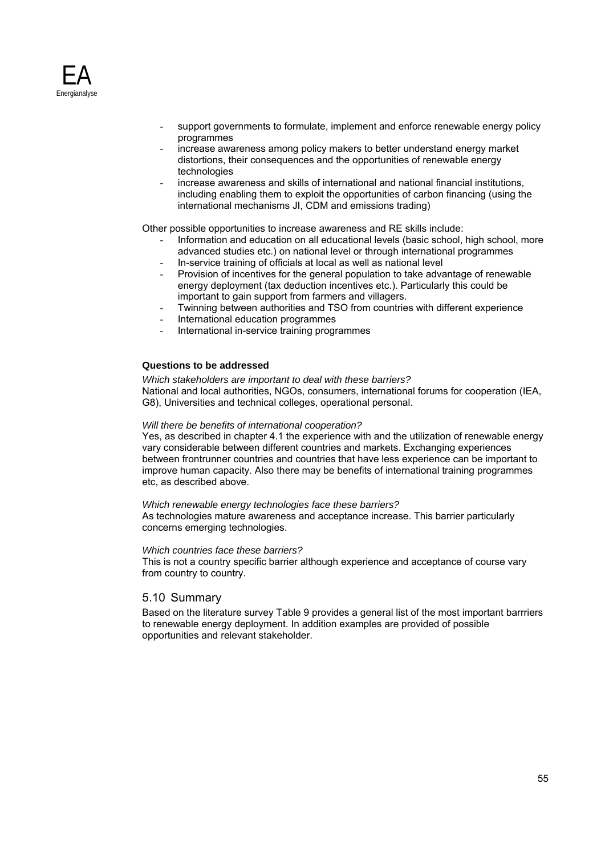- support governments to formulate, implement and enforce renewable energy policy programmes
- increase awareness among policy makers to better understand energy market distortions, their consequences and the opportunities of renewable energy technologies
- increase awareness and skills of international and national financial institutions, including enabling them to exploit the opportunities of carbon financing (using the international mechanisms JI, CDM and emissions trading)

Other possible opportunities to increase awareness and RE skills include:

- Information and education on all educational levels (basic school, high school, more advanced studies etc.) on national level or through international programmes
- In-service training of officials at local as well as national level
- Provision of incentives for the general population to take advantage of renewable energy deployment (tax deduction incentives etc.). Particularly this could be important to gain support from farmers and villagers.
- Twinning between authorities and TSO from countries with different experience
- International education programmes
- International in-service training programmes

#### **Questions to be addressed**

*Which stakeholders are important to deal with these barriers?*  National and local authorities, NGOs, consumers, international forums for cooperation (IEA, G8), Universities and technical colleges, operational personal.

#### *Will there be benefits of international cooperation?*

Yes, as described in chapter 4.1 the experience with and the utilization of renewable energy vary considerable between different countries and markets. Exchanging experiences between frontrunner countries and countries that have less experience can be important to improve human capacity. Also there may be benefits of international training programmes etc, as described above.

#### *Which renewable energy technologies face these barriers?*

As technologies mature awareness and acceptance increase. This barrier particularly concerns emerging technologies.

#### *Which countries face these barriers?*

This is not a country specific barrier although experience and acceptance of course vary from country to country.

# 5.10 Summary

Based on the literature survey Table 9 provides a general list of the most important barrriers to renewable energy deployment. In addition examples are provided of possible opportunities and relevant stakeholder.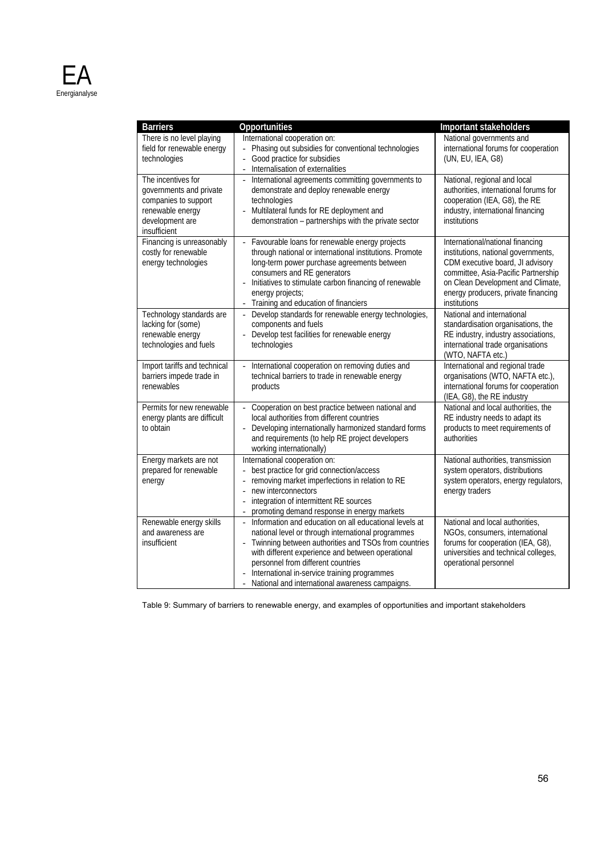| <b>Barriers</b>                                                                                                              | <b>Opportunities</b>                                                                                                                                                                                                                                                                                                                                                                               | Important stakeholders                                                                                                                                                                                                                         |
|------------------------------------------------------------------------------------------------------------------------------|----------------------------------------------------------------------------------------------------------------------------------------------------------------------------------------------------------------------------------------------------------------------------------------------------------------------------------------------------------------------------------------------------|------------------------------------------------------------------------------------------------------------------------------------------------------------------------------------------------------------------------------------------------|
| There is no level playing<br>field for renewable energy<br>technologies                                                      | International cooperation on:<br>Phasing out subsidies for conventional technologies<br>Good practice for subsidies<br>$\frac{1}{2}$<br>Internalisation of externalities                                                                                                                                                                                                                           | National governments and<br>international forums for cooperation<br>(UN, EU, IEA, G8)                                                                                                                                                          |
| The incentives for<br>governments and private<br>companies to support<br>renewable energy<br>development are<br>insufficient | International agreements committing governments to<br>demonstrate and deploy renewable energy<br>technologies<br>Multilateral funds for RE deployment and<br>demonstration - partnerships with the private sector                                                                                                                                                                                  | National, regional and local<br>authorities, international forums for<br>cooperation (IEA, G8), the RE<br>industry, international financing<br>institutions                                                                                    |
| Financing is unreasonably<br>costly for renewable<br>energy technologies                                                     | Favourable loans for renewable energy projects<br>$\blacksquare$<br>through national or international institutions. Promote<br>long-term power purchase agreements between<br>consumers and RE generators<br>Initiatives to stimulate carbon financing of renewable<br>energy projects;<br>Training and education of financiers<br>$\blacksquare$                                                  | International/national financing<br>institutions, national governments,<br>CDM executive board, JI advisory<br>committee, Asia-Pacific Partnership<br>on Clean Development and Climate,<br>energy producers, private financing<br>institutions |
| Technology standards are<br>lacking for (some)<br>renewable energy<br>technologies and fuels                                 | Develop standards for renewable energy technologies,<br>$\blacksquare$<br>components and fuels<br>Develop test facilities for renewable energy<br>$\overline{\phantom{a}}$<br>technologies                                                                                                                                                                                                         | National and international<br>standardisation organisations, the<br>RE industry, industry associations,<br>international trade organisations<br>(WTO, NAFTA etc.)                                                                              |
| Import tariffs and technical<br>barriers impede trade in<br>renewables                                                       | International cooperation on removing duties and<br>$\blacksquare$<br>technical barriers to trade in renewable energy<br>products                                                                                                                                                                                                                                                                  | International and regional trade<br>organisations (WTO, NAFTA etc.),<br>international forums for cooperation<br>(IEA, G8), the RE industry                                                                                                     |
| Permits for new renewable<br>energy plants are difficult<br>to obtain                                                        | Cooperation on best practice between national and<br>local authorities from different countries<br>Developing internationally harmonized standard forms<br>÷,<br>and requirements (to help RE project developers<br>working internationally)                                                                                                                                                       | National and local authorities, the<br>RE industry needs to adapt its<br>products to meet requirements of<br>authorities                                                                                                                       |
| Energy markets are not<br>prepared for renewable<br>energy                                                                   | International cooperation on:<br>best practice for grid connection/access<br>removing market imperfections in relation to RE<br>$\blacksquare$<br>new interconnectors<br>integration of intermittent RE sources<br>promoting demand response in energy markets<br>$\bar{\phantom{a}}$                                                                                                              | National authorities, transmission<br>system operators, distributions<br>system operators, energy regulators,<br>energy traders                                                                                                                |
| Renewable energy skills<br>and awareness are<br>insufficient                                                                 | Information and education on all educational levels at<br>$\equiv$<br>national level or through international programmes<br>Twinning between authorities and TSOs from countries<br>$\blacksquare$<br>with different experience and between operational<br>personnel from different countries<br>- International in-service training programmes<br>National and international awareness campaigns. | National and local authorities,<br>NGOs, consumers, international<br>forums for cooperation (IEA, G8),<br>universities and technical colleges,<br>operational personnel                                                                        |

Table 9: Summary of barriers to renewable energy, and examples of opportunities and important stakeholders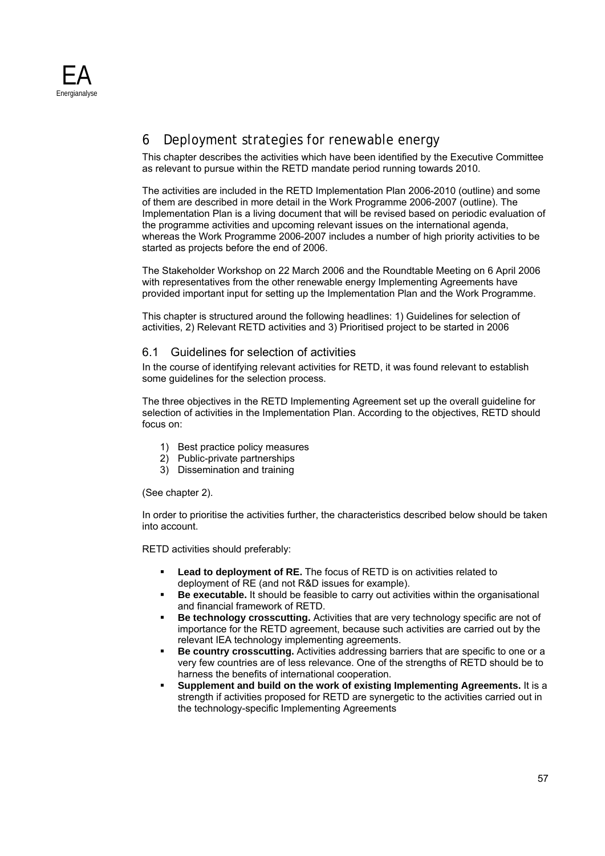# 6 Deployment strategies for renewable energy

This chapter describes the activities which have been identified by the Executive Committee as relevant to pursue within the RETD mandate period running towards 2010.

The activities are included in the RETD Implementation Plan 2006-2010 (outline) and some of them are described in more detail in the Work Programme 2006-2007 (outline). The Implementation Plan is a living document that will be revised based on periodic evaluation of the programme activities and upcoming relevant issues on the international agenda, whereas the Work Programme 2006-2007 includes a number of high priority activities to be started as projects before the end of 2006.

The Stakeholder Workshop on 22 March 2006 and the Roundtable Meeting on 6 April 2006 with representatives from the other renewable energy Implementing Agreements have provided important input for setting up the Implementation Plan and the Work Programme.

This chapter is structured around the following headlines: 1) Guidelines for selection of activities, 2) Relevant RETD activities and 3) Prioritised project to be started in 2006

# 6.1 Guidelines for selection of activities

In the course of identifying relevant activities for RETD, it was found relevant to establish some guidelines for the selection process.

The three objectives in the RETD Implementing Agreement set up the overall guideline for selection of activities in the Implementation Plan. According to the objectives, RETD should focus on:

- 1) Best practice policy measures
- 2) Public-private partnerships
- 3) Dissemination and training

(See chapter 2).

In order to prioritise the activities further, the characteristics described below should be taken into account.

RETD activities should preferably:

- **Lead to deployment of RE.** The focus of RETD is on activities related to deployment of RE (and not R&D issues for example).
- **Be executable.** It should be feasible to carry out activities within the organisational and financial framework of RETD.
- **Be technology crosscutting.** Activities that are very technology specific are not of importance for the RETD agreement, because such activities are carried out by the relevant IEA technology implementing agreements.
- **Be country crosscutting.** Activities addressing barriers that are specific to one or a very few countries are of less relevance. One of the strengths of RETD should be to harness the benefits of international cooperation.
- **Supplement and build on the work of existing Implementing Agreements.** It is a strength if activities proposed for RETD are synergetic to the activities carried out in the technology-specific Implementing Agreements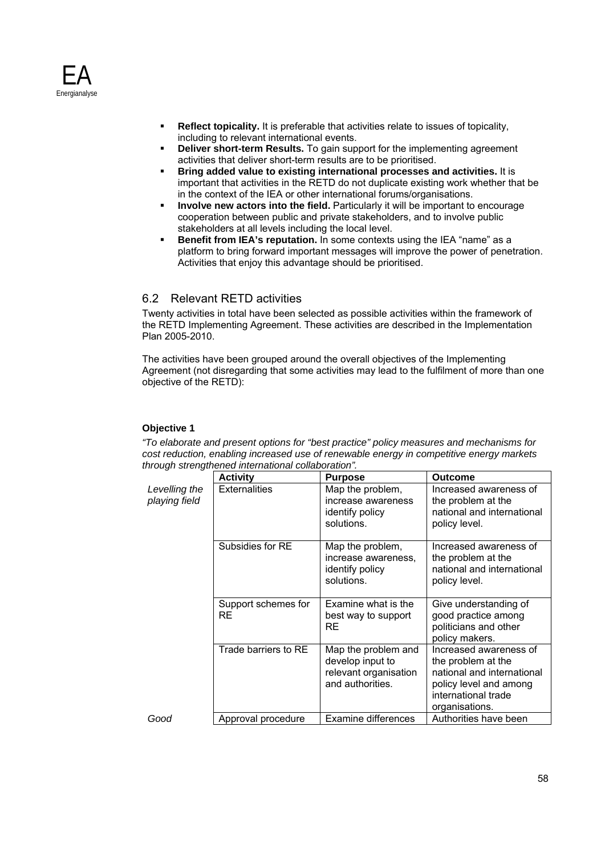

- **Reflect topicality.** It is preferable that activities relate to issues of topicality, including to relevant international events.
- **Deliver short-term Results.** To gain support for the implementing agreement activities that deliver short-term results are to be prioritised.
- **Bring added value to existing international processes and activities.** It is important that activities in the RETD do not duplicate existing work whether that be in the context of the IEA or other international forums/organisations.
- **Involve new actors into the field.** Particularly it will be important to encourage cooperation between public and private stakeholders, and to involve public stakeholders at all levels including the local level.
- **Benefit from IEA's reputation.** In some contexts using the IEA "name" as a platform to bring forward important messages will improve the power of penetration. Activities that enjoy this advantage should be prioritised.

# 6.2 Relevant RETD activities

Twenty activities in total have been selected as possible activities within the framework of the RETD Implementing Agreement. These activities are described in the Implementation Plan 2005-2010.

The activities have been grouped around the overall objectives of the Implementing Agreement (not disregarding that some activities may lead to the fulfilment of more than one objective of the RETD):

# **Objective 1**

*"To elaborate and present options for "best practice" policy measures and mechanisms for cost reduction, enabling increased use of renewable energy in competitive energy markets through strengthened international collaboration".* 

|                                | <b>Activity</b>                  | <b>Purpose</b>                                                                       | <b>Outcome</b>                                                                                                                                |
|--------------------------------|----------------------------------|--------------------------------------------------------------------------------------|-----------------------------------------------------------------------------------------------------------------------------------------------|
| Levelling the<br>playing field | <b>Externalities</b>             | Map the problem,<br>increase awareness<br>identify policy<br>solutions.              | Increased awareness of<br>the problem at the<br>national and international<br>policy level.                                                   |
|                                | Subsidies for RE                 | Map the problem,<br>increase awareness,<br>identify policy<br>solutions.             | Increased awareness of<br>the problem at the<br>national and international<br>policy level.                                                   |
|                                | Support schemes for<br><b>RE</b> | Examine what is the<br>best way to support<br><b>RE</b>                              | Give understanding of<br>good practice among<br>politicians and other<br>policy makers.                                                       |
|                                | Trade barriers to RE             | Map the problem and<br>develop input to<br>relevant organisation<br>and authorities. | Increased awareness of<br>the problem at the<br>national and international<br>policy level and among<br>international trade<br>organisations. |
| Good                           | Approval procedure               | <b>Examine differences</b>                                                           | Authorities have been                                                                                                                         |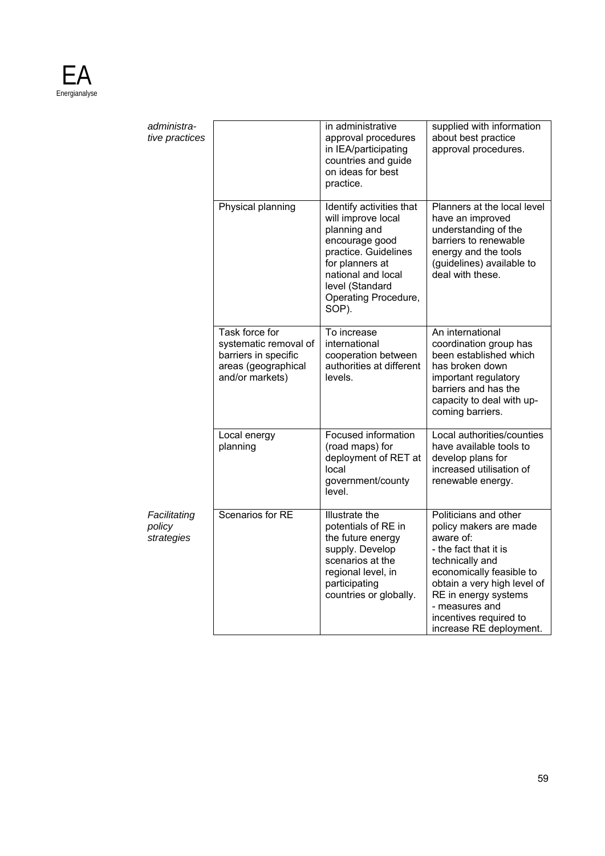| administra-<br>tive practices        |                                                                                                           | in administrative<br>approval procedures<br>in IEA/participating<br>countries and guide<br>on ideas for best<br>practice.                                                                             | supplied with information<br>about best practice<br>approval procedures.                                                                                                                                                                                           |
|--------------------------------------|-----------------------------------------------------------------------------------------------------------|-------------------------------------------------------------------------------------------------------------------------------------------------------------------------------------------------------|--------------------------------------------------------------------------------------------------------------------------------------------------------------------------------------------------------------------------------------------------------------------|
|                                      | Physical planning                                                                                         | Identify activities that<br>will improve local<br>planning and<br>encourage good<br>practice. Guidelines<br>for planners at<br>national and local<br>level (Standard<br>Operating Procedure,<br>SOP). | Planners at the local level<br>have an improved<br>understanding of the<br>barriers to renewable<br>energy and the tools<br>(guidelines) available to<br>deal with these.                                                                                          |
|                                      | Task force for<br>systematic removal of<br>barriers in specific<br>areas (geographical<br>and/or markets) | To increase<br>international<br>cooperation between<br>authorities at different<br>levels.                                                                                                            | An international<br>coordination group has<br>been established which<br>has broken down<br>important regulatory<br>barriers and has the<br>capacity to deal with up-<br>coming barriers.                                                                           |
|                                      | Local energy<br>planning                                                                                  | Focused information<br>(road maps) for<br>deployment of RET at<br>local<br>government/county<br>level.                                                                                                | Local authorities/counties<br>have available tools to<br>develop plans for<br>increased utilisation of<br>renewable energy.                                                                                                                                        |
| Facilitating<br>policy<br>strategies | Scenarios for RE                                                                                          | Illustrate the<br>potentials of RE in<br>the future energy<br>supply. Develop<br>scenarios at the<br>regional level, in<br>participating<br>countries or globally.                                    | Politicians and other<br>policy makers are made<br>aware of:<br>- the fact that it is<br>technically and<br>economically feasible to<br>obtain a very high level of<br>RE in energy systems<br>- measures and<br>incentives required to<br>increase RE deployment. |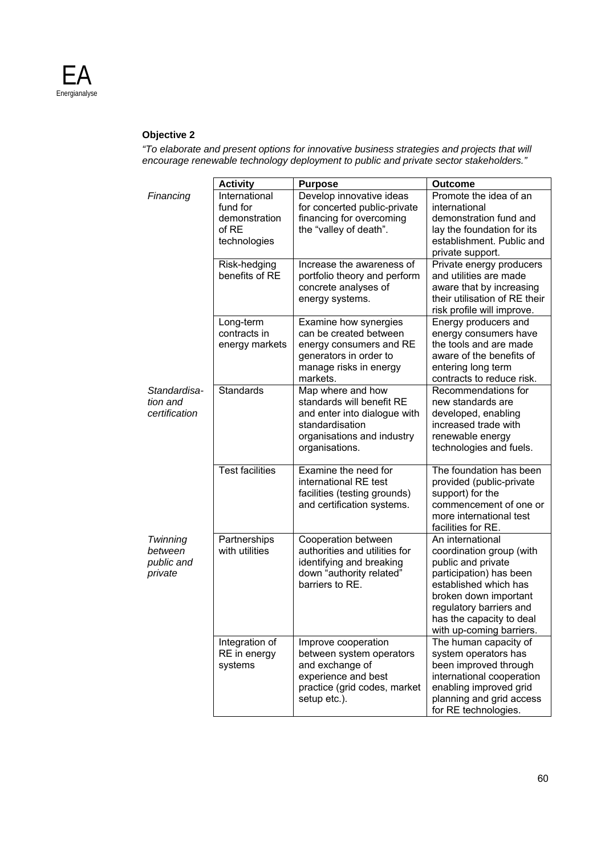

# **Objective 2**

*"To elaborate and present options for innovative business strategies and projects that will encourage renewable technology deployment to public and private sector stakeholders."* 

|               | <b>Activity</b>                | <b>Purpose</b>                                  | <b>Outcome</b>                                     |
|---------------|--------------------------------|-------------------------------------------------|----------------------------------------------------|
| Financing     | International                  | Develop innovative ideas                        | Promote the idea of an                             |
|               | fund for                       | for concerted public-private                    | international                                      |
|               | demonstration                  | financing for overcoming                        | demonstration fund and                             |
|               | of RE                          | the "valley of death".                          | lay the foundation for its                         |
|               |                                |                                                 | establishment. Public and                          |
|               | technologies                   |                                                 |                                                    |
|               |                                | Increase the awareness of                       | private support.                                   |
|               | Risk-hedging<br>benefits of RE | portfolio theory and perform                    | Private energy producers<br>and utilities are made |
|               |                                | concrete analyses of                            | aware that by increasing                           |
|               |                                | energy systems.                                 | their utilisation of RE their                      |
|               |                                |                                                 | risk profile will improve.                         |
|               | Long-term                      | Examine how synergies                           | Energy producers and                               |
|               | contracts in                   | can be created between                          | energy consumers have                              |
|               | energy markets                 | energy consumers and RE                         | the tools and are made                             |
|               |                                | generators in order to                          | aware of the benefits of                           |
|               |                                | manage risks in energy                          | entering long term                                 |
|               |                                | markets.                                        | contracts to reduce risk.                          |
| Standardisa-  | <b>Standards</b>               | Map where and how                               | Recommendations for                                |
| tion and      |                                | standards will benefit RE                       | new standards are                                  |
| certification |                                | and enter into dialogue with                    | developed, enabling                                |
|               |                                | standardisation                                 | increased trade with                               |
|               |                                | organisations and industry                      | renewable energy                                   |
|               |                                | organisations.                                  | technologies and fuels.                            |
|               |                                |                                                 |                                                    |
|               | <b>Test facilities</b>         | Examine the need for                            | The foundation has been                            |
|               |                                | international RE test                           | provided (public-private                           |
|               |                                | facilities (testing grounds)                    | support) for the                                   |
|               |                                | and certification systems.                      | commencement of one or                             |
|               |                                |                                                 | more international test                            |
|               |                                |                                                 | facilities for RE.                                 |
| Twinning      | Partnerships                   | Cooperation between                             | An international                                   |
| between       | with utilities                 | authorities and utilities for                   | coordination group (with                           |
| public and    |                                | identifying and breaking                        | public and private                                 |
| private       |                                | down "authority related"                        | participation) has been                            |
|               |                                | barriers to RE.                                 | established which has                              |
|               |                                |                                                 | broken down important                              |
|               |                                |                                                 | regulatory barriers and                            |
|               |                                |                                                 | has the capacity to deal                           |
|               |                                |                                                 | with up-coming barriers.                           |
|               | Integration of<br>RE in energy | Improve cooperation<br>between system operators | The human capacity of<br>system operators has      |
|               | systems                        | and exchange of                                 | been improved through                              |
|               |                                | experience and best                             | international cooperation                          |
|               |                                | practice (grid codes, market                    | enabling improved grid                             |
|               |                                | setup etc.).                                    | planning and grid access                           |
|               |                                |                                                 | for RE technologies.                               |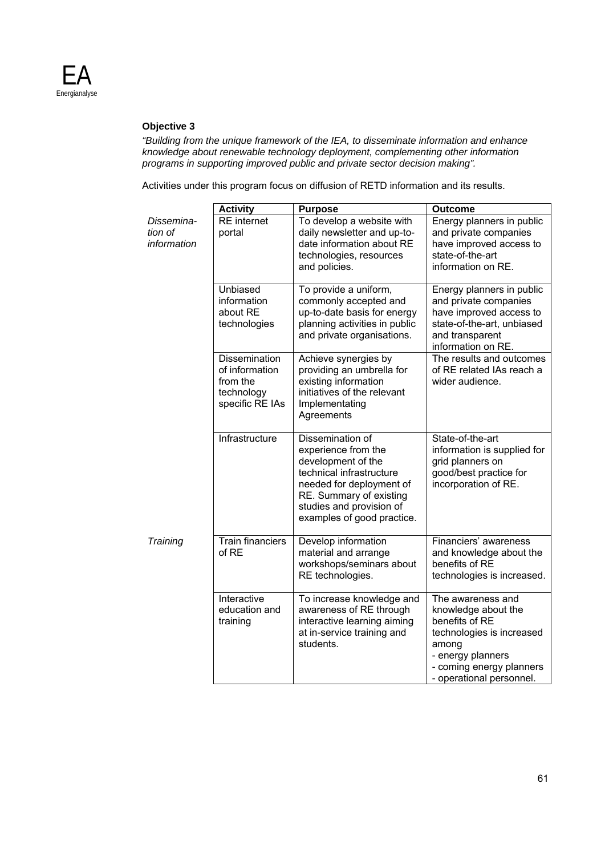# **Objective 3**

*"Building from the unique framework of the IEA, to disseminate information and enhance knowledge about renewable technology deployment, complementing other information programs in supporting improved public and private sector decision making".* 

Activities under this program focus on diffusion of RETD information and its results.

|                                      | <b>Activity</b>                                                              | <b>Purpose</b>                                                                                                                                                                                             | <b>Outcome</b>                                                                                                                                                                |
|--------------------------------------|------------------------------------------------------------------------------|------------------------------------------------------------------------------------------------------------------------------------------------------------------------------------------------------------|-------------------------------------------------------------------------------------------------------------------------------------------------------------------------------|
| Dissemina-<br>tion of<br>information | <b>RE</b> internet<br>portal                                                 | To develop a website with<br>daily newsletter and up-to-<br>date information about RE<br>technologies, resources<br>and policies.                                                                          | Energy planners in public<br>and private companies<br>have improved access to<br>state-of-the-art<br>information on RE.                                                       |
|                                      | Unbiased<br>information<br>about RE<br>technologies                          | To provide a uniform,<br>commonly accepted and<br>up-to-date basis for energy<br>planning activities in public<br>and private organisations.                                                               | Energy planners in public<br>and private companies<br>have improved access to<br>state-of-the-art, unbiased<br>and transparent<br>information on RE.                          |
|                                      | Dissemination<br>of information<br>from the<br>technology<br>specific RE IAs | Achieve synergies by<br>providing an umbrella for<br>existing information<br>initiatives of the relevant<br>Implementating<br>Agreements                                                                   | The results and outcomes<br>of RE related IAs reach a<br>wider audience.                                                                                                      |
|                                      | Infrastructure                                                               | Dissemination of<br>experience from the<br>development of the<br>technical infrastructure<br>needed for deployment of<br>RE. Summary of existing<br>studies and provision of<br>examples of good practice. | State-of-the-art<br>information is supplied for<br>grid planners on<br>good/best practice for<br>incorporation of RE.                                                         |
| Training                             | <b>Train financiers</b><br>of RE                                             | Develop information<br>material and arrange<br>workshops/seminars about<br>RE technologies.                                                                                                                | Financiers' awareness<br>and knowledge about the<br>benefits of RE<br>technologies is increased.                                                                              |
|                                      | Interactive<br>education and<br>training                                     | To increase knowledge and<br>awareness of RE through<br>interactive learning aiming<br>at in-service training and<br>students.                                                                             | The awareness and<br>knowledge about the<br>benefits of RE<br>technologies is increased<br>among<br>- energy planners<br>- coming energy planners<br>- operational personnel. |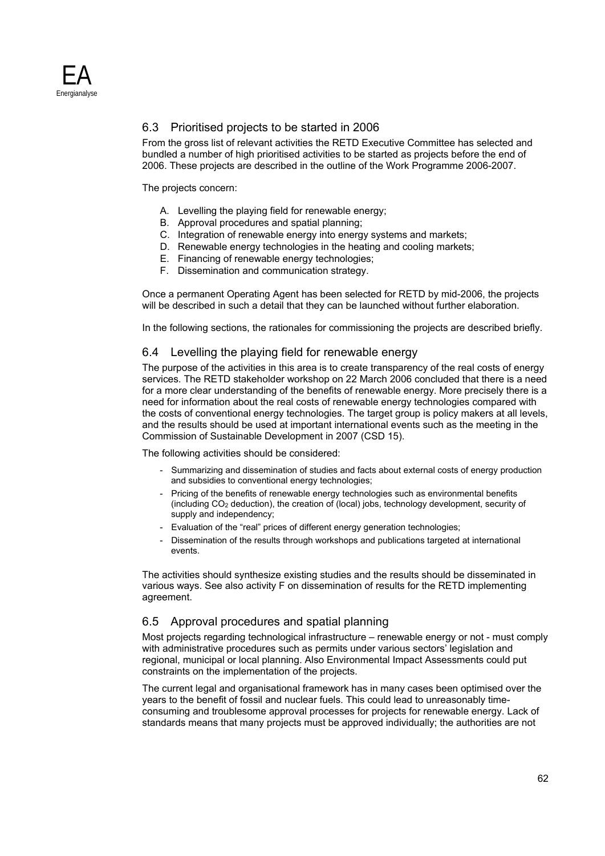# 6.3 Prioritised projects to be started in 2006

From the gross list of relevant activities the RETD Executive Committee has selected and bundled a number of high prioritised activities to be started as projects before the end of 2006. These projects are described in the outline of the Work Programme 2006-2007.

The projects concern:

- A. Levelling the playing field for renewable energy;
- B. Approval procedures and spatial planning;
- C. Integration of renewable energy into energy systems and markets;
- D. Renewable energy technologies in the heating and cooling markets;
- E. Financing of renewable energy technologies;
- F. Dissemination and communication strategy.

Once a permanent Operating Agent has been selected for RETD by mid-2006, the projects will be described in such a detail that they can be launched without further elaboration.

In the following sections, the rationales for commissioning the projects are described briefly.

### 6.4 Levelling the playing field for renewable energy

The purpose of the activities in this area is to create transparency of the real costs of energy services. The RETD stakeholder workshop on 22 March 2006 concluded that there is a need for a more clear understanding of the benefits of renewable energy. More precisely there is a need for information about the real costs of renewable energy technologies compared with the costs of conventional energy technologies. The target group is policy makers at all levels, and the results should be used at important international events such as the meeting in the Commission of Sustainable Development in 2007 (CSD 15).

The following activities should be considered:

- Summarizing and dissemination of studies and facts about external costs of energy production and subsidies to conventional energy technologies;
- Pricing of the benefits of renewable energy technologies such as environmental benefits (including CO2 deduction), the creation of (local) jobs, technology development, security of supply and independency;
- Evaluation of the "real" prices of different energy generation technologies;
- Dissemination of the results through workshops and publications targeted at international events.

The activities should synthesize existing studies and the results should be disseminated in various ways. See also activity F on dissemination of results for the RETD implementing agreement.

# 6.5 Approval procedures and spatial planning

Most projects regarding technological infrastructure – renewable energy or not - must comply with administrative procedures such as permits under various sectors' legislation and regional, municipal or local planning. Also Environmental Impact Assessments could put constraints on the implementation of the projects.

The current legal and organisational framework has in many cases been optimised over the years to the benefit of fossil and nuclear fuels. This could lead to unreasonably timeconsuming and troublesome approval processes for projects for renewable energy. Lack of standards means that many projects must be approved individually; the authorities are not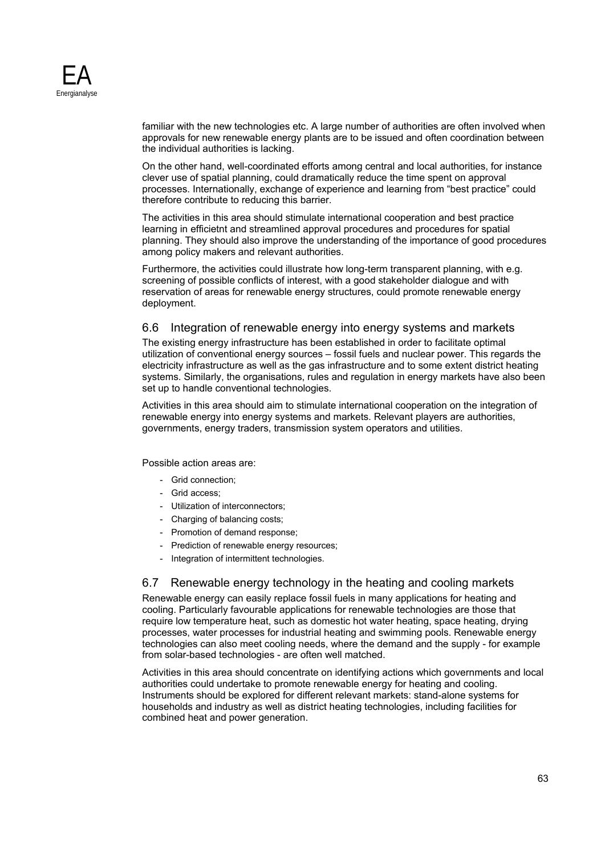familiar with the new technologies etc. A large number of authorities are often involved when approvals for new renewable energy plants are to be issued and often coordination between the individual authorities is lacking.

On the other hand, well-coordinated efforts among central and local authorities, for instance clever use of spatial planning, could dramatically reduce the time spent on approval processes. Internationally, exchange of experience and learning from "best practice" could therefore contribute to reducing this barrier.

The activities in this area should stimulate international cooperation and best practice learning in efficietnt and streamlined approval procedures and procedures for spatial planning. They should also improve the understanding of the importance of good procedures among policy makers and relevant authorities.

Furthermore, the activities could illustrate how long-term transparent planning, with e.g. screening of possible conflicts of interest, with a good stakeholder dialogue and with reservation of areas for renewable energy structures, could promote renewable energy deployment.

# 6.6 Integration of renewable energy into energy systems and markets

The existing energy infrastructure has been established in order to facilitate optimal utilization of conventional energy sources – fossil fuels and nuclear power. This regards the electricity infrastructure as well as the gas infrastructure and to some extent district heating systems. Similarly, the organisations, rules and regulation in energy markets have also been set up to handle conventional technologies.

Activities in this area should aim to stimulate international cooperation on the integration of renewable energy into energy systems and markets. Relevant players are authorities, governments, energy traders, transmission system operators and utilities.

#### Possible action areas are:

- Grid connection;
- Grid access;
- Utilization of interconnectors;
- Charging of balancing costs:
- Promotion of demand response;
- Prediction of renewable energy resources;
- Integration of intermittent technologies.

# 6.7 Renewable energy technology in the heating and cooling markets

Renewable energy can easily replace fossil fuels in many applications for heating and cooling. Particularly favourable applications for renewable technologies are those that require low temperature heat, such as domestic hot water heating, space heating, drying processes, water processes for industrial heating and swimming pools. Renewable energy technologies can also meet cooling needs, where the demand and the supply - for example from solar-based technologies - are often well matched.

Activities in this area should concentrate on identifying actions which governments and local authorities could undertake to promote renewable energy for heating and cooling. Instruments should be explored for different relevant markets: stand-alone systems for households and industry as well as district heating technologies, including facilities for combined heat and power generation.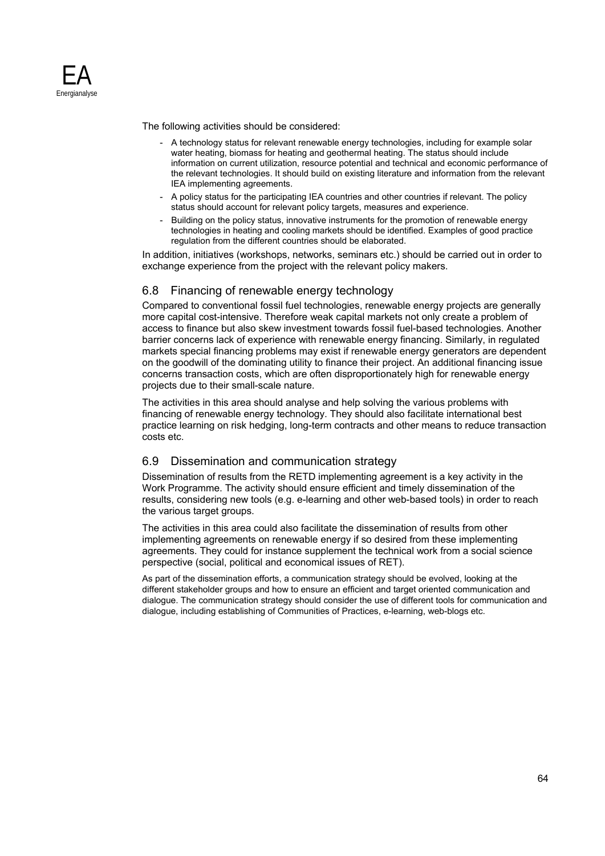The following activities should be considered:

- A technology status for relevant renewable energy technologies, including for example solar water heating, biomass for heating and geothermal heating. The status should include information on current utilization, resource potential and technical and economic performance of the relevant technologies. It should build on existing literature and information from the relevant IEA implementing agreements.
- A policy status for the participating IEA countries and other countries if relevant. The policy status should account for relevant policy targets, measures and experience.
- Building on the policy status, innovative instruments for the promotion of renewable energy technologies in heating and cooling markets should be identified. Examples of good practice regulation from the different countries should be elaborated.

In addition, initiatives (workshops, networks, seminars etc.) should be carried out in order to exchange experience from the project with the relevant policy makers.

# 6.8 Financing of renewable energy technology

Compared to conventional fossil fuel technologies, renewable energy projects are generally more capital cost-intensive. Therefore weak capital markets not only create a problem of access to finance but also skew investment towards fossil fuel-based technologies. Another barrier concerns lack of experience with renewable energy financing. Similarly, in regulated markets special financing problems may exist if renewable energy generators are dependent on the goodwill of the dominating utility to finance their project. An additional financing issue concerns transaction costs, which are often disproportionately high for renewable energy projects due to their small-scale nature.

The activities in this area should analyse and help solving the various problems with financing of renewable energy technology. They should also facilitate international best practice learning on risk hedging, long-term contracts and other means to reduce transaction costs etc.

# 6.9 Dissemination and communication strategy

Dissemination of results from the RETD implementing agreement is a key activity in the Work Programme. The activity should ensure efficient and timely dissemination of the results, considering new tools (e.g. e-learning and other web-based tools) in order to reach the various target groups.

The activities in this area could also facilitate the dissemination of results from other implementing agreements on renewable energy if so desired from these implementing agreements. They could for instance supplement the technical work from a social science perspective (social, political and economical issues of RET).

As part of the dissemination efforts, a communication strategy should be evolved, looking at the different stakeholder groups and how to ensure an efficient and target oriented communication and dialogue. The communication strategy should consider the use of different tools for communication and dialogue, including establishing of Communities of Practices, e-learning, web-blogs etc.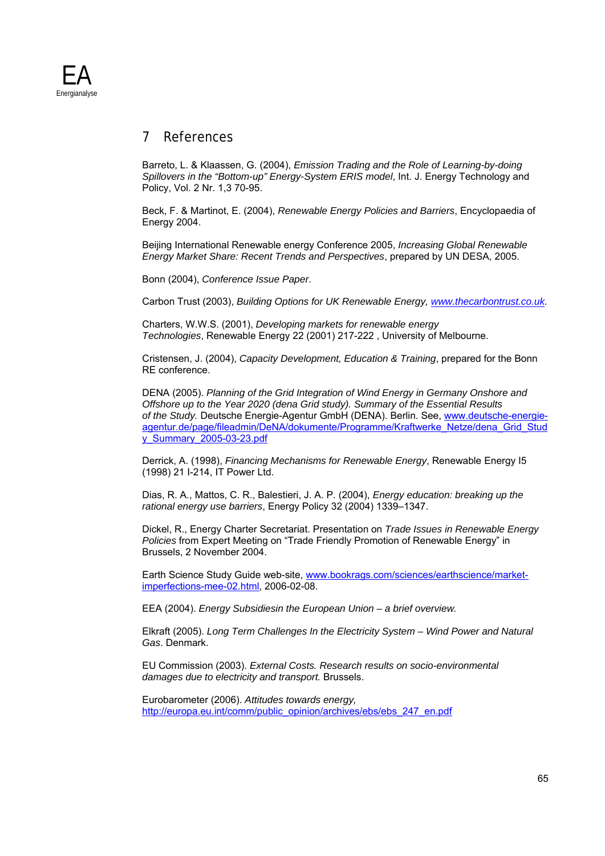# 7 References

Barreto, L. & Klaassen, G. (2004), *Emission Trading and the Role of Learning-by-doing Spillovers in the "Bottom-up" Energy-System ERIS model*, Int. J. Energy Technology and Policy, Vol. 2 Nr. 1,3 70-95.

Beck, F. & Martinot, E. (2004), *Renewable Energy Policies and Barriers*, Encyclopaedia of Energy 2004.

Beijing International Renewable energy Conference 2005, *Increasing Global Renewable Energy Market Share: Recent Trends and Perspectives*, prepared by UN DESA, 2005.

Bonn (2004), *Conference Issue Paper*.

Carbon Trust (2003), *Building Options for UK Renewable Energy, www.thecarbontrust.co.uk.* 

Charters, W.W.S. (2001), *Developing markets for renewable energy Technologies*, Renewable Energy 22 (2001) 217-222 , University of Melbourne.

Cristensen, J. (2004), *Capacity Development, Education & Training*, prepared for the Bonn RE conference.

DENA (2005). *Planning of the Grid Integration of Wind Energy in Germany Onshore and Offshore up to the Year 2020 (dena Grid study). Summary of the Essential Results of the Study.* Deutsche Energie-Agentur GmbH (DENA). Berlin. See, www.deutsche-energieagentur.de/page/fileadmin/DeNA/dokumente/Programme/Kraftwerke\_Netze/dena\_Grid\_Stud y\_Summary\_2005-03-23.pdf

Derrick, A. (1998), *Financing Mechanisms for Renewable Energy*, Renewable Energy I5 (1998) 21 I-214, IT Power Ltd.

Dias, R. A., Mattos, C. R., Balestieri, J. A. P. (2004), *Energy education: breaking up the rational energy use barriers*, Energy Policy 32 (2004) 1339–1347.

Dickel, R., Energy Charter Secretariat. Presentation on *Trade Issues in Renewable Energy Policies* from Expert Meeting on "Trade Friendly Promotion of Renewable Energy" in Brussels, 2 November 2004.

Earth Science Study Guide web-site, www.bookrags.com/sciences/earthscience/marketimperfections-mee-02.html, 2006-02-08.

EEA (2004). *Energy Subsidiesin the European Union – a brief overview.* 

Elkraft (2005). *Long Term Challenges In the Electricity System – Wind Power and Natural Gas*. Denmark.

EU Commission (2003). *External Costs. Research results on socio-environmental damages due to electricity and transport.* Brussels.

Eurobarometer (2006). *Attitudes towards energy,* http://europa.eu.int/comm/public\_opinion/archives/ebs/ebs\_247\_en.pdf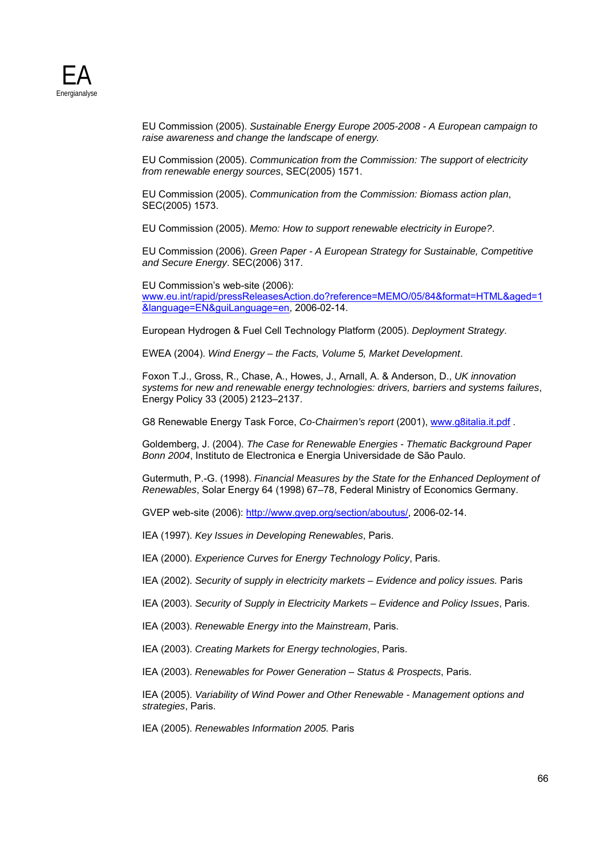EU Commission (2005). *Sustainable Energy Europe 2005-2008 - A European campaign to raise awareness and change the landscape of energy.*

EU Commission (2005). *Communication from the Commission: The support of electricity from renewable energy sources*, SEC(2005) 1571.

EU Commission (2005). *Communication from the Commission: Biomass action plan*, SEC(2005) 1573.

EU Commission (2005). *Memo: How to support renewable electricity in Europe?*.

EU Commission (2006). *Green Paper - A European Strategy for Sustainable, Competitive and Secure Energy*. SEC(2006) 317.

EU Commission's web-site (2006): www.eu.int/rapid/pressReleasesAction.do?reference=MEMO/05/84&format=HTML&aged=1 &language=EN&guiLanguage=en, 2006-02-14.

European Hydrogen & Fuel Cell Technology Platform (2005). *Deployment Strategy*.

EWEA (2004). *Wind Energy – the Facts, Volume 5, Market Development*.

Foxon T.J., Gross, R., Chase, A., Howes, J., Arnall, A. & Anderson, D., *UK innovation systems for new and renewable energy technologies: drivers, barriers and systems failures*, Energy Policy 33 (2005) 2123–2137.

G8 Renewable Energy Task Force, *Co-Chairmen's report* (2001), www.g8italia.it.pdf .

Goldemberg, J. (2004). *The Case for Renewable Energies - Thematic Background Paper Bonn 2004*, Instituto de Electronica e Energia Universidade de São Paulo.

Gutermuth, P.-G. (1998). *Financial Measures by the State for the Enhanced Deployment of Renewables*, Solar Energy 64 (1998) 67–78, Federal Ministry of Economics Germany.

GVEP web-site (2006): http://www.gvep.org/section/aboutus/, 2006-02-14.

IEA (1997). *Key Issues in Developing Renewables*, Paris.

IEA (2000). *Experience Curves for Energy Technology Policy*, Paris.

IEA (2002). *Security of supply in electricity markets – Evidence and policy issues.* Paris

IEA (2003). *Security of Supply in Electricity Markets – Evidence and Policy Issues*, Paris.

IEA (2003). *Renewable Energy into the Mainstream*, Paris.

IEA (2003). *Creating Markets for Energy technologies*, Paris.

IEA (2003). *Renewables for Power Generation – Status & Prospects*, Paris.

IEA (2005). *Variability of Wind Power and Other Renewable - Management options and strategies*, Paris.

IEA (2005). *Renewables Information 2005.* Paris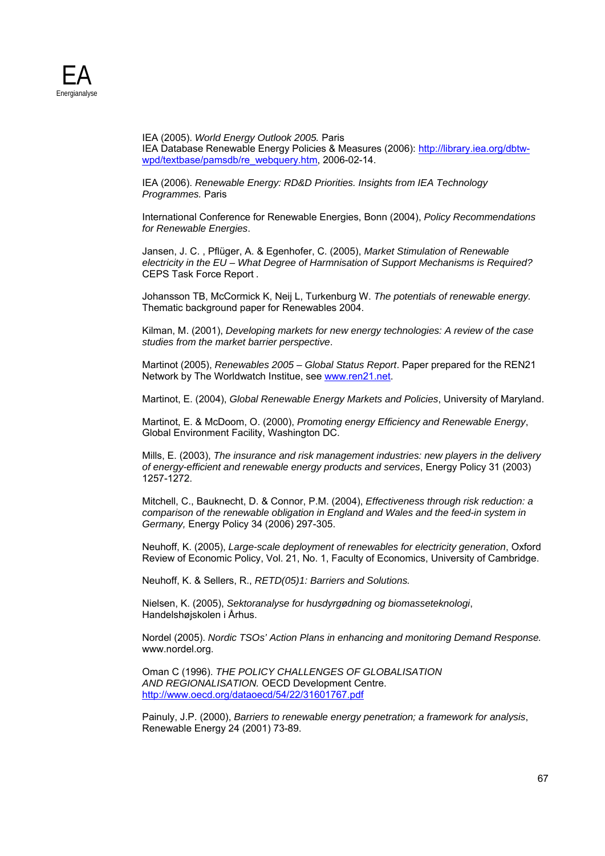IEA (2005). *World Energy Outlook 2005.* Paris IEA Database Renewable Energy Policies & Measures (2006): http://library.iea.org/dbtwwpd/textbase/pamsdb/re\_webquery.htm, 2006-02-14.

IEA (2006). *Renewable Energy: RD&D Priorities. Insights from IEA Technology Programmes.* Paris

International Conference for Renewable Energies, Bonn (2004), *Policy Recommendations for Renewable Energies*.

Jansen, J. C. , Pflüger, A. & Egenhofer, C. (2005), *Market Stimulation of Renewable electricity in the EU – What Degree of Harmnisation of Support Mechanisms is Required?* CEPS Task Force Report *.* 

Johansson TB, McCormick K, Neij L, Turkenburg W. *The potentials of renewable energy.*  Thematic background paper for Renewables 2004.

Kilman, M. (2001), *Developing markets for new energy technologies: A review of the case studies from the market barrier perspective*.

Martinot (2005), *Renewables 2005 – Global Status Report*. Paper prepared for the REN21 Network by The Worldwatch Institue, see www.ren21.net.

Martinot, E. (2004), *Global Renewable Energy Markets and Policies*, University of Maryland.

Martinot, E. & McDoom, O. (2000), *Promoting energy Efficiency and Renewable Energy*, Global Environment Facility, Washington DC.

Mills, E. (2003), *The insurance and risk management industries: new players in the delivery of energy-efficient and renewable energy products and services*, Energy Policy 31 (2003) 1257-1272.

Mitchell, C., Bauknecht, D. & Connor, P.M. (2004), *Effectiveness through risk reduction: a comparison of the renewable obligation in England and Wales and the feed-in system in Germany,* Energy Policy 34 (2006) 297-305.

Neuhoff, K. (2005), *Large-scale deployment of renewables for electricity generation*, Oxford Review of Economic Policy, Vol. 21, No. 1, Faculty of Economics, University of Cambridge.

Neuhoff, K. & Sellers, R., *RETD(05)1: Barriers and Solutions.* 

Nielsen, K. (2005), *Sektoranalyse for husdyrgødning og biomasseteknologi*, Handelshøjskolen i Århus.

Nordel (2005). *Nordic TSOs' Action Plans in enhancing and monitoring Demand Response.* www.nordel.org.

Oman C (1996). *THE POLICY CHALLENGES OF GLOBALISATION AND REGIONALISATION.* OECD Development Centre. http://www.oecd.org/dataoecd/54/22/31601767.pdf

Painuly, J.P. (2000), *Barriers to renewable energy penetration; a framework for analysis*, Renewable Energy 24 (2001) 73-89.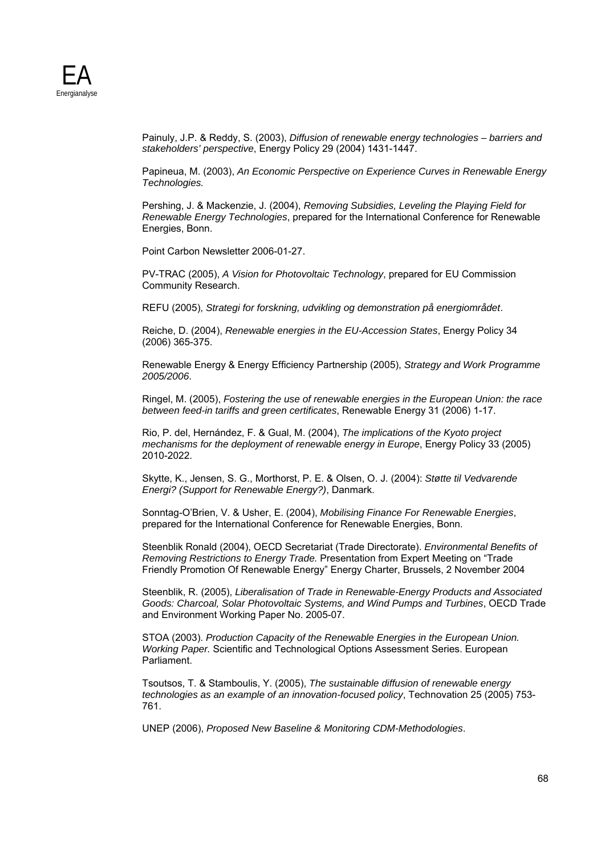Painuly, J.P. & Reddy, S. (2003), *Diffusion of renewable energy technologies – barriers and stakeholders' perspective*, Energy Policy 29 (2004) 1431-1447.

Papineua, M. (2003), *An Economic Perspective on Experience Curves in Renewable Energy Technologies.* 

Pershing, J. & Mackenzie, J. (2004), *Removing Subsidies, Leveling the Playing Field for Renewable Energy Technologies*, prepared for the International Conference for Renewable Energies, Bonn.

Point Carbon Newsletter 2006-01-27.

PV-TRAC (2005), *A Vision for Photovoltaic Technology*, prepared for EU Commission Community Research.

REFU (2005), *Strategi for forskning, udvikling og demonstration på energiområdet*.

Reiche, D. (2004), *Renewable energies in the EU-Accession States*, Energy Policy 34 (2006) 365-375.

Renewable Energy & Energy Efficiency Partnership (2005), *Strategy and Work Programme 2005/2006*.

Ringel, M. (2005), *Fostering the use of renewable energies in the European Union: the race between feed-in tariffs and green certificates*, Renewable Energy 31 (2006) 1-17.

Rio, P. del, Hernández, F. & Gual, M. (2004), *The implications of the Kyoto project mechanisms for the deployment of renewable energy in Europe*, Energy Policy 33 (2005) 2010-2022.

Skytte, K., Jensen, S. G., Morthorst, P. E. & Olsen, O. J. (2004): *Støtte til Vedvarende Energi? (Support for Renewable Energy?)*, Danmark.

Sonntag-O'Brien, V. & Usher, E. (2004), *Mobilising Finance For Renewable Energies*, prepared for the International Conference for Renewable Energies, Bonn.

Steenblik Ronald (2004), OECD Secretariat (Trade Directorate). *Environmental Benefits of Removing Restrictions to Energy Trade.* Presentation from Expert Meeting on "Trade Friendly Promotion Of Renewable Energy" Energy Charter, Brussels, 2 November 2004

Steenblik, R. (2005), *Liberalisation of Trade in Renewable-Energy Products and Associated Goods: Charcoal, Solar Photovoltaic Systems, and Wind Pumps and Turbines*, OECD Trade and Environment Working Paper No. 2005-07.

STOA (2003). *Production Capacity of the Renewable Energies in the European Union. Working Paper.* Scientific and Technological Options Assessment Series. European Parliament.

Tsoutsos, T. & Stamboulis, Y. (2005), *The sustainable diffusion of renewable energy technologies as an example of an innovation-focused policy*, Technovation 25 (2005) 753- 761.

UNEP (2006), *Proposed New Baseline & Monitoring CDM-Methodologies*.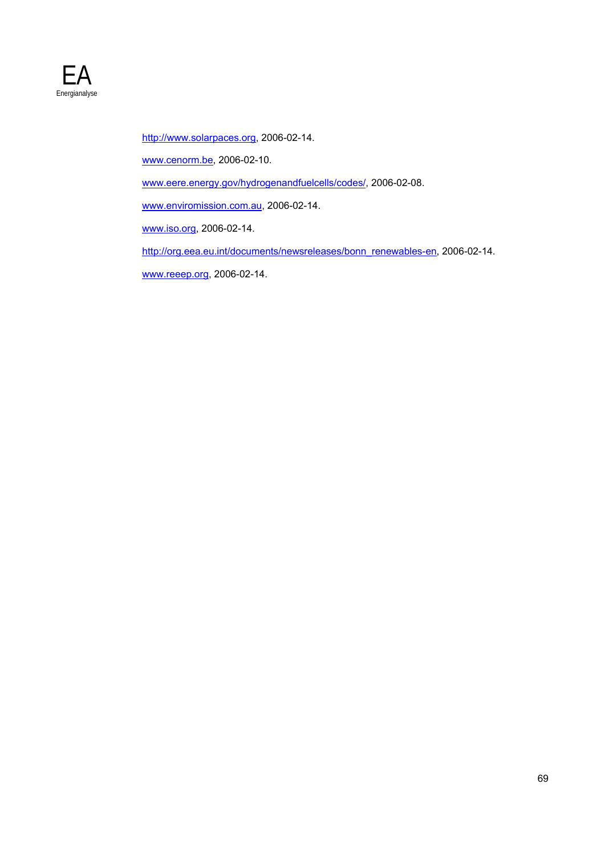http://www.solarpaces.org, 2006-02-14.

www.cenorm.be, 2006-02-10.

www.eere.energy.gov/hydrogenandfuelcells/codes/, 2006-02-08.

www.enviromission.com.au, 2006-02-14.

www.iso.org, 2006-02-14.

http://org.eea.eu.int/documents/newsreleases/bonn\_renewables-en, 2006-02-14.

www.reeep.org, 2006-02-14.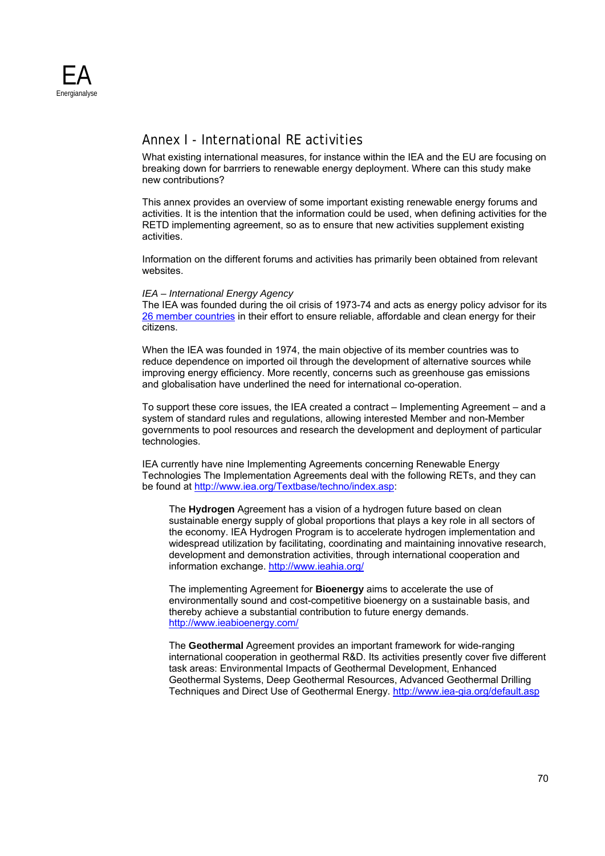

# Annex I - International RE activities

What existing international measures, for instance within the IEA and the EU are focusing on breaking down for barrriers to renewable energy deployment. Where can this study make new contributions?

This annex provides an overview of some important existing renewable energy forums and activities. It is the intention that the information could be used, when defining activities for the RETD implementing agreement, so as to ensure that new activities supplement existing activities.

Information on the different forums and activities has primarily been obtained from relevant websites.

#### *IEA – International Energy Agency*

The IEA was founded during the oil crisis of 1973-74 and acts as energy policy advisor for its 26 member countries in their effort to ensure reliable, affordable and clean energy for their citizens.

When the IEA was founded in 1974, the main objective of its member countries was to reduce dependence on imported oil through the development of alternative sources while improving energy efficiency. More recently, concerns such as greenhouse gas emissions and globalisation have underlined the need for international co-operation.

To support these core issues, the IEA created a contract – Implementing Agreement – and a system of standard rules and regulations, allowing interested Member and non-Member governments to pool resources and research the development and deployment of particular technologies.

IEA currently have nine Implementing Agreements concerning Renewable Energy Technologies The Implementation Agreements deal with the following RETs, and they can be found at http://www.iea.org/Textbase/techno/index.asp:

The **Hydrogen** Agreement has a vision of a hydrogen future based on clean sustainable energy supply of global proportions that plays a key role in all sectors of the economy. IEA Hydrogen Program is to accelerate hydrogen implementation and widespread utilization by facilitating, coordinating and maintaining innovative research, development and demonstration activities, through international cooperation and information exchange. http://www.ieahia.org/

The implementing Agreement for **Bioenergy** aims to accelerate the use of environmentally sound and cost-competitive bioenergy on a sustainable basis, and thereby achieve a substantial contribution to future energy demands. http://www.ieabioenergy.com/

The **Geothermal** Agreement provides an important framework for wide-ranging international cooperation in geothermal R&D. Its activities presently cover five different task areas: Environmental Impacts of Geothermal Development, Enhanced Geothermal Systems, Deep Geothermal Resources, Advanced Geothermal Drilling Techniques and Direct Use of Geothermal Energy. http://www.iea-gia.org/default.asp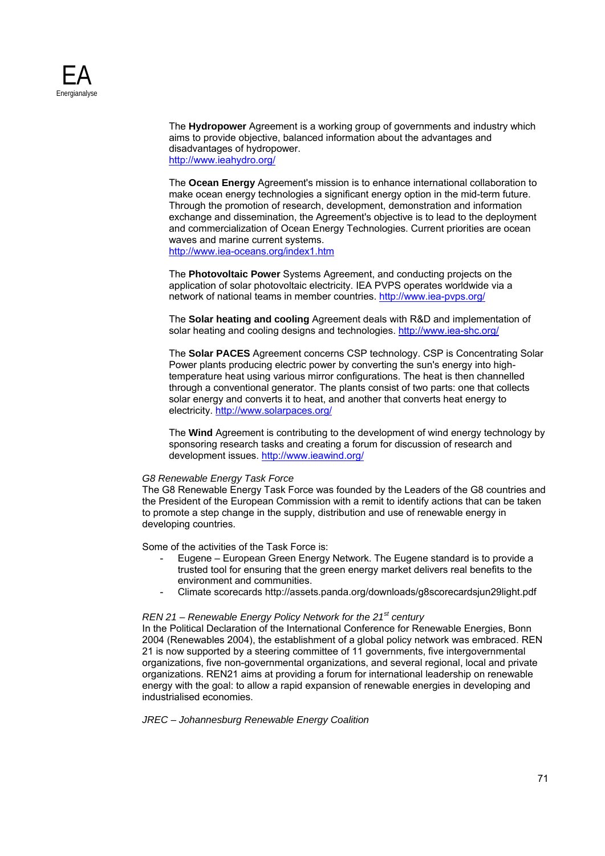The **Hydropower** Agreement is a working group of governments and industry which aims to provide objective, balanced information about the advantages and disadvantages of hydropower. http://www.ieahydro.org/

The **Ocean Energy** Agreement's mission is to enhance international collaboration to make ocean energy technologies a significant energy option in the mid-term future. Through the promotion of research, development, demonstration and information exchange and dissemination, the Agreement's objective is to lead to the deployment and commercialization of Ocean Energy Technologies. Current priorities are ocean waves and marine current systems. http://www.iea-oceans.org/index1.htm

The **Photovoltaic Power** Systems Agreement, and conducting projects on the application of solar photovoltaic electricity. IEA PVPS operates worldwide via a network of national teams in member countries. http://www.iea-pvps.org/

The **Solar heating and cooling** Agreement deals with R&D and implementation of solar heating and cooling designs and technologies. http://www.iea-shc.org/

The **Solar PACES** Agreement concerns CSP technology. CSP is Concentrating Solar Power plants producing electric power by converting the sun's energy into hightemperature heat using various mirror configurations. The heat is then channelled through a conventional generator. The plants consist of two parts: one that collects solar energy and converts it to heat, and another that converts heat energy to electricity. http://www.solarpaces.org/

The **Wind** Agreement is contributing to the development of wind energy technology by sponsoring research tasks and creating a forum for discussion of research and development issues. http://www.ieawind.org/

#### *G8 Renewable Energy Task Force*

The G8 Renewable Energy Task Force was founded by the Leaders of the G8 countries and the President of the European Commission with a remit to identify actions that can be taken to promote a step change in the supply, distribution and use of renewable energy in developing countries.

Some of the activities of the Task Force is:

- Eugene European Green Energy Network. The Eugene standard is to provide a trusted tool for ensuring that the green energy market delivers real benefits to the environment and communities.
- Climate scorecards http://assets.panda.org/downloads/g8scorecardsjun29light.pdf

#### *REN 21 – Renewable Energy Policy Network for the 21st century*

In the Political Declaration of the International Conference for Renewable Energies, Bonn 2004 (Renewables 2004), the establishment of a global policy network was embraced. REN 21 is now supported by a steering committee of 11 governments, five intergovernmental organizations, five non-governmental organizations, and several regional, local and private organizations. REN21 aims at providing a forum for international leadership on renewable energy with the goal: to allow a rapid expansion of renewable energies in developing and industrialised economies.

*JREC – Johannesburg Renewable Energy Coalition*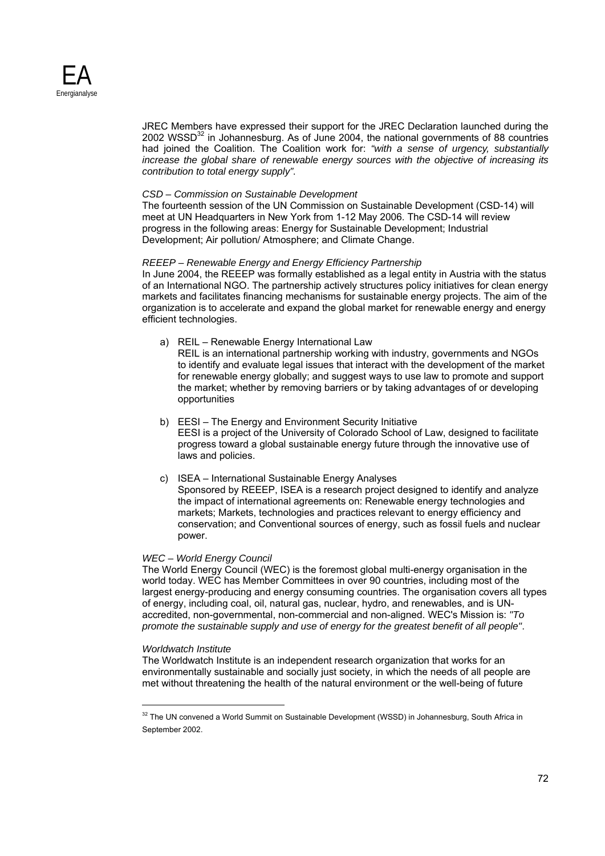JREC Members have expressed their support for the JREC Declaration launched during the 2002 WSSD $32$  in Johannesburg. As of June 2004, the national governments of 88 countries had joined the Coalition. The Coalition work for: *"with a sense of urgency, substantially increase the global share of renewable energy sources with the objective of increasing its contribution to total energy supply"*.

# *CSD – Commission on Sustainable Development*

The fourteenth session of the UN Commission on Sustainable Development (CSD-14) will meet at UN Headquarters in New York from 1-12 May 2006. The CSD-14 will review progress in the following areas: Energy for Sustainable Development; Industrial Development; Air pollution/ Atmosphere; and Climate Change.

### *REEEP – Renewable Energy and Energy Efficiency Partnership*

In June 2004, the REEEP was formally established as a legal entity in Austria with the status of an International NGO. The partnership actively structures policy initiatives for clean energy markets and facilitates financing mechanisms for sustainable energy projects. The aim of the organization is to accelerate and expand the global market for renewable energy and energy efficient technologies.

- a) REIL Renewable Energy International Law REIL is an international partnership working with industry, governments and NGOs to identify and evaluate legal issues that interact with the development of the market for renewable energy globally; and suggest ways to use law to promote and support the market; whether by removing barriers or by taking advantages of or developing opportunities
- b) EESI The Energy and Environment Security Initiative EESI is a project of the University of Colorado School of Law, designed to facilitate progress toward a global sustainable energy future through the innovative use of laws and policies.
- c) ISEA International Sustainable Energy Analyses Sponsored by REEEP, ISEA is a research project designed to identify and analyze the impact of international agreements on: Renewable energy technologies and markets; Markets, technologies and practices relevant to energy efficiency and conservation; and Conventional sources of energy, such as fossil fuels and nuclear power.

# *WEC – World Energy Council*

The World Energy Council (WEC) is the foremost global multi-energy organisation in the world today. WEC has Member Committees in over 90 countries, including most of the largest energy-producing and energy consuming countries. The organisation covers all types of energy, including coal, oil, natural gas, nuclear, hydro, and renewables, and is UNaccredited, non-governmental, non-commercial and non-aligned. WEC's Mission is: *"To promote the sustainable supply and use of energy for the greatest benefit of all people"*.

#### *Worldwatch Institute*

l

The Worldwatch Institute is an independent research organization that works for an environmentally sustainable and socially just society, in which the needs of all people are met without threatening the health of the natural environment or the well-being of future

 $32$  The UN convened a World Summit on Sustainable Development (WSSD) in Johannesburg, South Africa in September 2002.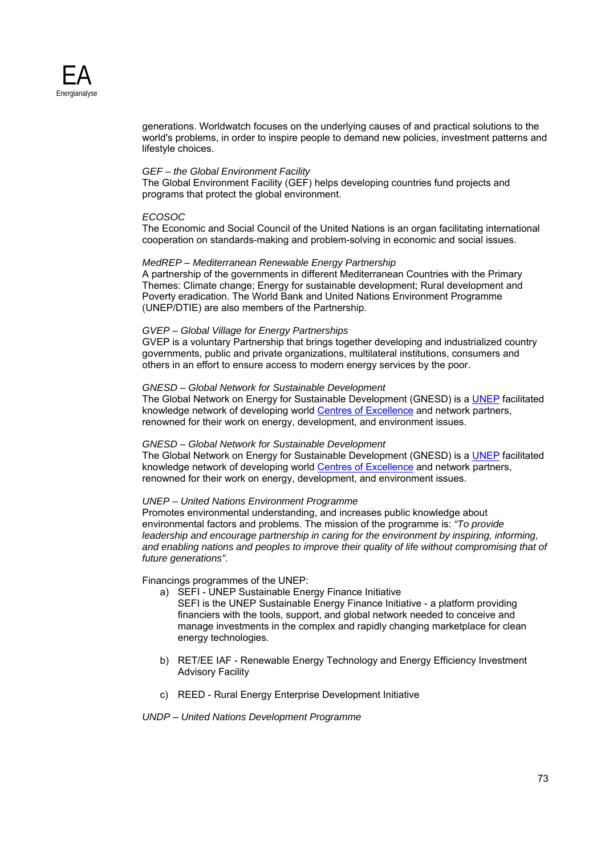generations. Worldwatch focuses on the underlying causes of and practical solutions to the world's problems, in order to inspire people to demand new policies, investment patterns and lifestyle choices.

#### *GEF – the Global Environment Facility*

The Global Environment Facility (GEF) helps developing countries fund projects and programs that protect the global environment.

# *ECOSOC*

The Economic and Social Council of the United Nations is an organ facilitating international cooperation on standards-making and problem-solving in economic and social issues.

# *MedREP – Mediterranean Renewable Energy Partnership*

A partnership of the governments in different Mediterranean Countries with the Primary Themes: Climate change; Energy for sustainable development; Rural development and Poverty eradication. The World Bank and United Nations Environment Programme (UNEP/DTIE) are also members of the Partnership.

### *GVEP – Global Village for Energy Partnerships*

GVEP is a voluntary Partnership that brings together developing and industrialized country governments, public and private organizations, multilateral institutions, consumers and others in an effort to ensure access to modern energy services by the poor.

### *GNESD – Global Network for Sustainable Development*

The Global Network on Energy for Sustainable Development (GNESD) is a UNEP facilitated knowledge network of developing world Centres of Excellence and network partners, renowned for their work on energy, development, and environment issues.

#### *GNESD – Global Network for Sustainable Development*

The Global Network on Energy for Sustainable Development (GNESD) is a UNEP facilitated knowledge network of developing world Centres of Excellence and network partners, renowned for their work on energy, development, and environment issues.

# *UNEP – United Nations Environment Programme*

Promotes environmental understanding, and increases public knowledge about environmental factors and problems. The mission of the programme is: *"To provide leadership and encourage partnership in caring for the environment by inspiring, informing, and enabling nations and peoples to improve their quality of life without compromising that of future generations"*.

Financings programmes of the UNEP:

- a) SEFI UNEP Sustainable Energy Finance Initiative
	- SEFI is the UNEP Sustainable Energy Finance Initiative a platform providing financiers with the tools, support, and global network needed to conceive and manage investments in the complex and rapidly changing marketplace for clean energy technologies.
- b) RET/EE IAF Renewable Energy Technology and Energy Efficiency Investment Advisory Facility
- c) REED Rural Energy Enterprise Development Initiative

*UNDP – United Nations Development Programme*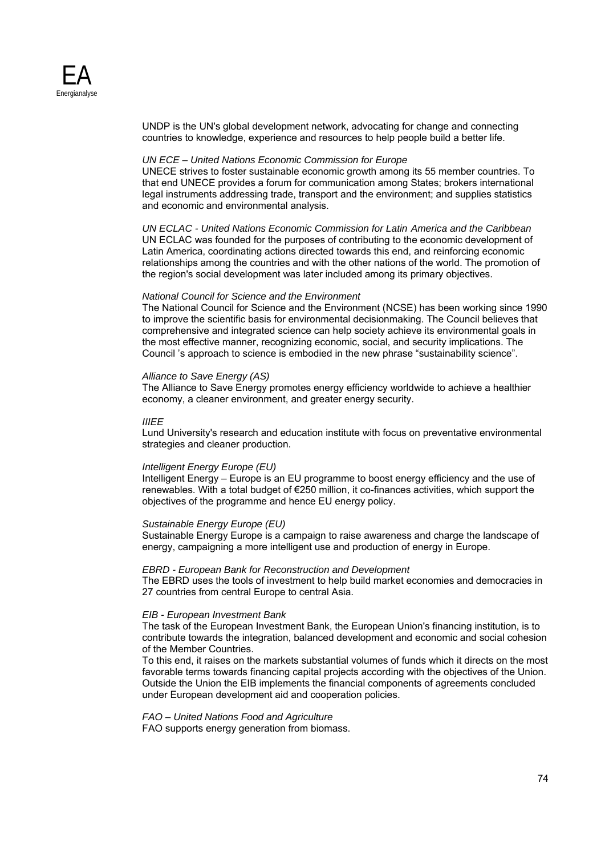UNDP is the UN's global development network, advocating for change and connecting countries to knowledge, experience and resources to help people build a better life.

#### *UN ECE – United Nations Economic Commission for Europe*

UNECE strives to foster sustainable economic growth among its 55 member countries. To that end UNECE provides a forum for communication among States; brokers international legal instruments addressing trade, transport and the environment; and supplies statistics and economic and environmental analysis.

*UN ECLAC - United Nations Economic Commission for Latin America and the Caribbean*  UN ECLAC was founded for the purposes of contributing to the economic development of Latin America, coordinating actions directed towards this end, and reinforcing economic relationships among the countries and with the other nations of the world. The promotion of the region's social development was later included among its primary objectives.

#### *National Council for Science and the Environment*

The National Council for Science and the Environment (NCSE) has been working since 1990 to improve the scientific basis for environmental decisionmaking. The Council believes that comprehensive and integrated science can help society achieve its environmental goals in the most effective manner, recognizing economic, social, and security implications. The Council 's approach to science is embodied in the new phrase "sustainability science".

#### *Alliance to Save Energy (AS)*

The Alliance to Save Energy promotes energy efficiency worldwide to achieve a healthier economy, a cleaner environment, and greater energy security.

#### *IIIEE*

Lund University's research and education institute with focus on preventative environmental strategies and cleaner production.

#### *Intelligent Energy Europe (EU)*

Intelligent Energy – Europe is an EU programme to boost energy efficiency and the use of renewables. With a total budget of €250 million, it co-finances activities, which support the objectives of the programme and hence EU energy policy.

#### *Sustainable Energy Europe (EU)*

Sustainable Energy Europe is a campaign to raise awareness and charge the landscape of energy, campaigning a more intelligent use and production of energy in Europe.

#### *EBRD - European Bank for Reconstruction and Development*

The EBRD uses the tools of investment to help build market economies and democracies in 27 countries from central Europe to central Asia.

#### *EIB - European Investment Bank*

The task of the European Investment Bank, the European Union's financing institution, is to contribute towards the integration, balanced development and economic and social cohesion of the Member Countries.

To this end, it raises on the markets substantial volumes of funds which it directs on the most favorable terms towards financing capital projects according with the objectives of the Union. Outside the Union the EIB implements the financial components of agreements concluded under European development aid and cooperation policies.

#### *FAO – United Nations Food and Agriculture*

FAO supports energy generation from biomass.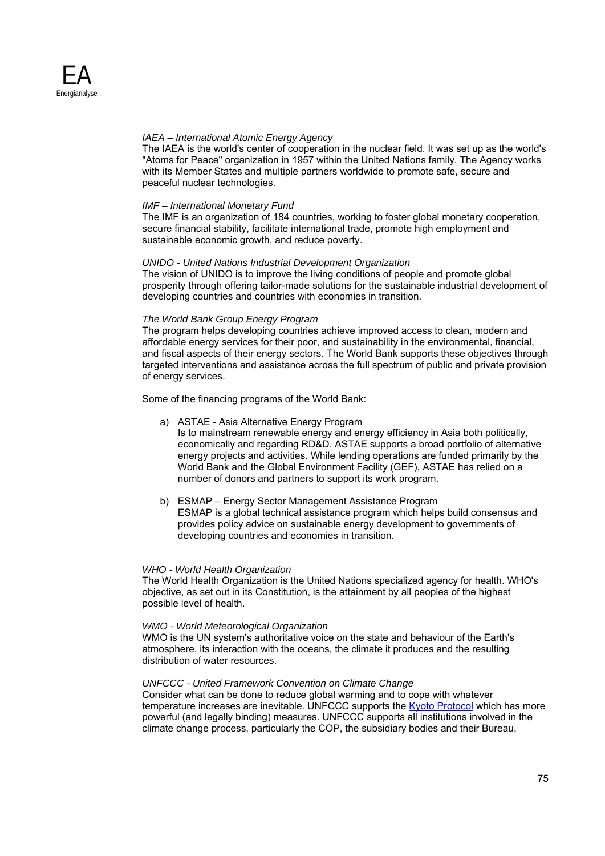# *IAEA – International Atomic Energy Agency*

The IAEA is the world's center of cooperation in the nuclear field. It was set up as the world's "Atoms for Peace" organization in 1957 within the United Nations family. The Agency works with its Member States and multiple partners worldwide to promote safe, secure and peaceful nuclear technologies.

#### *IMF – International Monetary Fund*

The IMF is an organization of 184 countries, working to foster global monetary cooperation, secure financial stability, facilitate international trade, promote high employment and sustainable economic growth, and reduce poverty.

### *UNIDO - United Nations Industrial Development Organization*

The vision of UNIDO is to improve the living conditions of people and promote global prosperity through offering tailor-made solutions for the sustainable industrial development of developing countries and countries with economies in transition.

### *The World Bank Group Energy Program*

The program helps developing countries achieve improved access to clean, modern and affordable energy services for their poor, and sustainability in the environmental, financial, and fiscal aspects of their energy sectors. The World Bank supports these objectives through targeted interventions and assistance across the full spectrum of public and private provision of energy services.

Some of the financing programs of the World Bank:

### a) ASTAE - Asia Alternative Energy Program

Is to mainstream renewable energy and energy efficiency in Asia both politically, economically and regarding RD&D. ASTAE supports a broad portfolio of alternative energy projects and activities. While lending operations are funded primarily by the World Bank and the Global Environment Facility (GEF), ASTAE has relied on a number of donors and partners to support its work program.

b) ESMAP – Energy Sector Management Assistance Program ESMAP is a global technical assistance program which helps build consensus and provides policy advice on sustainable energy development to governments of developing countries and economies in transition.

#### *WHO - World Health Organization*

The World Health Organization is the United Nations specialized agency for health. WHO's objective, as set out in its Constitution, is the attainment by all peoples of the highest possible level of health.

#### *WMO - World Meteorological Organization*

WMO is the UN system's authoritative voice on the state and behaviour of the Earth's atmosphere, its interaction with the oceans, the climate it produces and the resulting distribution of water resources.

# *UNFCCC - United Framework Convention on Climate Change*

Consider what can be done to reduce global warming and to cope with whatever temperature increases are inevitable. UNFCCC supports the Kyoto Protocol which has more powerful (and legally binding) measures. UNFCCC supports all institutions involved in the climate change process, particularly the COP, the subsidiary bodies and their Bureau.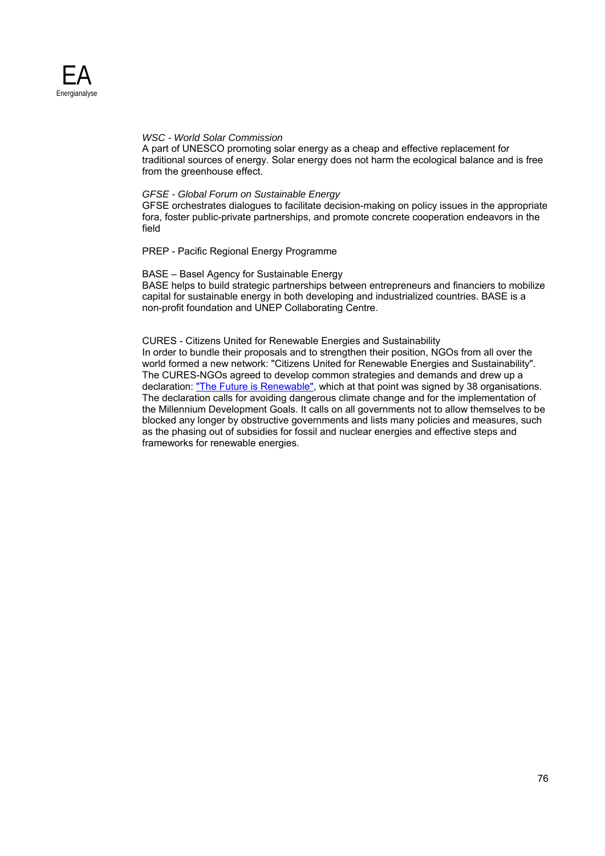# *WSC - World Solar Commission*

A part of UNESCO promoting solar energy as a cheap and effective replacement for traditional sources of energy. Solar energy does not harm the ecological balance and is free from the greenhouse effect.

#### *GFSE - Global Forum on Sustainable Energy*

GFSE orchestrates dialogues to facilitate decision-making on policy issues in the appropriate fora, foster public-private partnerships, and promote concrete cooperation endeavors in the field

PREP - Pacific Regional Energy Programme

BASE – Basel Agency for Sustainable Energy BASE helps to build strategic partnerships between entrepreneurs and financiers to mobilize capital for sustainable energy in both developing and industrialized countries. BASE is a non-profit foundation and UNEP Collaborating Centre.

#### CURES - Citizens United for Renewable Energies and Sustainability

In order to bundle their proposals and to strengthen their position, NGOs from all over the world formed a new network: "Citizens United for Renewable Energies and Sustainability". The CURES-NGOs agreed to develop common strategies and demands and drew up a declaration: "The Future is Renewable", which at that point was signed by 38 organisations. The declaration calls for avoiding dangerous climate change and for the implementation of the Millennium Development Goals. It calls on all governments not to allow themselves to be blocked any longer by obstructive governments and lists many policies and measures, such as the phasing out of subsidies for fossil and nuclear energies and effective steps and frameworks for renewable energies.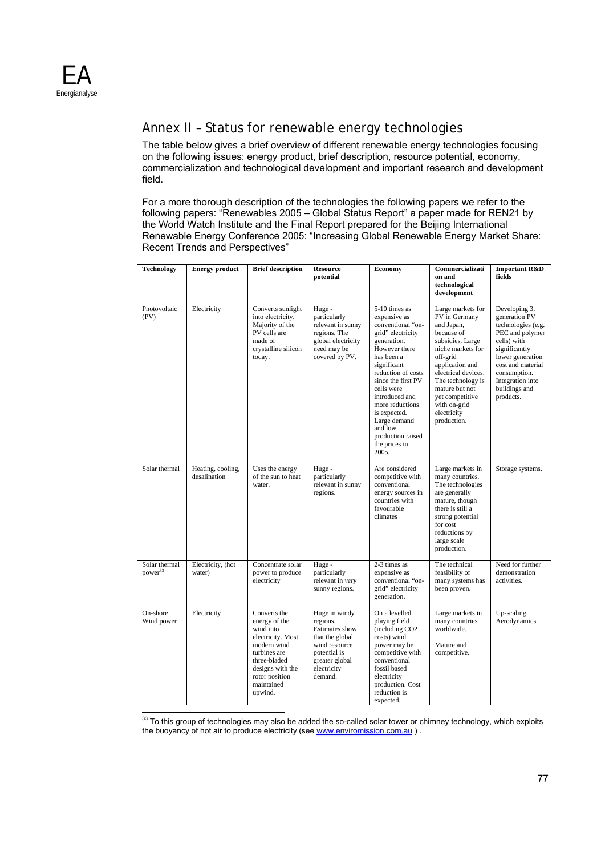# Annex II – Status for renewable energy technologies

The table below gives a brief overview of different renewable energy technologies focusing on the following issues: energy product, brief description, resource potential, economy, commercialization and technological development and important research and development field.

For a more thorough description of the technologies the following papers we refer to the following papers: "Renewables 2005 – Global Status Report" a paper made for REN21 by the World Watch Institute and the Final Report prepared for the Beijing International Renewable Energy Conference 2005: "Increasing Global Renewable Energy Market Share: Recent Trends and Perspectives"

| <b>Technology</b>                    | <b>Energy product</b>             | <b>Brief description</b>                                                                                                                                                      | <b>Resource</b><br>potential                                                                                                                | <b>Economy</b>                                                                                                                                                                                                                                                                                                                | Commercializati<br>on and<br>technological<br>development                                                                                                                                                                                                             | <b>Important R&amp;D</b><br>fields                                                                                                                                                                                 |
|--------------------------------------|-----------------------------------|-------------------------------------------------------------------------------------------------------------------------------------------------------------------------------|---------------------------------------------------------------------------------------------------------------------------------------------|-------------------------------------------------------------------------------------------------------------------------------------------------------------------------------------------------------------------------------------------------------------------------------------------------------------------------------|-----------------------------------------------------------------------------------------------------------------------------------------------------------------------------------------------------------------------------------------------------------------------|--------------------------------------------------------------------------------------------------------------------------------------------------------------------------------------------------------------------|
| Photovoltaic<br>(PV)                 | Electricity                       | Converts sunlight<br>into electricity.<br>Majority of the<br>PV cells are<br>made of<br>crystalline silicon<br>today.                                                         | Huge -<br>particularly<br>relevant in sunny<br>regions. The<br>global electricity<br>need may be<br>covered by PV.                          | 5-10 times as<br>expensive as<br>conventional "on-<br>grid" electricity<br>generation.<br>However there<br>has been a<br>significant<br>reduction of costs<br>since the first PV<br>cells were<br>introduced and<br>more reductions<br>is expected.<br>Large demand<br>and low<br>production raised<br>the prices in<br>2005. | Large markets for<br>PV in Germany<br>and Japan,<br>because of<br>subsidies. Large<br>niche markets for<br>off-grid<br>application and<br>electrical devices.<br>The technology is<br>mature but not<br>yet competitive<br>with on-grid<br>electricity<br>production. | Developing 3.<br>generation PV<br>technologies (e.g.<br>PEC and polymer<br>cells) with<br>significantly<br>lower generation<br>cost and material<br>consumption.<br>Integration into<br>buildings and<br>products. |
| Solar thermal                        | Heating, cooling,<br>desalination | Uses the energy<br>of the sun to heat<br>water.                                                                                                                               | Huge -<br>particularly<br>relevant in sunny<br>regions.                                                                                     | Are considered<br>competitive with<br>conventional<br>energy sources in<br>countries with<br>favourable<br>climates                                                                                                                                                                                                           | Large markets in<br>many countries.<br>The technologies<br>are generally<br>mature, though<br>there is still a<br>strong potential<br>for cost<br>reductions by<br>large scale<br>production.                                                                         | Storage systems.                                                                                                                                                                                                   |
| Solar thermal<br>power <sup>33</sup> | Electricity, (hot<br>water)       | Concentrate solar<br>power to produce<br>electricity                                                                                                                          | Huge -<br>particularly<br>relevant in very<br>sunny regions.                                                                                | 2-3 times as<br>expensive as<br>conventional "on-<br>grid" electricity<br>generation.                                                                                                                                                                                                                                         | The technical<br>feasibility of<br>many systems has<br>been proven.                                                                                                                                                                                                   | Need for further<br>demonstration<br>activities.                                                                                                                                                                   |
| On-shore<br>Wind power               | Electricity                       | Converts the<br>energy of the<br>wind into<br>electricity. Most<br>modern wind<br>turbines are<br>three-bladed<br>designs with the<br>rotor position<br>maintained<br>upwind. | Huge in windy<br>regions.<br>Estimates show<br>that the global<br>wind resource<br>potential is<br>greater global<br>electricity<br>demand. | On a levelled<br>playing field<br>(including CO <sub>2</sub><br>costs) wind<br>power may be<br>competitive with<br>conventional<br>fossil based<br>electricity<br>production. Cost<br>reduction is<br>expected.                                                                                                               | Large markets in<br>many countries<br>worldwide.<br>Mature and<br>competitive.                                                                                                                                                                                        | Up-scaling.<br>Aerodynamics.                                                                                                                                                                                       |

l  $33$  To this group of technologies may also be added the so-called solar tower or chimney technology, which exploits the buoyancy of hot air to produce electricity (see www.enviromission.com.au ) .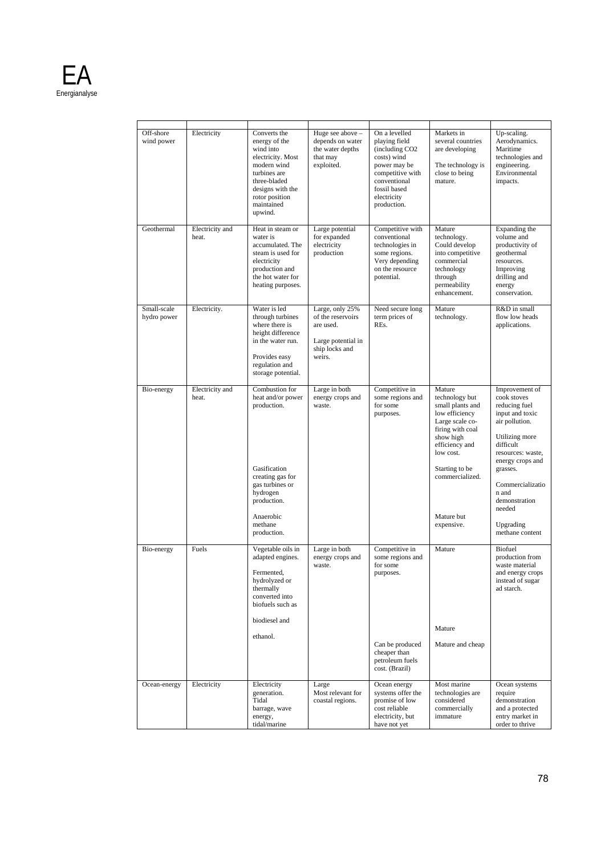| Off-shore<br>wind power    | Electricity              | Converts the<br>energy of the<br>wind into<br>electricity. Most<br>modern wind<br>turbines are<br>three-bladed<br>designs with the<br>rotor position<br>maintained<br>upwind. | Huge see above -<br>depends on water<br>the water depths<br>that may<br>exploited.                  | On a levelled<br>playing field<br>(including CO <sub>2</sub><br>costs) wind<br>power may be<br>competitive with<br>conventional<br>fossil based<br>electricity<br>production. | Markets in<br>several countries<br>are developing<br>The technology is<br>close to being<br>mature.                                                                                                                | Up-scaling.<br>Aerodynamics.<br>Maritime<br>technologies and<br>engineering.<br>Environmental<br>impacts.                                                                                                                                                       |
|----------------------------|--------------------------|-------------------------------------------------------------------------------------------------------------------------------------------------------------------------------|-----------------------------------------------------------------------------------------------------|-------------------------------------------------------------------------------------------------------------------------------------------------------------------------------|--------------------------------------------------------------------------------------------------------------------------------------------------------------------------------------------------------------------|-----------------------------------------------------------------------------------------------------------------------------------------------------------------------------------------------------------------------------------------------------------------|
| Geothermal                 | Electricity and<br>heat. | Heat in steam or<br>water is<br>accumulated. The<br>steam is used for<br>electricity<br>production and<br>the hot water for<br>heating purposes.                              | Large potential<br>for expanded<br>electricity<br>production                                        | Competitive with<br>conventional<br>technologies in<br>some regions.<br>Very depending<br>on the resource<br>potential.                                                       | Mature<br>technology.<br>Could develop<br>into competitive<br>commercial<br>technology<br>through<br>permeability<br>enhancement.                                                                                  | Expanding the<br>volume and<br>productivity of<br>geothermal<br>resources.<br>Improving<br>drilling and<br>energy<br>conservation.                                                                                                                              |
| Small-scale<br>hydro power | Electricity.             | Water is led<br>through turbines<br>where there is<br>height difference<br>in the water run.<br>Provides easy<br>regulation and<br>storage potential.                         | Large, only 25%<br>of the reservoirs<br>are used.<br>Large potential in<br>ship locks and<br>weirs. | Need secure long<br>term prices of<br>REs.                                                                                                                                    | Mature<br>technology.                                                                                                                                                                                              | R&D in small<br>flow low heads<br>applications.                                                                                                                                                                                                                 |
| Bio-energy                 | Electricity and<br>heat. | Combustion for<br>heat and/or power<br>production.<br>Gasification<br>creating gas for<br>gas turbines or<br>hydrogen<br>production.<br>Anaerobic<br>methane<br>production.   | Large in both<br>energy crops and<br>waste.                                                         | Competitive in<br>some regions and<br>for some<br>purposes.                                                                                                                   | Mature<br>technology but<br>small plants and<br>low efficiency<br>Large scale co-<br>firing with coal<br>show high<br>efficiency and<br>low cost.<br>Starting to be<br>commercialized.<br>Mature but<br>expensive. | Improvement of<br>cook stoves<br>reducing fuel<br>input and toxic<br>air pollution.<br>Utilizing more<br>difficult<br>resources: waste,<br>energy crops and<br>grasses.<br>Commercializatio<br>n and<br>demonstration<br>needed<br>Upgrading<br>methane content |
| Bio-energy                 | Fuels                    | Vegetable oils in<br>adapted engines.<br>Fermented,<br>hydrolyzed or<br>thermally<br>converted into<br>biofuels such as<br>biodiesel and<br>ethanol.                          | Large in both<br>energy crops and<br>waste.                                                         | Competitive in<br>some regions and<br>for some<br>purposes.<br>Can be produced<br>cheaper than<br>petroleum fuels<br>cost. (Brazil)                                           | Mature<br>Mature<br>Mature and cheap                                                                                                                                                                               | <b>Biofuel</b><br>production from<br>waste material<br>and energy crops<br>instead of sugar<br>ad starch.                                                                                                                                                       |
| Ocean-energy               | Electricity              | Electricity<br>generation.<br>Tidal<br>barrage, wave<br>energy,<br>tidal/marine                                                                                               | Large<br>Most relevant for<br>coastal regions.                                                      | Ocean energy<br>systems offer the<br>promise of low<br>cost reliable<br>electricity, but<br>have not yet                                                                      | Most marine<br>technologies are<br>considered<br>commercially<br>immature                                                                                                                                          | Ocean systems<br>require<br>demonstration<br>and a protected<br>entry market in<br>order to thrive                                                                                                                                                              |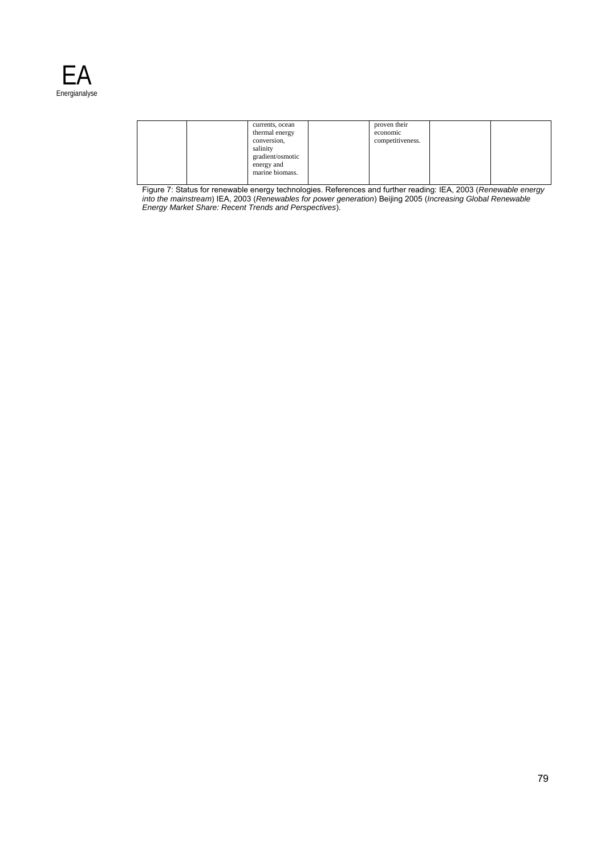|  | currents, ocean<br>thermal energy<br>conversion,<br>salinity<br>gradient/osmotic | proven their<br>economic<br>competitiveness. |  |
|--|----------------------------------------------------------------------------------|----------------------------------------------|--|
|  | energy and<br>marine biomass.                                                    |                                              |  |

Figure 7: Status for renewable energy technologies. References and further reading: IEA, 2003 (*Renewable energy into the mainstream*) IEA, 2003 (*Renewables for power generation*) Beijing 2005 (*Increasing Global Renewable Energy Market Share: Recent Trends and Perspectives*).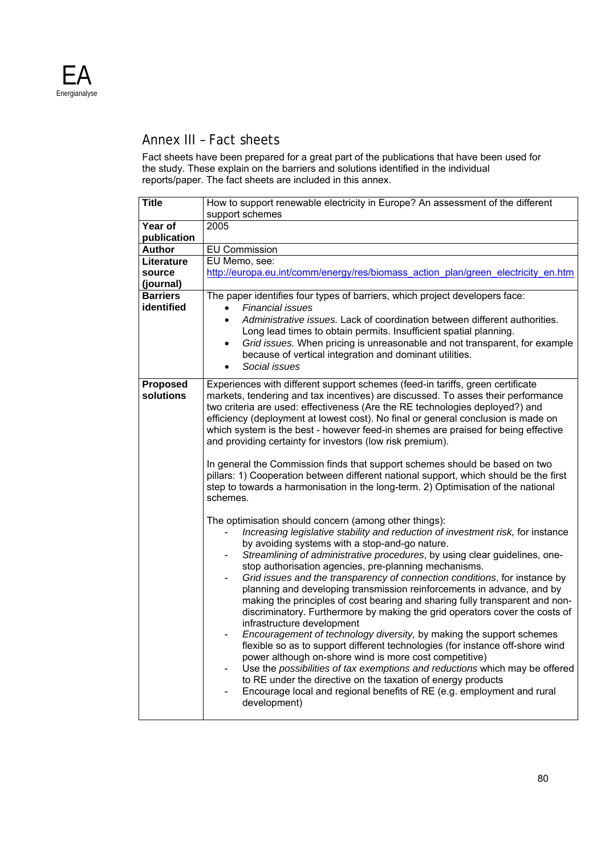# Annex III – Fact sheets

Fact sheets have been prepared for a great part of the publications that have been used for the study. These explain on the barriers and solutions identified in the individual reports/paper. The fact sheets are included in this annex.

| <b>Title</b>    | How to support renewable electricity in Europe? An assessment of the different<br>support schemes                                                                |
|-----------------|------------------------------------------------------------------------------------------------------------------------------------------------------------------|
| Year of         | 2005                                                                                                                                                             |
| publication     |                                                                                                                                                                  |
| Author          | <b>EU Commission</b>                                                                                                                                             |
| Literature      | EU Memo, see:                                                                                                                                                    |
| source          | http://europa.eu.int/comm/energy/res/biomass_action_plan/green_electricity_en.htm                                                                                |
| (journal)       |                                                                                                                                                                  |
| <b>Barriers</b> | The paper identifies four types of barriers, which project developers face:                                                                                      |
| identified      | <b>Financial issues</b>                                                                                                                                          |
|                 | Administrative issues. Lack of coordination between different authorities.<br>$\bullet$                                                                          |
|                 | Long lead times to obtain permits. Insufficient spatial planning.                                                                                                |
|                 | Grid issues. When pricing is unreasonable and not transparent, for example<br>$\bullet$                                                                          |
|                 | because of vertical integration and dominant utilities.                                                                                                          |
|                 | Social issues<br>$\bullet$                                                                                                                                       |
|                 |                                                                                                                                                                  |
| <b>Proposed</b> | Experiences with different support schemes (feed-in tariffs, green certificate                                                                                   |
| solutions       | markets, tendering and tax incentives) are discussed. To asses their performance<br>two criteria are used: effectiveness (Are the RE technologies deployed?) and |
|                 | efficiency (deployment at lowest cost). No final or general conclusion is made on                                                                                |
|                 | which system is the best - however feed-in shemes are praised for being effective                                                                                |
|                 | and providing certainty for investors (low risk premium).                                                                                                        |
|                 |                                                                                                                                                                  |
|                 | In general the Commission finds that support schemes should be based on two                                                                                      |
|                 | pillars: 1) Cooperation between different national support, which should be the first                                                                            |
|                 | step to towards a harmonisation in the long-term. 2) Optimisation of the national                                                                                |
|                 | schemes.                                                                                                                                                         |
|                 |                                                                                                                                                                  |
|                 | The optimisation should concern (among other things):                                                                                                            |
|                 | Increasing legislative stability and reduction of investment risk, for instance                                                                                  |
|                 | by avoiding systems with a stop-and-go nature.                                                                                                                   |
|                 | Streamlining of administrative procedures, by using clear guidelines, one-                                                                                       |
|                 | stop authorisation agencies, pre-planning mechanisms.<br>Grid issues and the transparency of connection conditions, for instance by                              |
|                 | planning and developing transmission reinforcements in advance, and by                                                                                           |
|                 | making the principles of cost bearing and sharing fully transparent and non-                                                                                     |
|                 | discriminatory. Furthermore by making the grid operators cover the costs of                                                                                      |
|                 | infrastructure development                                                                                                                                       |
|                 | Encouragement of technology diversity, by making the support schemes                                                                                             |
|                 | flexible so as to support different technologies (for instance off-shore wind                                                                                    |
|                 | power although on-shore wind is more cost competitive)                                                                                                           |
|                 | Use the possibilities of tax exemptions and reductions which may be offered                                                                                      |
|                 | to RE under the directive on the taxation of energy products                                                                                                     |
|                 | Encourage local and regional benefits of RE (e.g. employment and rural                                                                                           |
|                 | development)                                                                                                                                                     |
|                 |                                                                                                                                                                  |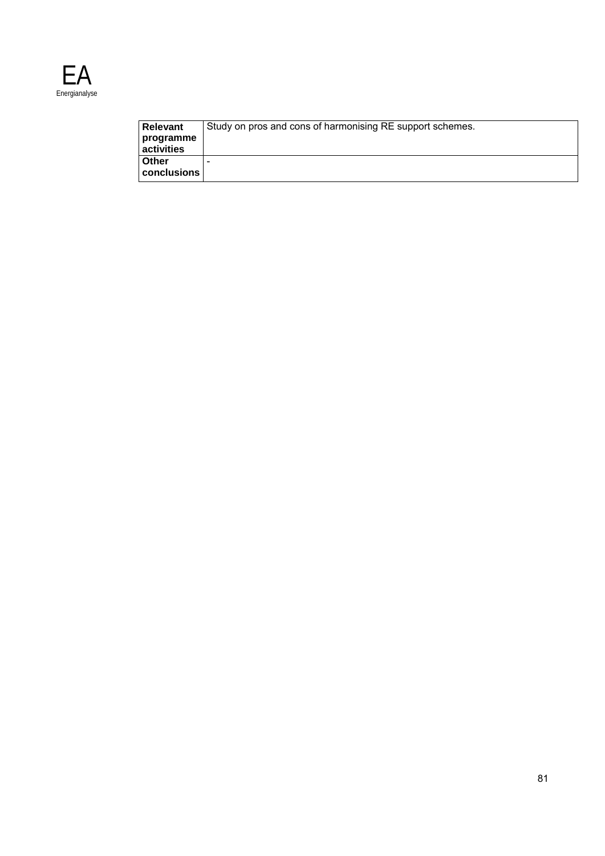

| <b>Relevant</b> | Study on pros and cons of harmonising RE support schemes. |
|-----------------|-----------------------------------------------------------|
| programme       |                                                           |
| activities      |                                                           |
| Other           | -                                                         |
| conclusions     |                                                           |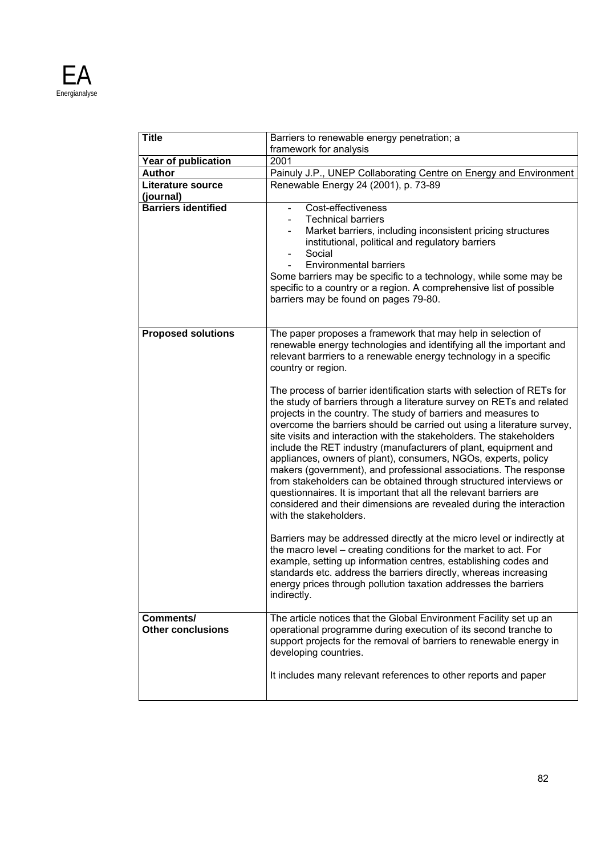| <b>Title</b>                            | Barriers to renewable energy penetration; a                                                                                                                                                                                                                                                                                                                                                                                                                                                                                                                                                                                                                                                                                                                                                                               |
|-----------------------------------------|---------------------------------------------------------------------------------------------------------------------------------------------------------------------------------------------------------------------------------------------------------------------------------------------------------------------------------------------------------------------------------------------------------------------------------------------------------------------------------------------------------------------------------------------------------------------------------------------------------------------------------------------------------------------------------------------------------------------------------------------------------------------------------------------------------------------------|
|                                         | framework for analysis                                                                                                                                                                                                                                                                                                                                                                                                                                                                                                                                                                                                                                                                                                                                                                                                    |
| <b>Year of publication</b>              | 2001                                                                                                                                                                                                                                                                                                                                                                                                                                                                                                                                                                                                                                                                                                                                                                                                                      |
| Author                                  | Painuly J.P., UNEP Collaborating Centre on Energy and Environment                                                                                                                                                                                                                                                                                                                                                                                                                                                                                                                                                                                                                                                                                                                                                         |
| <b>Literature source</b>                | Renewable Energy 24 (2001), p. 73-89                                                                                                                                                                                                                                                                                                                                                                                                                                                                                                                                                                                                                                                                                                                                                                                      |
| (journal)<br><b>Barriers identified</b> | Cost-effectiveness<br><b>Technical barriers</b><br>Market barriers, including inconsistent pricing structures<br>institutional, political and regulatory barriers<br>Social<br>$\overline{\phantom{0}}$<br><b>Environmental barriers</b><br>Some barriers may be specific to a technology, while some may be<br>specific to a country or a region. A comprehensive list of possible<br>barriers may be found on pages 79-80.                                                                                                                                                                                                                                                                                                                                                                                              |
| <b>Proposed solutions</b>               | The paper proposes a framework that may help in selection of<br>renewable energy technologies and identifying all the important and<br>relevant barrriers to a renewable energy technology in a specific<br>country or region.                                                                                                                                                                                                                                                                                                                                                                                                                                                                                                                                                                                            |
|                                         | The process of barrier identification starts with selection of RETs for<br>the study of barriers through a literature survey on RETs and related<br>projects in the country. The study of barriers and measures to<br>overcome the barriers should be carried out using a literature survey,<br>site visits and interaction with the stakeholders. The stakeholders<br>include the RET industry (manufacturers of plant, equipment and<br>appliances, owners of plant), consumers, NGOs, experts, policy<br>makers (government), and professional associations. The response<br>from stakeholders can be obtained through structured interviews or<br>questionnaires. It is important that all the relevant barriers are<br>considered and their dimensions are revealed during the interaction<br>with the stakeholders. |
|                                         | Barriers may be addressed directly at the micro level or indirectly at<br>the macro level – creating conditions for the market to act. For<br>example, setting up information centres, establishing codes and<br>standards etc. address the barriers directly, whereas increasing<br>energy prices through pollution taxation addresses the barriers<br>indirectly.                                                                                                                                                                                                                                                                                                                                                                                                                                                       |
| Comments/<br><b>Other conclusions</b>   | The article notices that the Global Environment Facility set up an<br>operational programme during execution of its second tranche to<br>support projects for the removal of barriers to renewable energy in<br>developing countries.<br>It includes many relevant references to other reports and paper                                                                                                                                                                                                                                                                                                                                                                                                                                                                                                                  |
|                                         |                                                                                                                                                                                                                                                                                                                                                                                                                                                                                                                                                                                                                                                                                                                                                                                                                           |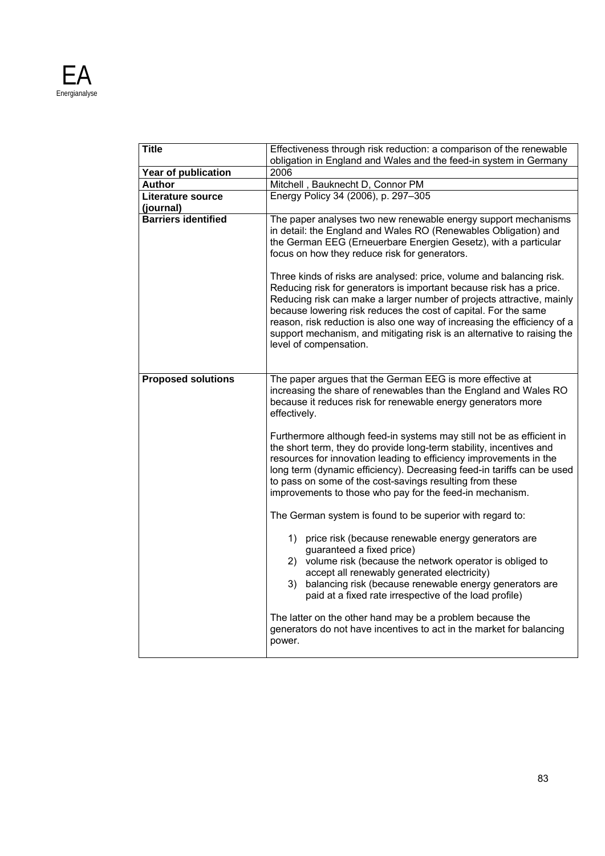| <b>Title</b>                   | Effectiveness through risk reduction: a comparison of the renewable                                                                                                                                                                                                                                                                                                                                                                                                                                                                                                                                                                                                                                                               |  |  |
|--------------------------------|-----------------------------------------------------------------------------------------------------------------------------------------------------------------------------------------------------------------------------------------------------------------------------------------------------------------------------------------------------------------------------------------------------------------------------------------------------------------------------------------------------------------------------------------------------------------------------------------------------------------------------------------------------------------------------------------------------------------------------------|--|--|
|                                | obligation in England and Wales and the feed-in system in Germany                                                                                                                                                                                                                                                                                                                                                                                                                                                                                                                                                                                                                                                                 |  |  |
| Year of publication            | 2006                                                                                                                                                                                                                                                                                                                                                                                                                                                                                                                                                                                                                                                                                                                              |  |  |
| Author                         | Mitchell, Bauknecht D, Connor PM                                                                                                                                                                                                                                                                                                                                                                                                                                                                                                                                                                                                                                                                                                  |  |  |
| Literature source<br>(journal) | Energy Policy 34 (2006), p. 297-305                                                                                                                                                                                                                                                                                                                                                                                                                                                                                                                                                                                                                                                                                               |  |  |
| <b>Barriers identified</b>     | The paper analyses two new renewable energy support mechanisms<br>in detail: the England and Wales RO (Renewables Obligation) and<br>the German EEG (Erneuerbare Energien Gesetz), with a particular<br>focus on how they reduce risk for generators.<br>Three kinds of risks are analysed: price, volume and balancing risk.<br>Reducing risk for generators is important because risk has a price.<br>Reducing risk can make a larger number of projects attractive, mainly<br>because lowering risk reduces the cost of capital. For the same<br>reason, risk reduction is also one way of increasing the efficiency of a<br>support mechanism, and mitigating risk is an alternative to raising the<br>level of compensation. |  |  |
| <b>Proposed solutions</b>      | The paper argues that the German EEG is more effective at<br>increasing the share of renewables than the England and Wales RO<br>because it reduces risk for renewable energy generators more<br>effectively.                                                                                                                                                                                                                                                                                                                                                                                                                                                                                                                     |  |  |
|                                | Furthermore although feed-in systems may still not be as efficient in<br>the short term, they do provide long-term stability, incentives and<br>resources for innovation leading to efficiency improvements in the<br>long term (dynamic efficiency). Decreasing feed-in tariffs can be used<br>to pass on some of the cost-savings resulting from these<br>improvements to those who pay for the feed-in mechanism.                                                                                                                                                                                                                                                                                                              |  |  |
|                                | The German system is found to be superior with regard to:                                                                                                                                                                                                                                                                                                                                                                                                                                                                                                                                                                                                                                                                         |  |  |
|                                | 1) price risk (because renewable energy generators are<br>guaranteed a fixed price)<br>volume risk (because the network operator is obliged to<br>2)<br>accept all renewably generated electricity)<br>balancing risk (because renewable energy generators are<br>3)<br>paid at a fixed rate irrespective of the load profile)<br>The latter on the other hand may be a problem because the<br>generators do not have incentives to act in the market for balancing<br>power.                                                                                                                                                                                                                                                     |  |  |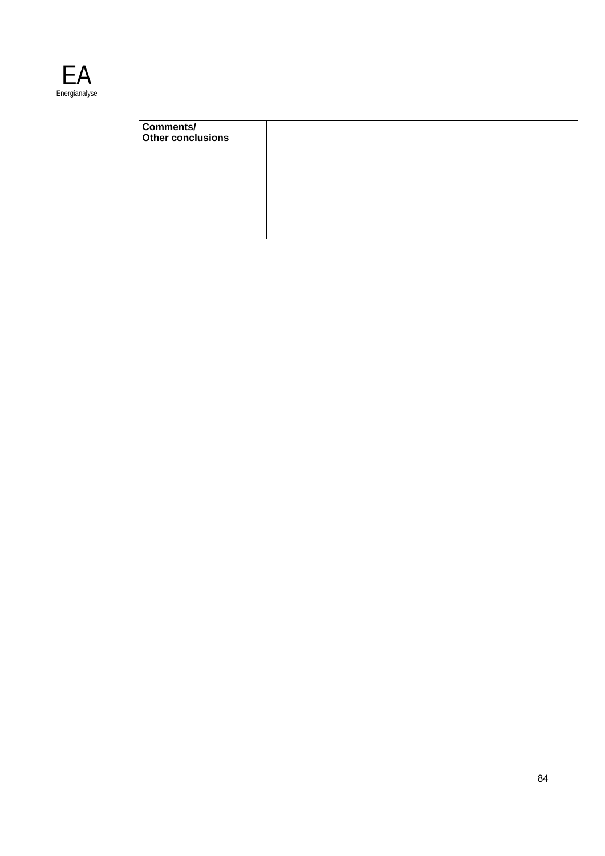

| <b>Comments/</b>         |  |  |  |
|--------------------------|--|--|--|
| <b>Other conclusions</b> |  |  |  |
|                          |  |  |  |
|                          |  |  |  |
|                          |  |  |  |
|                          |  |  |  |
|                          |  |  |  |
|                          |  |  |  |
|                          |  |  |  |
|                          |  |  |  |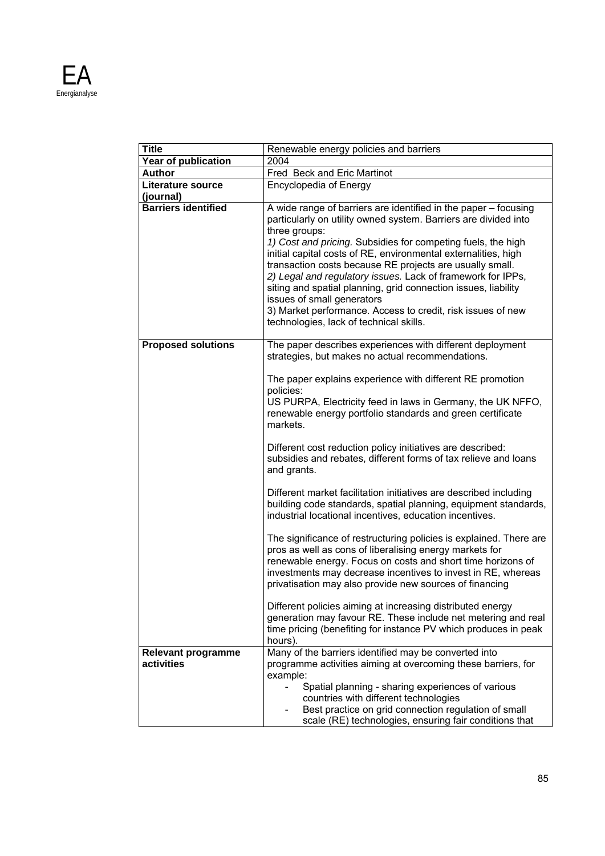| <b>Title</b>                            | Renewable energy policies and barriers                                                                                                                                                                                                                                                                                                                                                                                                                                                                                                                                                                                     |
|-----------------------------------------|----------------------------------------------------------------------------------------------------------------------------------------------------------------------------------------------------------------------------------------------------------------------------------------------------------------------------------------------------------------------------------------------------------------------------------------------------------------------------------------------------------------------------------------------------------------------------------------------------------------------------|
| Year of publication                     | 2004                                                                                                                                                                                                                                                                                                                                                                                                                                                                                                                                                                                                                       |
| <b>Author</b>                           | Fred Beck and Eric Martinot                                                                                                                                                                                                                                                                                                                                                                                                                                                                                                                                                                                                |
| Literature source                       | Encyclopedia of Energy                                                                                                                                                                                                                                                                                                                                                                                                                                                                                                                                                                                                     |
| (journal)                               |                                                                                                                                                                                                                                                                                                                                                                                                                                                                                                                                                                                                                            |
| <b>Barriers identified</b>              | A wide range of barriers are identified in the paper - focusing<br>particularly on utility owned system. Barriers are divided into<br>three groups:<br>1) Cost and pricing. Subsidies for competing fuels, the high<br>initial capital costs of RE, environmental externalities, high<br>transaction costs because RE projects are usually small.<br>2) Legal and regulatory issues. Lack of framework for IPPs,<br>siting and spatial planning, grid connection issues, liability<br>issues of small generators<br>3) Market performance. Access to credit, risk issues of new<br>technologies, lack of technical skills. |
| <b>Proposed solutions</b>               | The paper describes experiences with different deployment<br>strategies, but makes no actual recommendations.<br>The paper explains experience with different RE promotion<br>policies:<br>US PURPA, Electricity feed in laws in Germany, the UK NFFO,<br>renewable energy portfolio standards and green certificate<br>markets.                                                                                                                                                                                                                                                                                           |
|                                         | Different cost reduction policy initiatives are described:<br>subsidies and rebates, different forms of tax relieve and loans<br>and grants.                                                                                                                                                                                                                                                                                                                                                                                                                                                                               |
|                                         | Different market facilitation initiatives are described including<br>building code standards, spatial planning, equipment standards,<br>industrial locational incentives, education incentives.                                                                                                                                                                                                                                                                                                                                                                                                                            |
|                                         | The significance of restructuring policies is explained. There are<br>pros as well as cons of liberalising energy markets for<br>renewable energy. Focus on costs and short time horizons of<br>investments may decrease incentives to invest in RE, whereas<br>privatisation may also provide new sources of financing                                                                                                                                                                                                                                                                                                    |
|                                         | Different policies aiming at increasing distributed energy<br>generation may favour RE. These include net metering and real<br>time pricing (benefiting for instance PV which produces in peak<br>hours).                                                                                                                                                                                                                                                                                                                                                                                                                  |
| <b>Relevant programme</b><br>activities | Many of the barriers identified may be converted into<br>programme activities aiming at overcoming these barriers, for<br>example:<br>Spatial planning - sharing experiences of various<br>countries with different technologies<br>Best practice on grid connection regulation of small<br>scale (RE) technologies, ensuring fair conditions that                                                                                                                                                                                                                                                                         |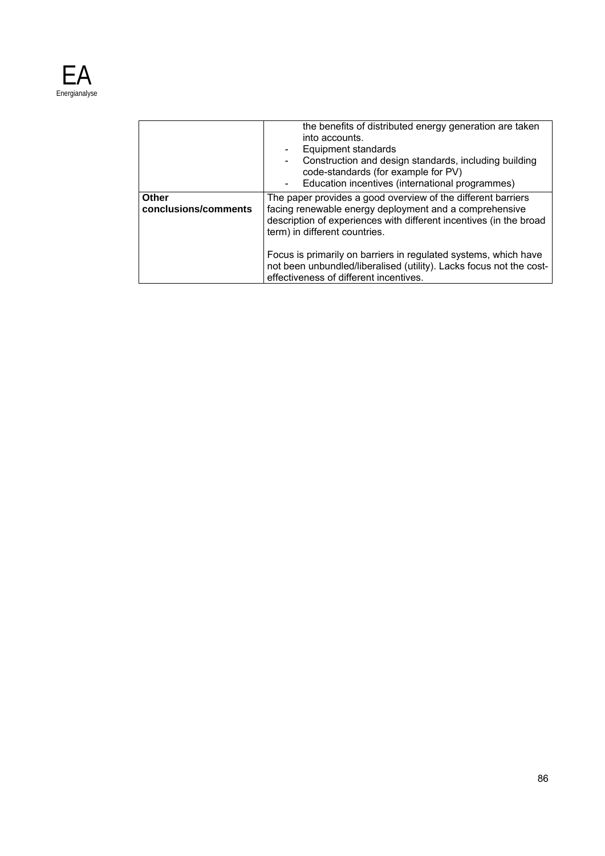

|                               | the benefits of distributed energy generation are taken<br>into accounts.<br>Equipment standards<br>Construction and design standards, including building<br>code-standards (for example for PV)<br>Education incentives (international programmes) |
|-------------------------------|-----------------------------------------------------------------------------------------------------------------------------------------------------------------------------------------------------------------------------------------------------|
| Other<br>conclusions/comments | The paper provides a good overview of the different barriers<br>facing renewable energy deployment and a comprehensive<br>description of experiences with different incentives (in the broad<br>term) in different countries.                       |
|                               | Focus is primarily on barriers in regulated systems, which have<br>not been unbundled/liberalised (utility). Lacks focus not the cost-<br>effectiveness of different incentives.                                                                    |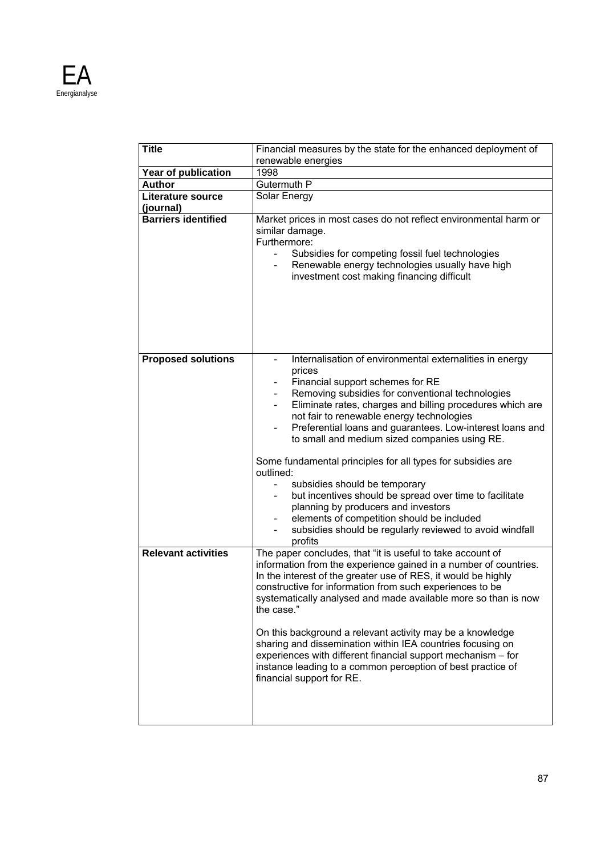| Title                                 | Financial measures by the state for the enhanced deployment of                                                                                                                                                                                                                                                                                                                                                                                                                                                                                                                                                                                             |
|---------------------------------------|------------------------------------------------------------------------------------------------------------------------------------------------------------------------------------------------------------------------------------------------------------------------------------------------------------------------------------------------------------------------------------------------------------------------------------------------------------------------------------------------------------------------------------------------------------------------------------------------------------------------------------------------------------|
|                                       | renewable energies                                                                                                                                                                                                                                                                                                                                                                                                                                                                                                                                                                                                                                         |
| Year of publication                   | 1998                                                                                                                                                                                                                                                                                                                                                                                                                                                                                                                                                                                                                                                       |
| <b>Author</b>                         | Gutermuth P                                                                                                                                                                                                                                                                                                                                                                                                                                                                                                                                                                                                                                                |
| <b>Literature source</b><br>(journal) | Solar Energy                                                                                                                                                                                                                                                                                                                                                                                                                                                                                                                                                                                                                                               |
| <b>Barriers identified</b>            | Market prices in most cases do not reflect environmental harm or                                                                                                                                                                                                                                                                                                                                                                                                                                                                                                                                                                                           |
|                                       | similar damage.<br>Furthermore:<br>Subsidies for competing fossil fuel technologies<br>Renewable energy technologies usually have high<br>investment cost making financing difficult                                                                                                                                                                                                                                                                                                                                                                                                                                                                       |
| <b>Proposed solutions</b>             | Internalisation of environmental externalities in energy                                                                                                                                                                                                                                                                                                                                                                                                                                                                                                                                                                                                   |
|                                       | prices<br>Financial support schemes for RE<br>Removing subsidies for conventional technologies<br>Eliminate rates, charges and billing procedures which are<br>not fair to renewable energy technologies<br>Preferential loans and guarantees. Low-interest loans and<br>to small and medium sized companies using RE.<br>Some fundamental principles for all types for subsidies are<br>outlined:<br>subsidies should be temporary<br>but incentives should be spread over time to facilitate<br>planning by producers and investors<br>elements of competition should be included<br>subsidies should be regularly reviewed to avoid windfall<br>profits |
| <b>Relevant activities</b>            | The paper concludes, that "it is useful to take account of<br>information from the experience gained in a number of countries.<br>In the interest of the greater use of RES, it would be highly<br>constructive for information from such experiences to be<br>systematically analysed and made available more so than is now<br>the case."<br>On this background a relevant activity may be a knowledge<br>sharing and dissemination within IEA countries focusing on<br>experiences with different financial support mechanism - for<br>instance leading to a common perception of best practice of<br>financial support for RE.                         |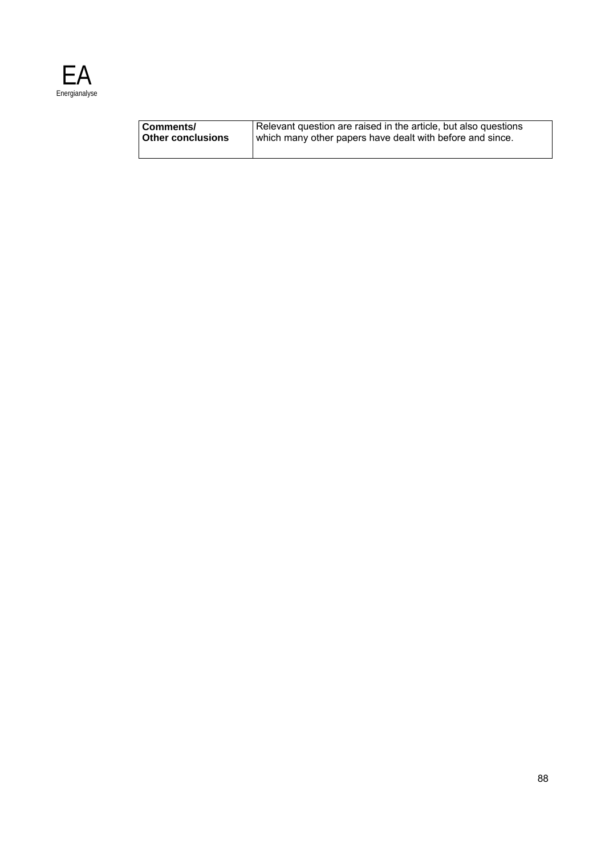

| Comments/                | Relevant question are raised in the article, but also questions |
|--------------------------|-----------------------------------------------------------------|
| <b>Other conclusions</b> | I which many other papers have dealt with before and since.     |
|                          |                                                                 |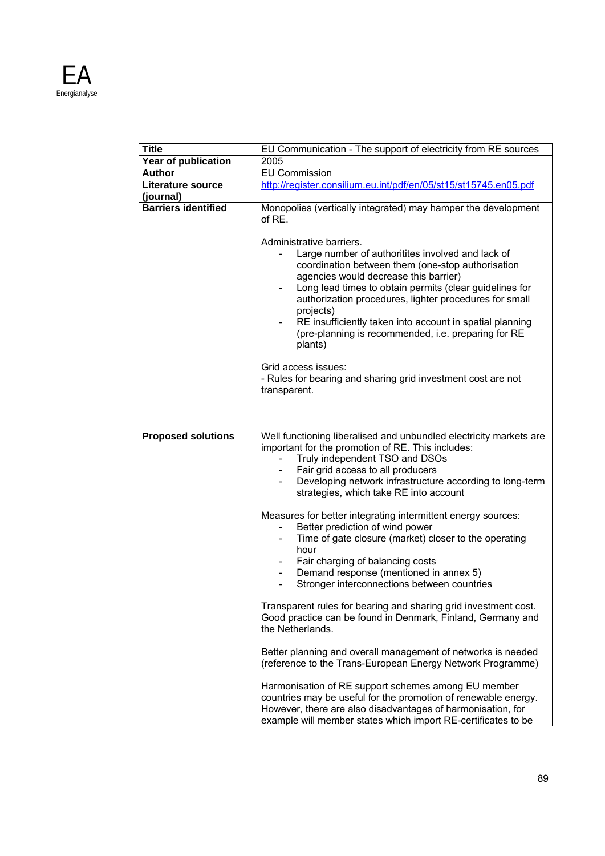| <b>Title</b>               | EU Communication - The support of electricity from RE sources                                                                                                                                                                                                                                                                                                                                                                                                                                                                                                                                                                                                                                                                                                                                                                                                                                                                                                                                                                                                                                                                                               |
|----------------------------|-------------------------------------------------------------------------------------------------------------------------------------------------------------------------------------------------------------------------------------------------------------------------------------------------------------------------------------------------------------------------------------------------------------------------------------------------------------------------------------------------------------------------------------------------------------------------------------------------------------------------------------------------------------------------------------------------------------------------------------------------------------------------------------------------------------------------------------------------------------------------------------------------------------------------------------------------------------------------------------------------------------------------------------------------------------------------------------------------------------------------------------------------------------|
| Year of publication        | 2005                                                                                                                                                                                                                                                                                                                                                                                                                                                                                                                                                                                                                                                                                                                                                                                                                                                                                                                                                                                                                                                                                                                                                        |
| <b>Author</b>              | <b>EU Commission</b>                                                                                                                                                                                                                                                                                                                                                                                                                                                                                                                                                                                                                                                                                                                                                                                                                                                                                                                                                                                                                                                                                                                                        |
| Literature source          | http://register.consilium.eu.int/pdf/en/05/st15/st15745.en05.pdf                                                                                                                                                                                                                                                                                                                                                                                                                                                                                                                                                                                                                                                                                                                                                                                                                                                                                                                                                                                                                                                                                            |
| (journal)                  |                                                                                                                                                                                                                                                                                                                                                                                                                                                                                                                                                                                                                                                                                                                                                                                                                                                                                                                                                                                                                                                                                                                                                             |
| <b>Barriers identified</b> | Monopolies (vertically integrated) may hamper the development<br>of RE.<br>Administrative barriers.<br>Large number of authoritites involved and lack of<br>coordination between them (one-stop authorisation<br>agencies would decrease this barrier)<br>Long lead times to obtain permits (clear guidelines for<br>authorization procedures, lighter procedures for small<br>projects)<br>RE insufficiently taken into account in spatial planning<br>(pre-planning is recommended, i.e. preparing for RE<br>plants)<br>Grid access issues:<br>- Rules for bearing and sharing grid investment cost are not<br>transparent.                                                                                                                                                                                                                                                                                                                                                                                                                                                                                                                               |
| <b>Proposed solutions</b>  | Well functioning liberalised and unbundled electricity markets are<br>important for the promotion of RE. This includes:<br>Truly independent TSO and DSOs<br>$\overline{\phantom{a}}$<br>Fair grid access to all producers<br>Developing network infrastructure according to long-term<br>strategies, which take RE into account<br>Measures for better integrating intermittent energy sources:<br>Better prediction of wind power<br>$\overline{\phantom{a}}$<br>Time of gate closure (market) closer to the operating<br>$\blacksquare$<br>hour<br>Fair charging of balancing costs<br>Demand response (mentioned in annex 5)<br>Stronger interconnections between countries<br>Transparent rules for bearing and sharing grid investment cost.<br>Good practice can be found in Denmark, Finland, Germany and<br>the Netherlands.<br>Better planning and overall management of networks is needed<br>(reference to the Trans-European Energy Network Programme)<br>Harmonisation of RE support schemes among EU member<br>countries may be useful for the promotion of renewable energy.<br>However, there are also disadvantages of harmonisation, for |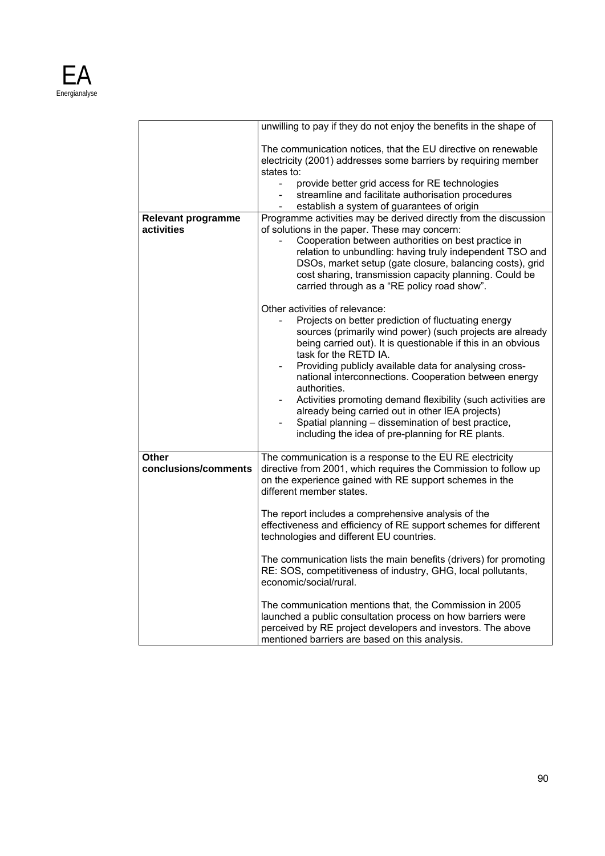|                           | unwilling to pay if they do not enjoy the benefits in the shape of                                               |
|---------------------------|------------------------------------------------------------------------------------------------------------------|
|                           | The communication notices, that the EU directive on renewable                                                    |
|                           | electricity (2001) addresses some barriers by requiring member                                                   |
|                           | states to:                                                                                                       |
|                           | provide better grid access for RE technologies<br>$\overline{\phantom{a}}$                                       |
|                           | streamline and facilitate authorisation procedures<br>establish a system of guarantees of origin                 |
| <b>Relevant programme</b> | Programme activities may be derived directly from the discussion                                                 |
| activities                | of solutions in the paper. These may concern:                                                                    |
|                           | Cooperation between authorities on best practice in                                                              |
|                           | relation to unbundling: having truly independent TSO and                                                         |
|                           | DSOs, market setup (gate closure, balancing costs), grid                                                         |
|                           | cost sharing, transmission capacity planning. Could be                                                           |
|                           | carried through as a "RE policy road show".                                                                      |
|                           | Other activities of relevance:                                                                                   |
|                           | Projects on better prediction of fluctuating energy                                                              |
|                           | sources (primarily wind power) (such projects are already                                                        |
|                           | being carried out). It is questionable if this in an obvious                                                     |
|                           | task for the RETD IA.                                                                                            |
|                           | Providing publicly available data for analysing cross-                                                           |
|                           | national interconnections. Cooperation between energy                                                            |
|                           | authorities.                                                                                                     |
|                           | Activities promoting demand flexibility (such activities are<br>already being carried out in other IEA projects) |
|                           | Spatial planning - dissemination of best practice,                                                               |
|                           | including the idea of pre-planning for RE plants.                                                                |
|                           |                                                                                                                  |
| Other                     | The communication is a response to the EU RE electricity                                                         |
| conclusions/comments      | directive from 2001, which requires the Commission to follow up                                                  |
|                           | on the experience gained with RE support schemes in the                                                          |
|                           | different member states.                                                                                         |
|                           | The report includes a comprehensive analysis of the                                                              |
|                           | effectiveness and efficiency of RE support schemes for different                                                 |
|                           | technologies and different EU countries.                                                                         |
|                           |                                                                                                                  |
|                           | The communication lists the main benefits (drivers) for promoting                                                |
|                           | RE: SOS, competitiveness of industry, GHG, local pollutants,<br>economic/social/rural.                           |
|                           |                                                                                                                  |
|                           | The communication mentions that, the Commission in 2005                                                          |
|                           | launched a public consultation process on how barriers were                                                      |
|                           | perceived by RE project developers and investors. The above                                                      |
|                           | mentioned barriers are based on this analysis.                                                                   |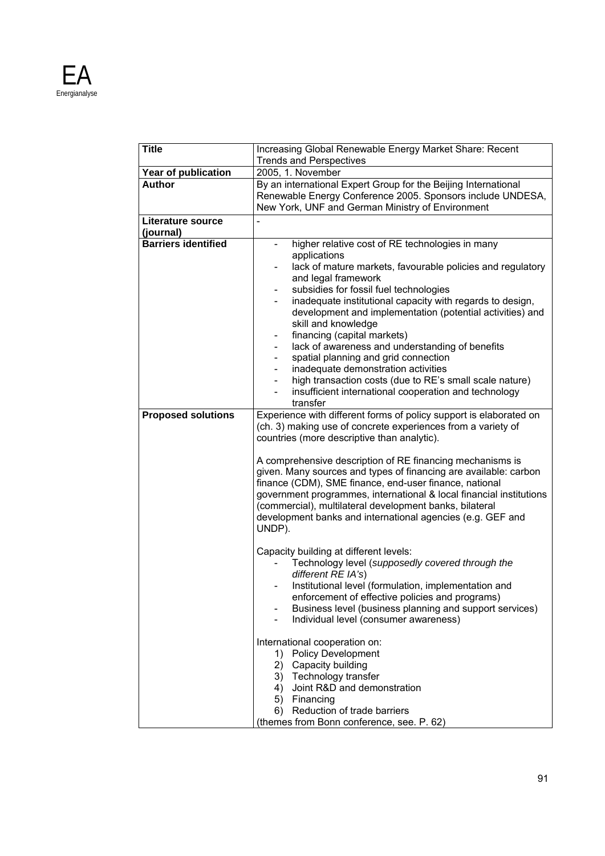| <b>Title</b>               | Increasing Global Renewable Energy Market Share: Recent<br><b>Trends and Perspectives</b>        |
|----------------------------|--------------------------------------------------------------------------------------------------|
| Year of publication        | 2005, 1. November                                                                                |
| <b>Author</b>              | By an international Expert Group for the Beijing International                                   |
|                            | Renewable Energy Conference 2005. Sponsors include UNDESA,                                       |
|                            | New York, UNF and German Ministry of Environment                                                 |
| Literature source          |                                                                                                  |
| (journal)                  |                                                                                                  |
| <b>Barriers identified</b> | higher relative cost of RE technologies in many                                                  |
|                            | applications                                                                                     |
|                            | lack of mature markets, favourable policies and regulatory                                       |
|                            | and legal framework                                                                              |
|                            | subsidies for fossil fuel technologies                                                           |
|                            | inadequate institutional capacity with regards to design,                                        |
|                            | development and implementation (potential activities) and                                        |
|                            | skill and knowledge                                                                              |
|                            | financing (capital markets)                                                                      |
|                            | lack of awareness and understanding of benefits<br>$\overline{\phantom{a}}$                      |
|                            | spatial planning and grid connection<br>$\overline{\phantom{0}}$                                 |
|                            | inadequate demonstration activities<br>$\overline{\phantom{0}}$                                  |
|                            | high transaction costs (due to RE's small scale nature)<br>$\overline{\phantom{a}}$              |
|                            | insufficient international cooperation and technology                                            |
|                            | transfer                                                                                         |
| <b>Proposed solutions</b>  | Experience with different forms of policy support is elaborated on                               |
|                            | (ch. 3) making use of concrete experiences from a variety of                                     |
|                            | countries (more descriptive than analytic).                                                      |
|                            |                                                                                                  |
|                            | A comprehensive description of RE financing mechanisms is                                        |
|                            | given. Many sources and types of financing are available: carbon                                 |
|                            | finance (CDM), SME finance, end-user finance, national                                           |
|                            | government programmes, international & local financial institutions                              |
|                            | (commercial), multilateral development banks, bilateral                                          |
|                            | development banks and international agencies (e.g. GEF and                                       |
|                            | UNDP).                                                                                           |
|                            |                                                                                                  |
|                            | Capacity building at different levels:                                                           |
|                            | Technology level (supposedly covered through the                                                 |
|                            | different RE IA's)                                                                               |
|                            | Institutional level (formulation, implementation and                                             |
|                            | enforcement of effective policies and programs)                                                  |
|                            | Business level (business planning and support services)<br>Individual level (consumer awareness) |
|                            |                                                                                                  |
|                            | International cooperation on:                                                                    |
|                            | 1) Policy Development                                                                            |
|                            | 2) Capacity building                                                                             |
|                            | 3) Technology transfer                                                                           |
|                            | Joint R&D and demonstration<br>4)                                                                |
|                            | 5) Financing                                                                                     |
|                            | 6) Reduction of trade barriers                                                                   |
|                            | (themes from Bonn conference, see. P. 62)                                                        |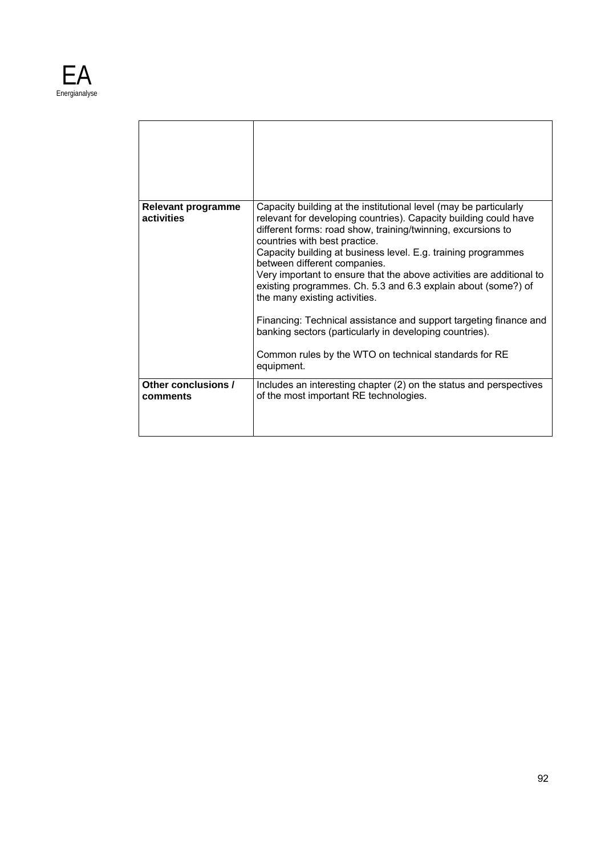

| <b>Relevant programme</b><br>activities | Capacity building at the institutional level (may be particularly<br>relevant for developing countries). Capacity building could have<br>different forms: road show, training/twinning, excursions to<br>countries with best practice.<br>Capacity building at business level. E.g. training programmes<br>between different companies.<br>Very important to ensure that the above activities are additional to<br>existing programmes. Ch. 5.3 and 6.3 explain about (some?) of<br>the many existing activities.<br>Financing: Technical assistance and support targeting finance and<br>banking sectors (particularly in developing countries).<br>Common rules by the WTO on technical standards for RE<br>equipment. |
|-----------------------------------------|--------------------------------------------------------------------------------------------------------------------------------------------------------------------------------------------------------------------------------------------------------------------------------------------------------------------------------------------------------------------------------------------------------------------------------------------------------------------------------------------------------------------------------------------------------------------------------------------------------------------------------------------------------------------------------------------------------------------------|
| Other conclusions /<br>comments         | Includes an interesting chapter (2) on the status and perspectives<br>of the most important RE technologies.                                                                                                                                                                                                                                                                                                                                                                                                                                                                                                                                                                                                             |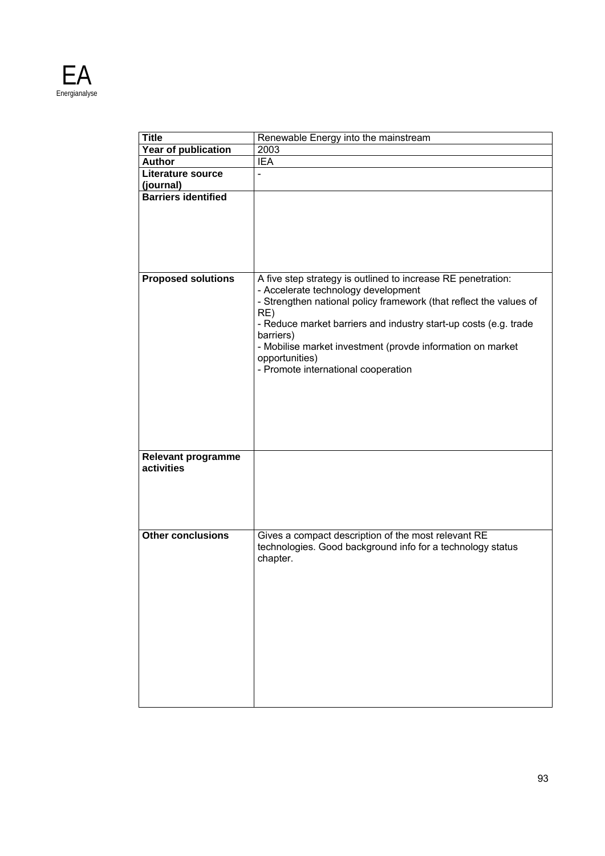| <b>Title</b>                            | Renewable Energy into the mainstream                                                                                                                                                                                                                                                                                                                                                     |
|-----------------------------------------|------------------------------------------------------------------------------------------------------------------------------------------------------------------------------------------------------------------------------------------------------------------------------------------------------------------------------------------------------------------------------------------|
| Year of publication                     | 2003                                                                                                                                                                                                                                                                                                                                                                                     |
| <b>Author</b>                           | IEA                                                                                                                                                                                                                                                                                                                                                                                      |
| Literature source                       | $\overline{\phantom{0}}$                                                                                                                                                                                                                                                                                                                                                                 |
| (journal)                               |                                                                                                                                                                                                                                                                                                                                                                                          |
| <b>Barriers identified</b>              |                                                                                                                                                                                                                                                                                                                                                                                          |
| <b>Proposed solutions</b>               | A five step strategy is outlined to increase RE penetration:<br>- Accelerate technology development<br>- Strengthen national policy framework (that reflect the values of<br>RE)<br>- Reduce market barriers and industry start-up costs (e.g. trade<br>barriers)<br>- Mobilise market investment (provde information on market<br>opportunities)<br>- Promote international cooperation |
| <b>Relevant programme</b><br>activities |                                                                                                                                                                                                                                                                                                                                                                                          |
| <b>Other conclusions</b>                | Gives a compact description of the most relevant RE<br>technologies. Good background info for a technology status<br>chapter.                                                                                                                                                                                                                                                            |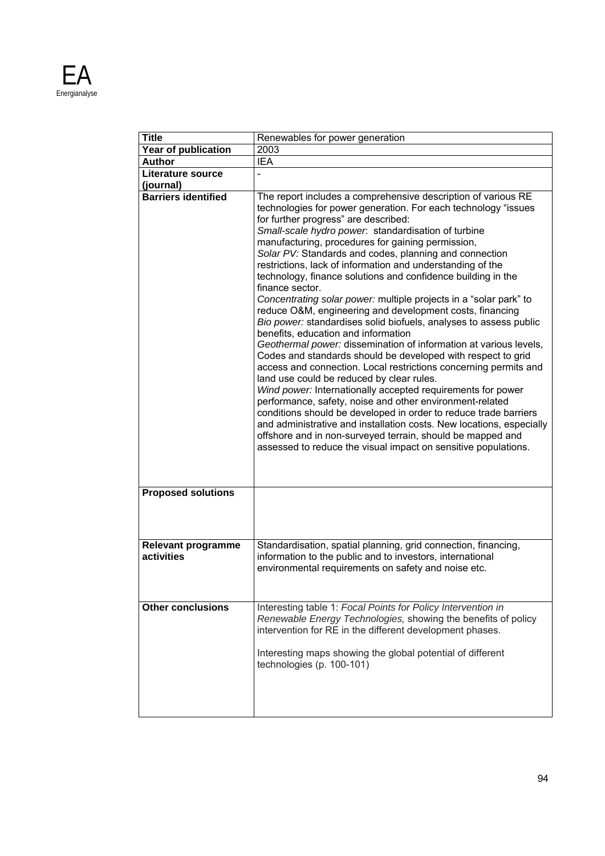| <b>Title</b>                            | Renewables for power generation                                                                                                                                                                                                                                                                                                                                                                                                                                                                                                                                                                                                                                                                                                                                                                                                                                                                                                                                                                                                                                                                                                                                                                                                                                                                                                                                                                          |
|-----------------------------------------|----------------------------------------------------------------------------------------------------------------------------------------------------------------------------------------------------------------------------------------------------------------------------------------------------------------------------------------------------------------------------------------------------------------------------------------------------------------------------------------------------------------------------------------------------------------------------------------------------------------------------------------------------------------------------------------------------------------------------------------------------------------------------------------------------------------------------------------------------------------------------------------------------------------------------------------------------------------------------------------------------------------------------------------------------------------------------------------------------------------------------------------------------------------------------------------------------------------------------------------------------------------------------------------------------------------------------------------------------------------------------------------------------------|
| Year of publication                     | 2003                                                                                                                                                                                                                                                                                                                                                                                                                                                                                                                                                                                                                                                                                                                                                                                                                                                                                                                                                                                                                                                                                                                                                                                                                                                                                                                                                                                                     |
| <b>Author</b>                           | <b>IEA</b>                                                                                                                                                                                                                                                                                                                                                                                                                                                                                                                                                                                                                                                                                                                                                                                                                                                                                                                                                                                                                                                                                                                                                                                                                                                                                                                                                                                               |
| Literature source                       |                                                                                                                                                                                                                                                                                                                                                                                                                                                                                                                                                                                                                                                                                                                                                                                                                                                                                                                                                                                                                                                                                                                                                                                                                                                                                                                                                                                                          |
| (journal)                               |                                                                                                                                                                                                                                                                                                                                                                                                                                                                                                                                                                                                                                                                                                                                                                                                                                                                                                                                                                                                                                                                                                                                                                                                                                                                                                                                                                                                          |
| <b>Barriers identified</b>              | The report includes a comprehensive description of various RE<br>technologies for power generation. For each technology "issues<br>for further progress" are described:<br>Small-scale hydro power. standardisation of turbine<br>manufacturing, procedures for gaining permission,<br>Solar PV: Standards and codes, planning and connection<br>restrictions, lack of information and understanding of the<br>technology, finance solutions and confidence building in the<br>finance sector.<br>Concentrating solar power: multiple projects in a "solar park" to<br>reduce O&M, engineering and development costs, financing<br>Bio power: standardises solid biofuels, analyses to assess public<br>benefits, education and information<br>Geothermal power: dissemination of information at various levels,<br>Codes and standards should be developed with respect to grid<br>access and connection. Local restrictions concerning permits and<br>land use could be reduced by clear rules.<br>Wind power: Internationally accepted requirements for power<br>performance, safety, noise and other environment-related<br>conditions should be developed in order to reduce trade barriers<br>and administrative and installation costs. New locations, especially<br>offshore and in non-surveyed terrain, should be mapped and<br>assessed to reduce the visual impact on sensitive populations. |
| <b>Proposed solutions</b>               |                                                                                                                                                                                                                                                                                                                                                                                                                                                                                                                                                                                                                                                                                                                                                                                                                                                                                                                                                                                                                                                                                                                                                                                                                                                                                                                                                                                                          |
| <b>Relevant programme</b><br>activities | Standardisation, spatial planning, grid connection, financing,<br>information to the public and to investors, international<br>environmental requirements on safety and noise etc.                                                                                                                                                                                                                                                                                                                                                                                                                                                                                                                                                                                                                                                                                                                                                                                                                                                                                                                                                                                                                                                                                                                                                                                                                       |
| <b>Other conclusions</b>                | Interesting table 1: Focal Points for Policy Intervention in<br>Renewable Energy Technologies, showing the benefits of policy<br>intervention for RE in the different development phases.<br>Interesting maps showing the global potential of different<br>technologies (p. 100-101)                                                                                                                                                                                                                                                                                                                                                                                                                                                                                                                                                                                                                                                                                                                                                                                                                                                                                                                                                                                                                                                                                                                     |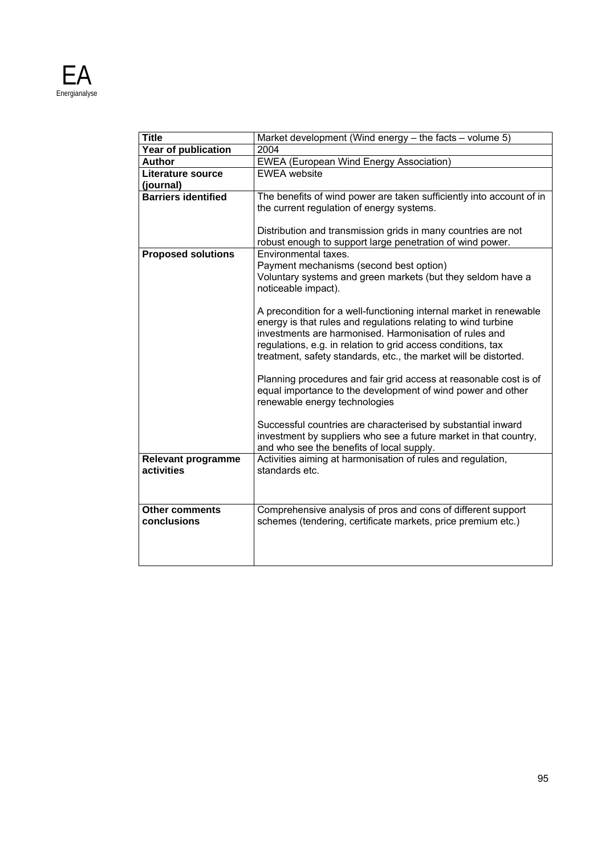| <b>Title</b>                         | Market development (Wind energy - the facts - volume 5)                                                       |
|--------------------------------------|---------------------------------------------------------------------------------------------------------------|
| Year of publication                  | 2004                                                                                                          |
| <b>Author</b>                        | <b>EWEA (European Wind Energy Association)</b>                                                                |
| Literature source                    | <b>EWFA</b> website                                                                                           |
| (journal)                            |                                                                                                               |
| <b>Barriers identified</b>           | The benefits of wind power are taken sufficiently into account of in                                          |
|                                      | the current regulation of energy systems.                                                                     |
|                                      |                                                                                                               |
|                                      | Distribution and transmission grids in many countries are not                                                 |
|                                      | robust enough to support large penetration of wind power.                                                     |
| <b>Proposed solutions</b>            | Environmental taxes.                                                                                          |
|                                      | Payment mechanisms (second best option)                                                                       |
|                                      | Voluntary systems and green markets (but they seldom have a<br>noticeable impact).                            |
|                                      |                                                                                                               |
|                                      | A precondition for a well-functioning internal market in renewable                                            |
|                                      | energy is that rules and regulations relating to wind turbine                                                 |
|                                      | investments are harmonised. Harmonisation of rules and                                                        |
|                                      | regulations, e.g. in relation to grid access conditions, tax                                                  |
|                                      | treatment, safety standards, etc., the market will be distorted.                                              |
|                                      |                                                                                                               |
|                                      | Planning procedures and fair grid access at reasonable cost is of                                             |
|                                      | equal importance to the development of wind power and other                                                   |
|                                      | renewable energy technologies                                                                                 |
|                                      |                                                                                                               |
|                                      | Successful countries are characterised by substantial inward                                                  |
|                                      | investment by suppliers who see a future market in that country,<br>and who see the benefits of local supply. |
| <b>Relevant programme</b>            | Activities aiming at harmonisation of rules and regulation,                                                   |
| activities                           | standards etc.                                                                                                |
|                                      |                                                                                                               |
|                                      |                                                                                                               |
|                                      |                                                                                                               |
| <b>Other comments</b><br>conclusions | Comprehensive analysis of pros and cons of different support                                                  |
|                                      | schemes (tendering, certificate markets, price premium etc.)                                                  |
|                                      |                                                                                                               |
|                                      |                                                                                                               |
|                                      |                                                                                                               |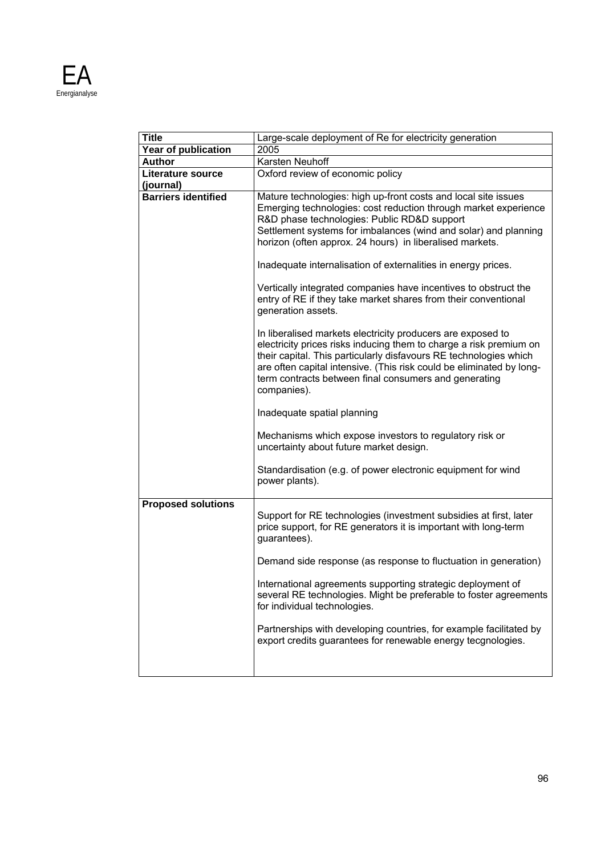| <b>Title</b>                            | Large-scale deployment of Re for electricity generation                                                                                                                                                                                                                                                                                                |
|-----------------------------------------|--------------------------------------------------------------------------------------------------------------------------------------------------------------------------------------------------------------------------------------------------------------------------------------------------------------------------------------------------------|
| Year of publication                     | 2005                                                                                                                                                                                                                                                                                                                                                   |
| Author                                  | Karsten Neuhoff                                                                                                                                                                                                                                                                                                                                        |
| Literature source                       | Oxford review of economic policy                                                                                                                                                                                                                                                                                                                       |
| (journal)<br><b>Barriers identified</b> |                                                                                                                                                                                                                                                                                                                                                        |
|                                         | Mature technologies: high up-front costs and local site issues<br>Emerging technologies: cost reduction through market experience<br>R&D phase technologies: Public RD&D support<br>Settlement systems for imbalances (wind and solar) and planning<br>horizon (often approx. 24 hours) in liberalised markets.                                        |
|                                         | Inadequate internalisation of externalities in energy prices.                                                                                                                                                                                                                                                                                          |
|                                         | Vertically integrated companies have incentives to obstruct the<br>entry of RE if they take market shares from their conventional<br>generation assets.                                                                                                                                                                                                |
|                                         | In liberalised markets electricity producers are exposed to<br>electricity prices risks inducing them to charge a risk premium on<br>their capital. This particularly disfavours RE technologies which<br>are often capital intensive. (This risk could be eliminated by long-<br>term contracts between final consumers and generating<br>companies). |
|                                         | Inadequate spatial planning                                                                                                                                                                                                                                                                                                                            |
|                                         | Mechanisms which expose investors to regulatory risk or<br>uncertainty about future market design.                                                                                                                                                                                                                                                     |
|                                         | Standardisation (e.g. of power electronic equipment for wind<br>power plants).                                                                                                                                                                                                                                                                         |
| <b>Proposed solutions</b>               |                                                                                                                                                                                                                                                                                                                                                        |
|                                         | Support for RE technologies (investment subsidies at first, later<br>price support, for RE generators it is important with long-term<br>guarantees).                                                                                                                                                                                                   |
|                                         | Demand side response (as response to fluctuation in generation)                                                                                                                                                                                                                                                                                        |
|                                         | International agreements supporting strategic deployment of<br>several RE technologies. Might be preferable to foster agreements<br>for individual technologies.                                                                                                                                                                                       |
|                                         | Partnerships with developing countries, for example facilitated by<br>export credits guarantees for renewable energy tecgnologies.                                                                                                                                                                                                                     |
|                                         |                                                                                                                                                                                                                                                                                                                                                        |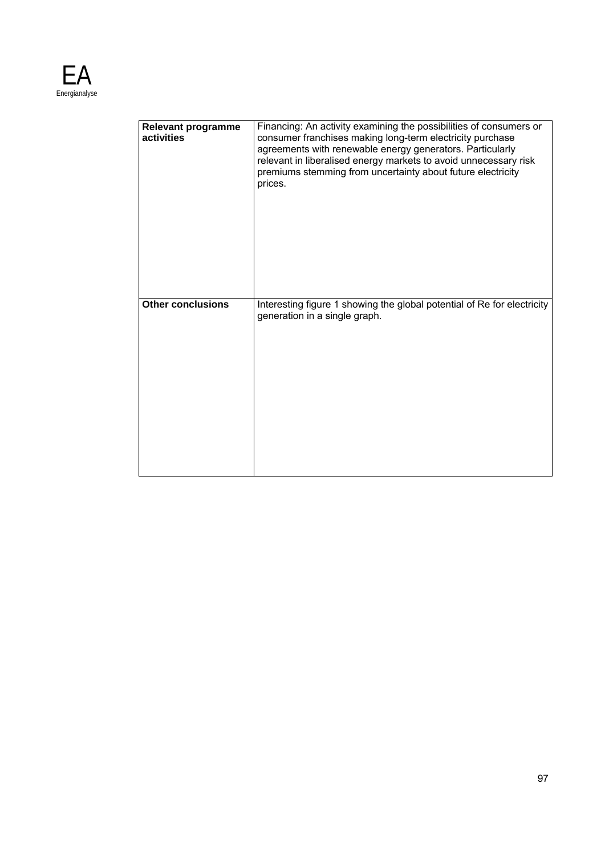

| <b>Relevant programme</b><br>activities | Financing: An activity examining the possibilities of consumers or<br>consumer franchises making long-term electricity purchase<br>agreements with renewable energy generators. Particularly<br>relevant in liberalised energy markets to avoid unnecessary risk<br>premiums stemming from uncertainty about future electricity<br>prices. |
|-----------------------------------------|--------------------------------------------------------------------------------------------------------------------------------------------------------------------------------------------------------------------------------------------------------------------------------------------------------------------------------------------|
| <b>Other conclusions</b>                | Interesting figure 1 showing the global potential of Re for electricity<br>generation in a single graph.                                                                                                                                                                                                                                   |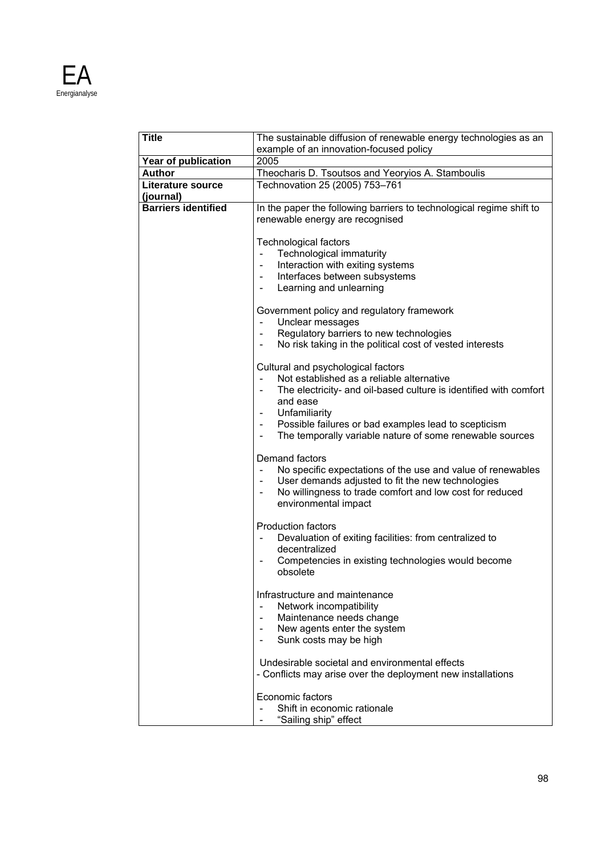# EA Energianalyse

| <b>Title</b>                   | The sustainable diffusion of renewable energy technologies as an                                                                                                                                                                                                                                                                                              |
|--------------------------------|---------------------------------------------------------------------------------------------------------------------------------------------------------------------------------------------------------------------------------------------------------------------------------------------------------------------------------------------------------------|
|                                | example of an innovation-focused policy                                                                                                                                                                                                                                                                                                                       |
| Year of publication            | 2005                                                                                                                                                                                                                                                                                                                                                          |
| <b>Author</b>                  | Theocharis D. Tsoutsos and Yeoryios A. Stamboulis                                                                                                                                                                                                                                                                                                             |
| Literature source<br>(journal) | Technovation 25 (2005) 753-761                                                                                                                                                                                                                                                                                                                                |
| <b>Barriers identified</b>     | In the paper the following barriers to technological regime shift to<br>renewable energy are recognised                                                                                                                                                                                                                                                       |
|                                | <b>Technological factors</b><br>Technological immaturity<br>$\overline{\phantom{a}}$<br>Interaction with exiting systems<br>Interfaces between subsystems<br>Learning and unlearning<br>$\overline{\phantom{a}}$                                                                                                                                              |
|                                | Government policy and regulatory framework<br>Unclear messages<br>$\overline{\phantom{a}}$<br>Regulatory barriers to new technologies<br>$\overline{\phantom{a}}$<br>No risk taking in the political cost of vested interests                                                                                                                                 |
|                                | Cultural and psychological factors<br>Not established as a reliable alternative<br>$\overline{\phantom{a}}$<br>The electricity- and oil-based culture is identified with comfort<br>and ease<br>Unfamiliarity<br>$\overline{\phantom{a}}$<br>Possible failures or bad examples lead to scepticism<br>The temporally variable nature of some renewable sources |
|                                | Demand factors<br>No specific expectations of the use and value of renewables<br>$\overline{\phantom{a}}$<br>User demands adjusted to fit the new technologies<br>$\overline{\phantom{a}}$<br>No willingness to trade comfort and low cost for reduced<br>$\overline{\phantom{a}}$<br>environmental impact                                                    |
|                                | <b>Production factors</b><br>Devaluation of exiting facilities: from centralized to<br>decentralized<br>Competencies in existing technologies would become<br>$\overline{\phantom{a}}$<br>obsolete                                                                                                                                                            |
|                                | Infrastructure and maintenance<br>Network incompatibility<br>Maintenance needs change<br>New agents enter the system<br>Sunk costs may be high                                                                                                                                                                                                                |
|                                | Undesirable societal and environmental effects<br>- Conflicts may arise over the deployment new installations                                                                                                                                                                                                                                                 |
|                                | Economic factors<br>Shift in economic rationale<br>"Sailing ship" effect                                                                                                                                                                                                                                                                                      |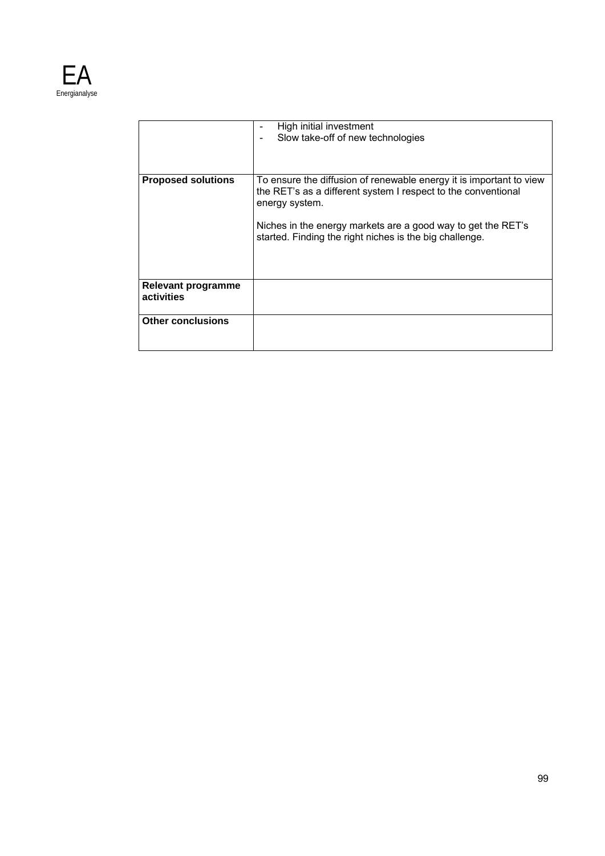|                                         | High initial investment<br>Slow take-off of new technologies                                                                                                                                                                                                                      |
|-----------------------------------------|-----------------------------------------------------------------------------------------------------------------------------------------------------------------------------------------------------------------------------------------------------------------------------------|
| <b>Proposed solutions</b>               | To ensure the diffusion of renewable energy it is important to view<br>the RET's as a different system I respect to the conventional<br>energy system.<br>Niches in the energy markets are a good way to get the RET's<br>started. Finding the right niches is the big challenge. |
| <b>Relevant programme</b><br>activities |                                                                                                                                                                                                                                                                                   |
| <b>Other conclusions</b>                |                                                                                                                                                                                                                                                                                   |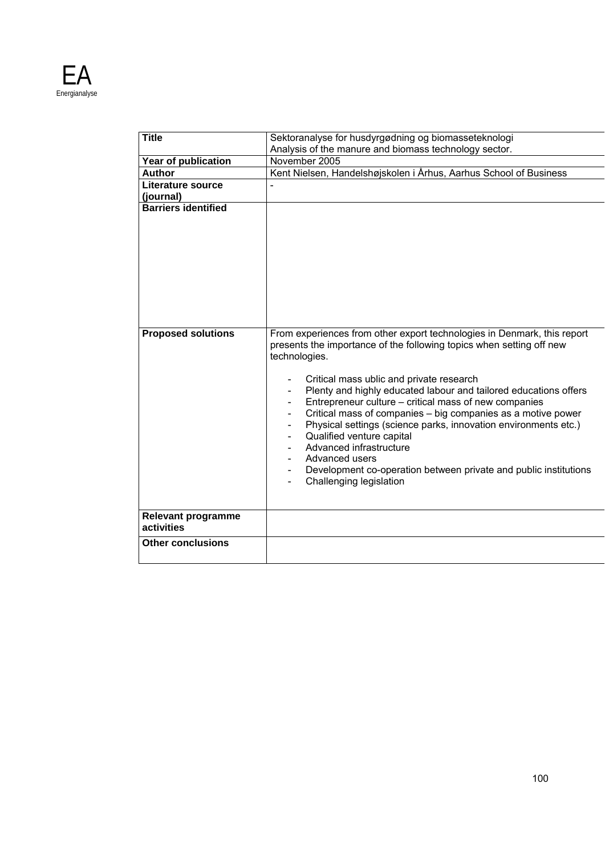| <b>Title</b>                            | Sektoranalyse for husdyrgødning og biomasseteknologi                                                                                                                                                                                                                                                                                                                                                                                                                                                                                                                                                                                                  |
|-----------------------------------------|-------------------------------------------------------------------------------------------------------------------------------------------------------------------------------------------------------------------------------------------------------------------------------------------------------------------------------------------------------------------------------------------------------------------------------------------------------------------------------------------------------------------------------------------------------------------------------------------------------------------------------------------------------|
|                                         | Analysis of the manure and biomass technology sector.                                                                                                                                                                                                                                                                                                                                                                                                                                                                                                                                                                                                 |
| Year of publication                     | November 2005                                                                                                                                                                                                                                                                                                                                                                                                                                                                                                                                                                                                                                         |
| <b>Author</b>                           | Kent Nielsen, Handelshøjskolen i Århus, Aarhus School of Business                                                                                                                                                                                                                                                                                                                                                                                                                                                                                                                                                                                     |
|                                         |                                                                                                                                                                                                                                                                                                                                                                                                                                                                                                                                                                                                                                                       |
| Literature source<br>(journal)          |                                                                                                                                                                                                                                                                                                                                                                                                                                                                                                                                                                                                                                                       |
| <b>Barriers identified</b>              |                                                                                                                                                                                                                                                                                                                                                                                                                                                                                                                                                                                                                                                       |
| <b>Proposed solutions</b>               | From experiences from other export technologies in Denmark, this report<br>presents the importance of the following topics when setting off new<br>technologies.<br>Critical mass ublic and private research<br>Plenty and highly educated labour and tailored educations offers<br>Entrepreneur culture - critical mass of new companies<br>Critical mass of companies - big companies as a motive power<br>Physical settings (science parks, innovation environments etc.)<br>Qualified venture capital<br>Advanced infrastructure<br>Advanced users<br>Development co-operation between private and public institutions<br>Challenging legislation |
| <b>Relevant programme</b><br>activities |                                                                                                                                                                                                                                                                                                                                                                                                                                                                                                                                                                                                                                                       |
| <b>Other conclusions</b>                |                                                                                                                                                                                                                                                                                                                                                                                                                                                                                                                                                                                                                                                       |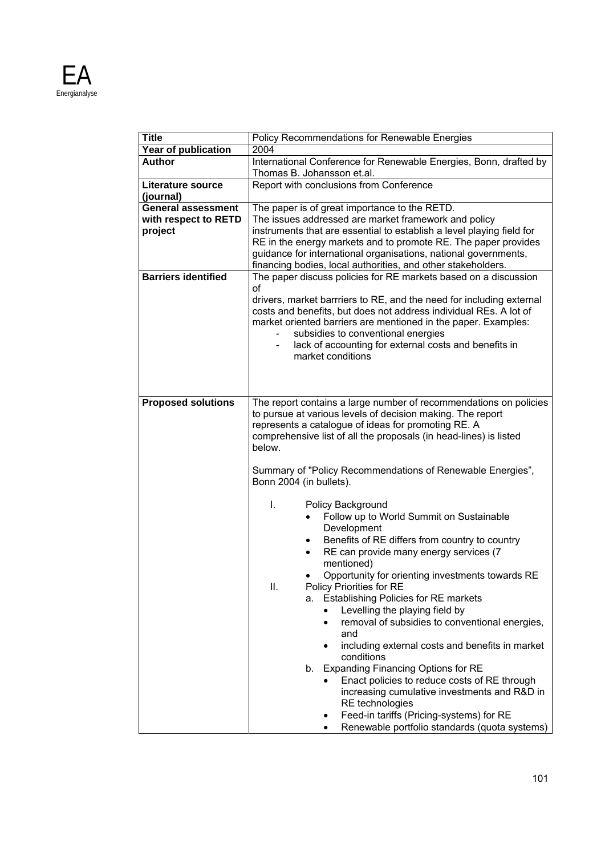| <b>Title</b>               | Policy Recommendations for Renewable Energies                                                        |  |  |  |
|----------------------------|------------------------------------------------------------------------------------------------------|--|--|--|
| Year of publication        | 2004                                                                                                 |  |  |  |
| <b>Author</b>              | International Conference for Renewable Energies, Bonn, drafted by                                    |  |  |  |
|                            | Thomas B. Johansson et.al.                                                                           |  |  |  |
| Literature source          | Report with conclusions from Conference                                                              |  |  |  |
| (journal)                  |                                                                                                      |  |  |  |
| <b>General assessment</b>  | The paper is of great importance to the RETD.                                                        |  |  |  |
| with respect to RETD       | The issues addressed are market framework and policy                                                 |  |  |  |
| project                    | instruments that are essential to establish a level playing field for                                |  |  |  |
|                            | RE in the energy markets and to promote RE. The paper provides                                       |  |  |  |
|                            | guidance for international organisations, national governments,                                      |  |  |  |
|                            | financing bodies, local authorities, and other stakeholders.                                         |  |  |  |
| <b>Barriers identified</b> | The paper discuss policies for RE markets based on a discussion                                      |  |  |  |
|                            | οf                                                                                                   |  |  |  |
|                            | drivers, market barrriers to RE, and the need for including external                                 |  |  |  |
|                            | costs and benefits, but does not address individual REs. A lot of                                    |  |  |  |
|                            | market oriented barriers are mentioned in the paper. Examples:<br>subsidies to conventional energies |  |  |  |
|                            | lack of accounting for external costs and benefits in<br>۰.                                          |  |  |  |
|                            | market conditions                                                                                    |  |  |  |
|                            |                                                                                                      |  |  |  |
|                            |                                                                                                      |  |  |  |
|                            |                                                                                                      |  |  |  |
| <b>Proposed solutions</b>  | The report contains a large number of recommendations on policies                                    |  |  |  |
|                            | to pursue at various levels of decision making. The report                                           |  |  |  |
|                            | represents a catalogue of ideas for promoting RE. A                                                  |  |  |  |
|                            | comprehensive list of all the proposals (in head-lines) is listed                                    |  |  |  |
|                            | below.                                                                                               |  |  |  |
|                            | Summary of "Policy Recommendations of Renewable Energies",                                           |  |  |  |
|                            | Bonn 2004 (in bullets).                                                                              |  |  |  |
|                            |                                                                                                      |  |  |  |
|                            | I.<br>Policy Background                                                                              |  |  |  |
|                            | Follow up to World Summit on Sustainable<br>$\bullet$                                                |  |  |  |
|                            | Development                                                                                          |  |  |  |
|                            | Benefits of RE differs from country to country                                                       |  |  |  |
|                            | RE can provide many energy services (7                                                               |  |  |  |
|                            | mentioned)                                                                                           |  |  |  |
|                            | Opportunity for orienting investments towards RE                                                     |  |  |  |
|                            | Policy Priorities for RE<br>н.                                                                       |  |  |  |
|                            | <b>Establishing Policies for RE markets</b><br>а.                                                    |  |  |  |
|                            | Levelling the playing field by                                                                       |  |  |  |
|                            | removal of subsidies to conventional energies,<br>$\bullet$                                          |  |  |  |
|                            | and<br>including external costs and benefits in market                                               |  |  |  |
|                            | conditions                                                                                           |  |  |  |
|                            | <b>Expanding Financing Options for RE</b><br>b.                                                      |  |  |  |
|                            | Enact policies to reduce costs of RE through                                                         |  |  |  |
|                            | increasing cumulative investments and R&D in                                                         |  |  |  |
|                            | RE technologies                                                                                      |  |  |  |
|                            | Feed-in tariffs (Pricing-systems) for RE                                                             |  |  |  |
|                            | Renewable portfolio standards (quota systems)                                                        |  |  |  |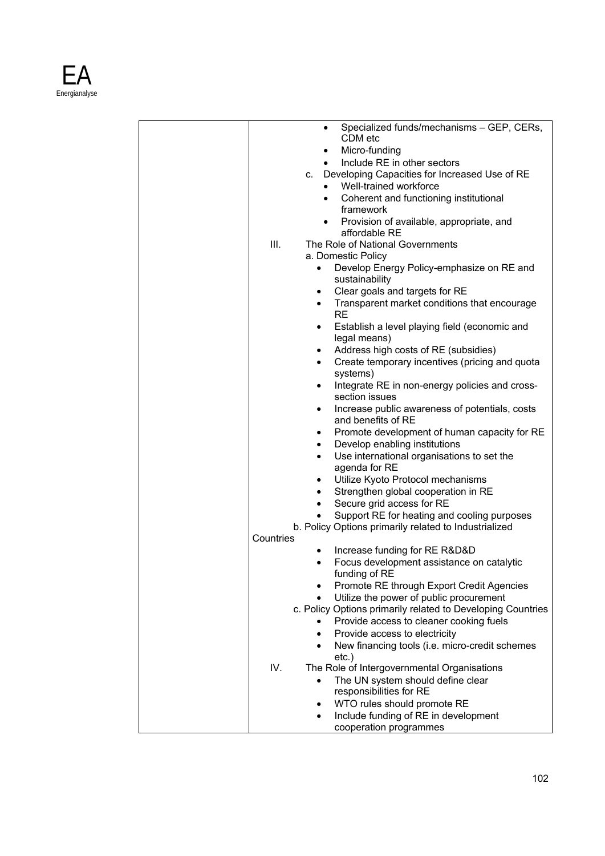

| Specialized funds/mechanisms - GEP, CERs,<br>$\bullet$<br>CDM etc<br>Micro-funding<br>$\bullet$<br>Include RE in other sectors<br>$\bullet$<br>Developing Capacities for Increased Use of RE<br>c.<br>Well-trained workforce<br>Coherent and functioning institutional<br>$\bullet$<br>framework<br>Provision of available, appropriate, and<br>$\bullet$<br>affordable RE<br>Ш.<br>The Role of National Governments<br>a. Domestic Policy<br>Develop Energy Policy-emphasize on RE and<br>٠<br>sustainability<br>Clear goals and targets for RE<br>$\bullet$<br>Transparent market conditions that encourage<br>$\bullet$<br><b>RE</b><br>Establish a level playing field (economic and<br>$\bullet$<br>legal means)<br>Address high costs of RE (subsidies)<br>٠<br>Create temporary incentives (pricing and quota<br>$\bullet$<br>systems)<br>Integrate RE in non-energy policies and cross-<br>٠<br>section issues<br>Increase public awareness of potentials, costs<br>٠<br>and benefits of RE<br>Promote development of human capacity for RE<br>٠<br>Develop enabling institutions<br>$\bullet$<br>Use international organisations to set the<br>$\bullet$<br>agenda for RE<br>Utilize Kyoto Protocol mechanisms<br>$\bullet$<br>Strengthen global cooperation in RE<br>$\bullet$ |
|------------------------------------------------------------------------------------------------------------------------------------------------------------------------------------------------------------------------------------------------------------------------------------------------------------------------------------------------------------------------------------------------------------------------------------------------------------------------------------------------------------------------------------------------------------------------------------------------------------------------------------------------------------------------------------------------------------------------------------------------------------------------------------------------------------------------------------------------------------------------------------------------------------------------------------------------------------------------------------------------------------------------------------------------------------------------------------------------------------------------------------------------------------------------------------------------------------------------------------------------------------------------------------------|
| Secure grid access for RE<br>$\bullet$                                                                                                                                                                                                                                                                                                                                                                                                                                                                                                                                                                                                                                                                                                                                                                                                                                                                                                                                                                                                                                                                                                                                                                                                                                                   |
| Support RE for heating and cooling purposes<br>$\bullet$<br>b. Policy Options primarily related to Industrialized                                                                                                                                                                                                                                                                                                                                                                                                                                                                                                                                                                                                                                                                                                                                                                                                                                                                                                                                                                                                                                                                                                                                                                        |
| Countries                                                                                                                                                                                                                                                                                                                                                                                                                                                                                                                                                                                                                                                                                                                                                                                                                                                                                                                                                                                                                                                                                                                                                                                                                                                                                |
| Increase funding for RE R&D&D<br>٠                                                                                                                                                                                                                                                                                                                                                                                                                                                                                                                                                                                                                                                                                                                                                                                                                                                                                                                                                                                                                                                                                                                                                                                                                                                       |
| Focus development assistance on catalytic<br>$\bullet$<br>funding of RE                                                                                                                                                                                                                                                                                                                                                                                                                                                                                                                                                                                                                                                                                                                                                                                                                                                                                                                                                                                                                                                                                                                                                                                                                  |
| Promote RE through Export Credit Agencies                                                                                                                                                                                                                                                                                                                                                                                                                                                                                                                                                                                                                                                                                                                                                                                                                                                                                                                                                                                                                                                                                                                                                                                                                                                |
| Utilize the power of public procurement                                                                                                                                                                                                                                                                                                                                                                                                                                                                                                                                                                                                                                                                                                                                                                                                                                                                                                                                                                                                                                                                                                                                                                                                                                                  |
| c. Policy Options primarily related to Developing Countries                                                                                                                                                                                                                                                                                                                                                                                                                                                                                                                                                                                                                                                                                                                                                                                                                                                                                                                                                                                                                                                                                                                                                                                                                              |
| Provide access to cleaner cooking fuels                                                                                                                                                                                                                                                                                                                                                                                                                                                                                                                                                                                                                                                                                                                                                                                                                                                                                                                                                                                                                                                                                                                                                                                                                                                  |
| Provide access to electricity<br>$\bullet$<br>New financing tools (i.e. micro-credit schemes<br>$\bullet$                                                                                                                                                                                                                                                                                                                                                                                                                                                                                                                                                                                                                                                                                                                                                                                                                                                                                                                                                                                                                                                                                                                                                                                |
| etc.)                                                                                                                                                                                                                                                                                                                                                                                                                                                                                                                                                                                                                                                                                                                                                                                                                                                                                                                                                                                                                                                                                                                                                                                                                                                                                    |
| IV.<br>The Role of Intergovernmental Organisations                                                                                                                                                                                                                                                                                                                                                                                                                                                                                                                                                                                                                                                                                                                                                                                                                                                                                                                                                                                                                                                                                                                                                                                                                                       |
| The UN system should define clear                                                                                                                                                                                                                                                                                                                                                                                                                                                                                                                                                                                                                                                                                                                                                                                                                                                                                                                                                                                                                                                                                                                                                                                                                                                        |
| responsibilities for RE<br>WTO rules should promote RE<br>$\bullet$                                                                                                                                                                                                                                                                                                                                                                                                                                                                                                                                                                                                                                                                                                                                                                                                                                                                                                                                                                                                                                                                                                                                                                                                                      |
| Include funding of RE in development                                                                                                                                                                                                                                                                                                                                                                                                                                                                                                                                                                                                                                                                                                                                                                                                                                                                                                                                                                                                                                                                                                                                                                                                                                                     |
| cooperation programmes                                                                                                                                                                                                                                                                                                                                                                                                                                                                                                                                                                                                                                                                                                                                                                                                                                                                                                                                                                                                                                                                                                                                                                                                                                                                   |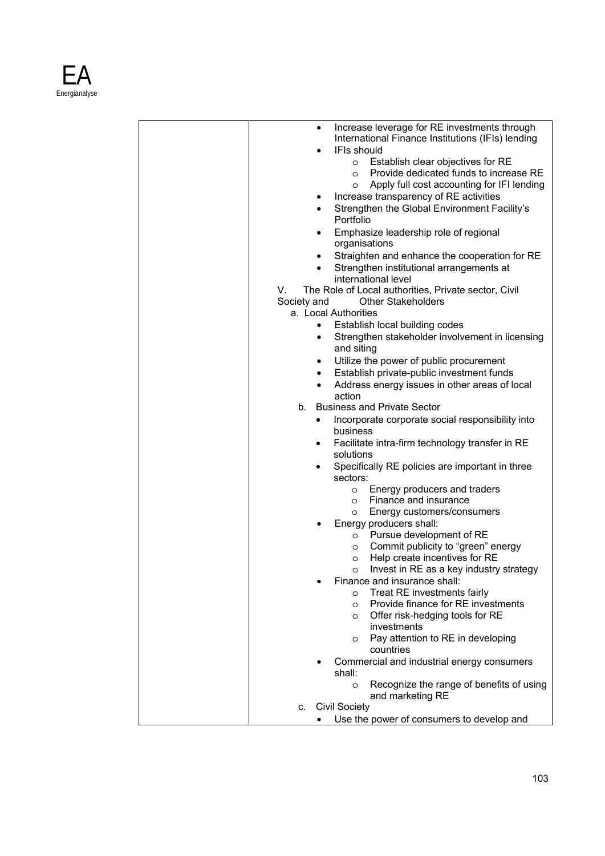

| $\bullet$                           |                      | Increase leverage for RE investments through<br>International Finance Institutions (IFIs) lending |
|-------------------------------------|----------------------|---------------------------------------------------------------------------------------------------|
| $\bullet$                           | <b>IFIs should</b>   |                                                                                                   |
|                                     | $\circ$              | Establish clear objectives for RE                                                                 |
|                                     | $\circ$              | Provide dedicated funds to increase RE                                                            |
|                                     | O                    | Apply full cost accounting for IFI lending                                                        |
| ٠                                   |                      | Increase transparency of RE activities                                                            |
| $\bullet$                           |                      | Strengthen the Global Environment Facility's                                                      |
|                                     | Portfolio            |                                                                                                   |
| ٠                                   |                      | Emphasize leadership role of regional                                                             |
|                                     | organisations        |                                                                                                   |
| $\bullet$                           |                      | Straighten and enhance the cooperation for RE                                                     |
| $\bullet$                           |                      | Strengthen institutional arrangements at                                                          |
|                                     |                      | international level                                                                               |
| V.                                  |                      | The Role of Local authorities, Private sector, Civil                                              |
| Society and<br>a. Local Authorities |                      | <b>Other Stakeholders</b>                                                                         |
| $\bullet$                           |                      |                                                                                                   |
| $\bullet$                           |                      | Establish local building codes<br>Strengthen stakeholder involvement in licensing                 |
|                                     | and siting           |                                                                                                   |
| ٠                                   |                      | Utilize the power of public procurement                                                           |
| $\bullet$                           |                      | Establish private-public investment funds                                                         |
| $\bullet$                           |                      | Address energy issues in other areas of local                                                     |
|                                     | action               |                                                                                                   |
| b.                                  |                      | <b>Business and Private Sector</b>                                                                |
| $\bullet$                           |                      | Incorporate corporate social responsibility into                                                  |
|                                     | business             |                                                                                                   |
| ٠                                   |                      | Facilitate intra-firm technology transfer in RE                                                   |
|                                     | solutions            |                                                                                                   |
|                                     | sectors:             | Specifically RE policies are important in three                                                   |
|                                     | $\circ$              | Energy producers and traders                                                                      |
|                                     | $\circ$              | Finance and insurance                                                                             |
|                                     | $\circ$              | Energy customers/consumers                                                                        |
|                                     |                      | Energy producers shall:                                                                           |
|                                     | $\circ$              | Pursue development of RE                                                                          |
|                                     | $\circ$              | Commit publicity to "green" energy                                                                |
|                                     | O                    | Help create incentives for RE                                                                     |
|                                     | O                    | Invest in RE as a key industry strategy                                                           |
|                                     |                      | Finance and insurance shall:                                                                      |
|                                     | $\circ$              | Treat RE investments fairly<br>Provide finance for RE investments                                 |
|                                     | $\circ$<br>$\circ$   | Offer risk-hedging tools for RE                                                                   |
|                                     |                      | investments                                                                                       |
|                                     | $\circ$              | Pay attention to RE in developing                                                                 |
|                                     |                      | countries                                                                                         |
|                                     |                      | Commercial and industrial energy consumers                                                        |
|                                     | shall:               |                                                                                                   |
|                                     | $\circ$              | Recognize the range of benefits of using                                                          |
|                                     |                      | and marketing RE                                                                                  |
| C.                                  | <b>Civil Society</b> |                                                                                                   |
|                                     |                      | Use the power of consumers to develop and                                                         |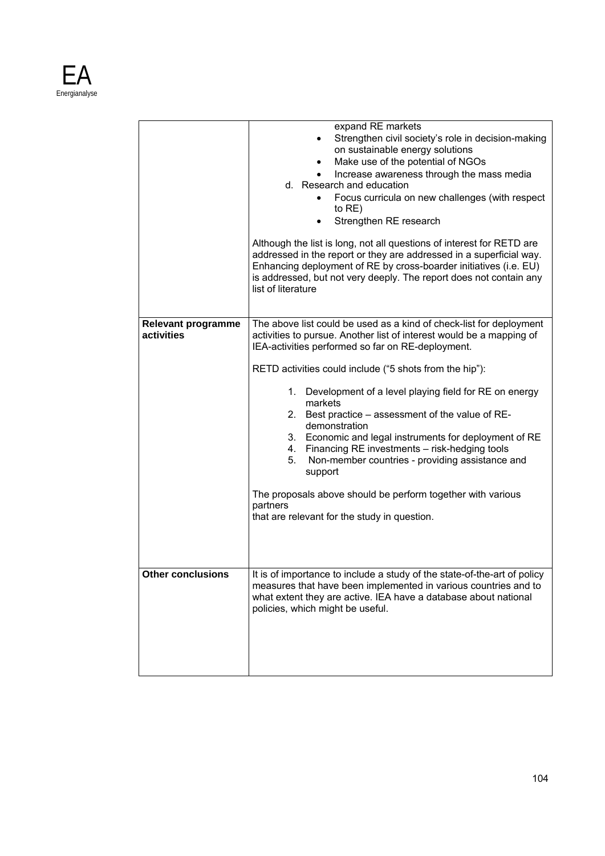|                                         | expand RE markets<br>Strengthen civil society's role in decision-making<br>on sustainable energy solutions<br>Make use of the potential of NGOs<br>Increase awareness through the mass media<br>d. Research and education<br>Focus curricula on new challenges (with respect<br>to $RE$ )<br>Strengthen RE research<br>Although the list is long, not all questions of interest for RETD are<br>addressed in the report or they are addressed in a superficial way.<br>Enhancing deployment of RE by cross-boarder initiatives (i.e. EU)<br>is addressed, but not very deeply. The report does not contain any<br>list of literature |  |  |
|-----------------------------------------|--------------------------------------------------------------------------------------------------------------------------------------------------------------------------------------------------------------------------------------------------------------------------------------------------------------------------------------------------------------------------------------------------------------------------------------------------------------------------------------------------------------------------------------------------------------------------------------------------------------------------------------|--|--|
| <b>Relevant programme</b><br>activities | The above list could be used as a kind of check-list for deployment<br>activities to pursue. Another list of interest would be a mapping of<br>IEA-activities performed so far on RE-deployment.<br>RETD activities could include ("5 shots from the hip"):<br>1. Development of a level playing field for RE on energy<br>markets<br>2. Best practice - assessment of the value of RE-<br>demonstration<br>3. Economic and legal instruments for deployment of RE                                                                                                                                                                   |  |  |
|                                         | Financing RE investments - risk-hedging tools<br>4.<br>5.<br>Non-member countries - providing assistance and<br>support<br>The proposals above should be perform together with various<br>partners<br>that are relevant for the study in question.                                                                                                                                                                                                                                                                                                                                                                                   |  |  |
| <b>Other conclusions</b>                | It is of importance to include a study of the state-of-the-art of policy<br>measures that have been implemented in various countries and to<br>what extent they are active. IEA have a database about national<br>policies, which might be useful.                                                                                                                                                                                                                                                                                                                                                                                   |  |  |